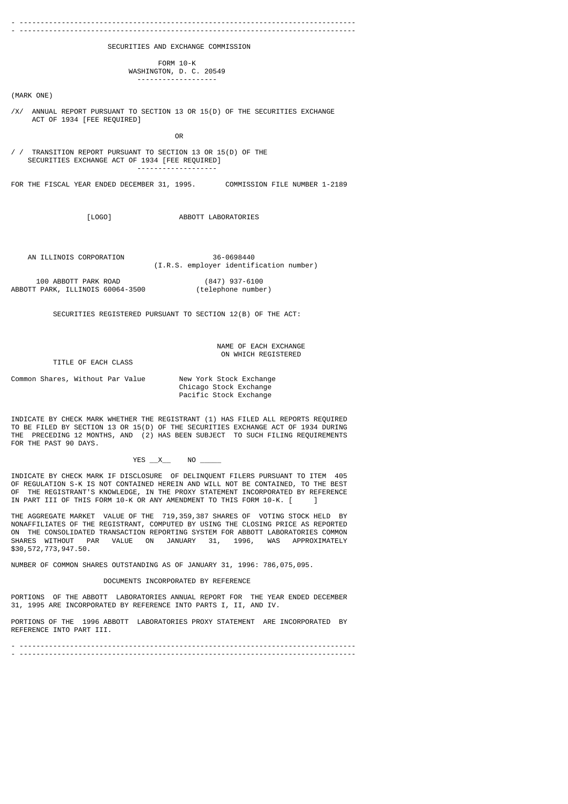- -------------------------------------------------------------------------------- - -------------------------------------------------------------------------------- SECURITIES AND EXCHANGE COMMISSION FORM 10-K WASHINGTON, D. C. 20549 ------------------- (MARK ONE) /X/ ANNUAL REPORT PURSUANT TO SECTION 13 OR 15(D) OF THE SECURITIES EXCHANGE ACT OF 1934 [FEE REQUIRED] **OR** Service of the contract of the contract of the contract of the contract of the contract of the contract of the contract of the contract of the contract of the contract of the contract of the contract of the contract o / / TRANSITION REPORT PURSUANT TO SECTION 13 OR 15(D) OF THE SECURITIES EXCHANGE ACT OF 1934 [FEE REQUIRED] ------------------- FOR THE FISCAL YEAR ENDED DECEMBER 31, 1995. COMMISSION FILE NUMBER 1-2189 [LOGO] ABBOTT LABORATORIES AN ILLINOIS CORPORATION 36-0698440 (I.R.S. employer identification number) 100 ABBOTT PARK ROAD (847) 937-6100 ABBOTT PARK, ILLINOIS 60064-3500 SECURITIES REGISTERED PURSUANT TO SECTION 12(B) OF THE ACT: NAME OF EACH EXCHANGE

ON WHICH REGISTERED

TITLE OF EACH CLASS

Common Shares, Without Par Value New York Stock Exchange Chicago Stock Exchange Pacific Stock Exchange

INDICATE BY CHECK MARK WHETHER THE REGISTRANT (1) HAS FILED ALL REPORTS REQUIRED TO BE FILED BY SECTION 13 OR 15(D) OF THE SECURITIES EXCHANGE ACT OF 1934 DURING THE PRECEDING 12 MONTHS, AND (2) HAS BEEN SUBJECT TO SUCH FILING REQUIREMENTS FOR THE PAST 90 DAYS.

## YES \_\_X\_\_\_ NO

INDICATE BY CHECK MARK IF DISCLOSURE OF DELINQUENT FILERS PURSUANT TO ITEM 405 OF REGULATION S-K IS NOT CONTAINED HEREIN AND WILL NOT BE CONTAINED, TO THE BEST OF THE REGISTRANT'S KNOWLEDGE, IN THE PROXY STATEMENT INCORPORATED BY REFERENCE IN PART III OF THIS FORM 10-K OR ANY AMENDMENT TO THIS FORM 10-K.  $[ \quad ]$ 

THE AGGREGATE MARKET VALUE OF THE 719,359,387 SHARES OF VOTING STOCK HELD BY NONAFFILIATES OF THE REGISTRANT, COMPUTED BY USING THE CLOSING PRICE AS REPORTED ON THE CONSOLIDATED TRANSACTION REPORTING SYSTEM FOR ABBOTT LABORATORIES COMMON SHARES WITHOUT PAR VALUE ON JANUARY 31, 1996, WAS APPROXIMATELY \$30,572,773,947.50.

NUMBER OF COMMON SHARES OUTSTANDING AS OF JANUARY 31, 1996: 786,075,095.

#### DOCUMENTS INCORPORATED BY REFERENCE

PORTIONS OF THE ABBOTT LABORATORIES ANNUAL REPORT FOR THE YEAR ENDED DECEMBER 31, 1995 ARE INCORPORATED BY REFERENCE INTO PARTS I, II, AND IV.

PORTIONS OF THE 1996 ABBOTT LABORATORIES PROXY STATEMENT ARE INCORPORATED BY REFERENCE INTO PART III.

- -------------------------------------------------------------------------------- - --------------------------------------------------------------------------------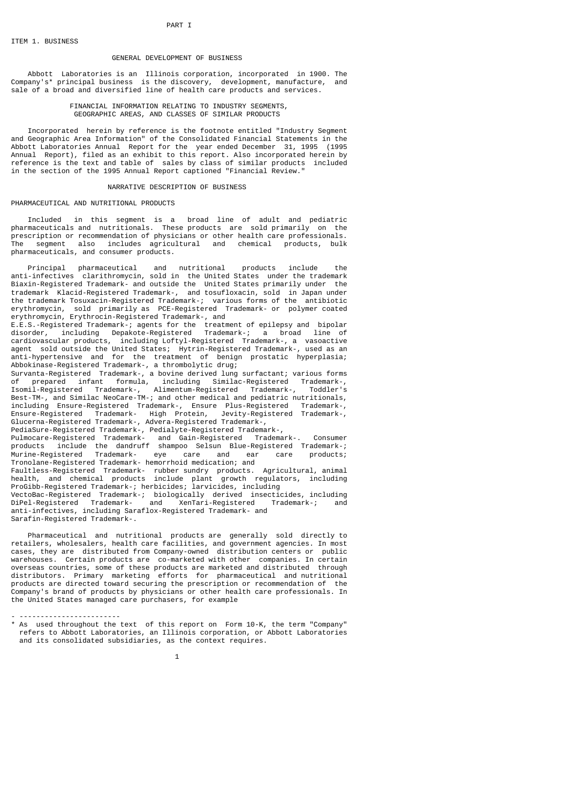## GENERAL DEVELOPMENT OF BUSINESS

 Abbott Laboratories is an Illinois corporation, incorporated in 1900. The Company's\* principal business is the discovery, development, manufacture, and sale of a broad and diversified line of health care products and services.

#### FINANCIAL INFORMATION RELATING TO INDUSTRY SEGMENTS, GEOGRAPHIC AREAS, AND CLASSES OF SIMILAR PRODUCTS

 Incorporated herein by reference is the footnote entitled "Industry Segment and Geographic Area Information" of the Consolidated Financial Statements in the Abbott Laboratories Annual Report for the year ended December 31, 1995 (1995 Annual Report), filed as an exhibit to this report. Also incorporated herein by reference is the text and table of sales by class of similar products included in the section of the 1995 Annual Report captioned "Financial Review."

#### NARRATIVE DESCRIPTION OF BUSINESS

### PHARMACEUTICAL AND NUTRITIONAL PRODUCTS

 Included in this segment is a broad line of adult and pediatric pharmaceuticals and nutritionals. These products are sold primarily on the prescription or recommendation of physicians or other health care professionals. The segment also includes agricultural and chemical products, bulk pharmaceuticals, and consumer products.

 Principal pharmaceutical and nutritional products include the anti-infectives clarithromycin, sold in the United States under the trademark Biaxin-Registered Trademark- and outside the United States primarily under the trademark Klacid-Registered Trademark-, and tosufloxacin, sold in Japan under the trademark Tosuxacin-Registered Trademark-; various forms of the antibiotic erythromycin, sold primarily as PCE-Registered Trademark- or polymer coated erythromycin, Erythrocin-Registered Trademark-, and

E.E.S.-Registered Trademark-; agents for the treatment of epilepsy and bipolar disorder, including Depakote-Registered Trademark-; a broad line of cardiovascular products, including Loftyl-Registered Trademark-, a vasoactive agent sold outside the United States; Hytrin-Registered Trademark-, used as an anti-hypertensive and for the treatment of benign prostatic hyperplasia; Abbokinase-Registered Trademark-, a thrombolytic drug;

Survanta-Registered Trademark-, a bovine derived lung surfactant; various forms of prepared infant formula, including Similac-Registered Trademark-, Isomil-Registered Trademark-, Alimentum-Registered Trademark-, Toddler's Best-TM-, and Similac NeoCare-TM-; and other medical and pediatric nutritionals, including Ensure-Registered Trademark-, Ensure Plus-Registered Trademark-, Ensure-Registered Trademark- High Protein, Jevity-Registered Trademark-, Glucerna-Registered Trademark-, Advera-Registered Trademark-, PediaSure-Registered Trademark-, Pedialyte-Registered Trademark-, Pulmocare-Registered Trademark- and Gain-Registered Trademark-. Consumer products include the dandruff shampoo Selsun Blue-Registered Trademark-; Murine-Registered Trademark- eye care and ear care products; Tronolane-Registered Trademark- hemorrhoid medication; and Faultless-Registered Trademark- rubber sundry products. Agricultural, animal health, and chemical products include plant growth regulators, including ProGibb-Registered Trademark-; herbicides; larvicides, including VectoBac-Registered Trademark-; biologically derived insecticides, including DiPel-Registered Trademark- and XenTari-Registered Trademark-; and anti-infectives, including Saraflox-Registered Trademark- and

Sarafin-Registered Trademark-.

 Pharmaceutical and nutritional products are generally sold directly to retailers, wholesalers, health care facilities, and government agencies. In most cases, they are distributed from Company-owned distribution centers or public warehouses. Certain products are co-marketed with other companies. In certain overseas countries, some of these products are marketed and distributed through distributors. Primary marketing efforts for pharmaceutical and nutritional products are directed toward securing the prescription or recommendation of the Company's brand of products by physicians or other health care professionals. In the United States managed care purchasers, for example

#### - ------------------------

\* As used throughout the text of this report on Form 10-K, the term "Company" refers to Abbott Laboratories, an Illinois corporation, or Abbott Laboratories and its consolidated subsidiaries, as the context requires.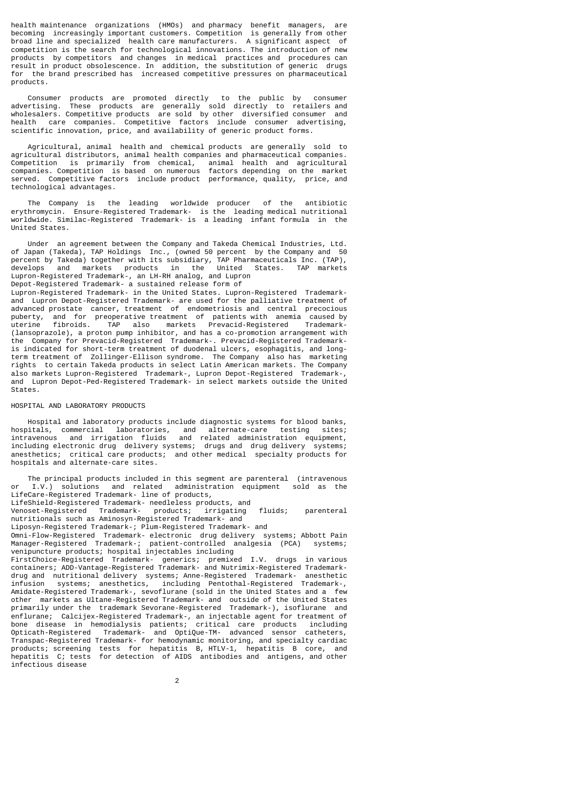health maintenance organizations (HMOs) and pharmacy benefit managers, are becoming increasingly important customers. Competition is generally from other broad line and specialized health care manufacturers. A significant aspect of competition is the search for technological innovations. The introduction of new products by competitors and changes in medical practices and procedures can result in product obsolescence. In addition, the substitution of generic drugs for the brand prescribed has increased competitive pressures on pharmaceutical products.

 Consumer products are promoted directly to the public by consumer advertising. These products are generally sold directly to retailers and wholesalers. Competitive products are sold by other diversified consumer and health care companies. Competitive factors include consumer advertising, scientific innovation, price, and availability of generic product forms.

 Agricultural, animal health and chemical products are generally sold to agricultural distributors, animal health companies and pharmaceutical companies. Competition is primarily from chemical, animal health and agricultural companies. Competition is based on numerous factors depending on the market served. Competitive factors include product performance, quality, price, and technological advantages.

 The Company is the leading worldwide producer of the antibiotic erythromycin. Ensure-Registered Trademark- is the leading medical nutritional worldwide. Similac-Registered Trademark- is a leading infant formula in the United States.

 Under an agreement between the Company and Takeda Chemical Industries, Ltd. of Japan (Takeda), TAP Holdings Inc., (owned 50 percent by the Company and 50 percent by Takeda) together with its subsidiary, TAP Pharmaceuticals Inc. (TAP), develops and markets products in the United States. TAP markets Lupron-Registered Trademark-, an LH-RH analog, and Lupron Depot-Registered Trademark- a sustained release form of

Lupron-Registered Trademark- in the United States. Lupron-Registered Trademarkand Lupron Depot-Registered Trademark- are used for the palliative treatment of advanced prostate cancer, treatment of endometriosis and central precocious puberty, and for preoperative treatment of patients with anemia caused by uterine fibroids. TAP also markets Prevacid-Registered Trademark- (lansoprazole), a proton pump inhibitor, and has a co-promotion arrangement with the Company for Prevacid-Registered Trademark-. Prevacid-Registered Trademarkis indicated for short-term treatment of duodenal ulcers, esophagitis, and longterm treatment of Zollinger-Ellison syndrome. The Company also has marketing rights to certain Takeda products in select Latin American markets. The Company also markets Lupron-Registered Trademark-, Lupron Depot-Registered Trademark-, and Lupron Depot-Ped-Registered Trademark- in select markets outside the United States.

### HOSPITAL AND LABORATORY PRODUCTS

 Hospital and laboratory products include diagnostic systems for blood banks, hospitals, commercial laboratories, and alternate-care testing sites; and related administration equipment, including electronic drug delivery systems; drugs and drug delivery systems; anesthetics; critical care products; and other medical specialty products for hospitals and alternate-care sites.

The principal products included in this segment are parenteral (intravenous

or I.V.) solutions and related administration equipment sold as the LifeCare-Registered Trademark- line of products, LifeShield-Registered Trademark- needleless products, and Venoset-Registered Trademark- products; irrigating fluids; parenteral nutritionals such as Aminosyn-Registered Trademark- and Liposyn-Registered Trademark-; Plum-Registered Trademark- and Omni-Flow-Registered Trademark- electronic drug delivery systems; Abbott Pain Manager-Registered Trademark-; patient-controlled analgesia (PCA) systems; venipuncture products; hospital injectables including FirstChoice-Registered Trademark- generics; premixed I.V. drugs in various containers; ADD-Vantage-Registered Trademark- and Nutrimix-Registered Trademarkdrug and nutritional delivery systems; Anne-Registered Trademark- anesthetic infusion systems; anesthetics, including Pentothal-Registered Trademark-, Amidate-Registered Trademark-, sevoflurane (sold in the United States and a few other markets as Ultane-Registered Trademark- and outside of the United States primarily under the trademark Sevorane-Registered Trademark-), isoflurane and enflurane; Calcijex-Registered Trademark-, an injectable agent for treatment of bone disease in hemodialysis patients; critical care products including Opticath-Registered Trademark- and OptiQue-TM- advanced sensor catheters, Transpac-Registered Trademark- for hemodynamic monitoring, and specialty cardiac products; screening tests for hepatitis B, HTLV-1, hepatitis B core, hepatitis C; tests for detection of AIDS antibodies and antigens, and other infectious disease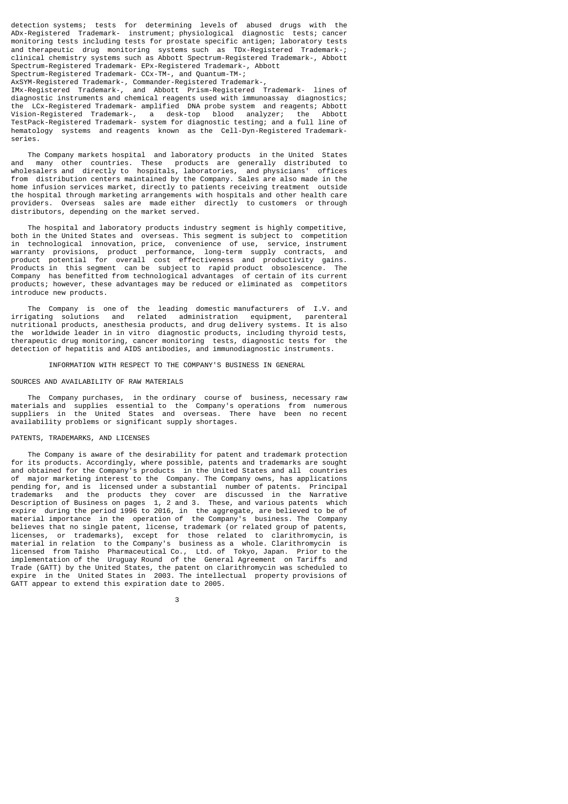detection systems; tests for determining levels of abused drugs with the ADx-Registered Trademark- instrument; physiological diagnostic tests; cancer monitoring tests including tests for prostate specific antigen; laboratory tests and therapeutic drug monitoring systems such as TDx-Registered Trademark-; clinical chemistry systems such as Abbott Spectrum-Registered Trademark-, Abbott Spectrum-Registered Trademark- EPx-Registered Trademark-, Abbott Spectrum-Registered Trademark- CCx-TM-, and Quantum-TM-;

AxSYM-Registered Trademark-, Commander-Registered Trademark-,

IMx-Registered Trademark-, and Abbott Prism-Registered Trademark- lines of diagnostic instruments and chemical reagents used with immunoassay diagnostics; the LCx-Registered Trademark- amplified DNA probe system and reagents; Abbott Vision-Registered Trademark-, a desk-top blood analyzer; the Abbott TestPack-Registered Trademark- system for diagnostic testing; and a full line of hematology systems and reagents known as the Cell-Dyn-Registered Trademarkseries.

The Company markets hospital and laboratory products in the United States<br>and many other countries. These products are generally distributed to many other countries. These products are generally distributed to wholesalers and directly to hospitals, laboratories, and physicians' offices from distribution centers maintained by the Company. Sales are also made in the home infusion services market, directly to patients receiving treatment outside the hospital through marketing arrangements with hospitals and other health care providers. Overseas sales are made either directly to customers or through distributors, depending on the market served.

 The hospital and laboratory products industry segment is highly competitive, both in the United States and overseas. This segment is subject to competition in technological innovation, price, convenience of use, service, instrument warranty provisions, product performance, long-term supply contracts, and product potential for overall cost effectiveness and productivity gains. Products in this segment can be subject to rapid product obsolescence. The Company has benefitted from technological advantages of certain of its current products; however, these advantages may be reduced or eliminated as competitors introduce new products.

 The Company is one of the leading domestic manufacturers of I.V. and irrigating solutions and related administration equipment, parenteral nutritional products, anesthesia products, and drug delivery systems. It is also the worldwide leader in in vitro diagnostic products, including thyroid tests, therapeutic drug monitoring, cancer monitoring tests, diagnostic tests for the detection of hepatitis and AIDS antibodies, and immunodiagnostic instruments.

INFORMATION WITH RESPECT TO THE COMPANY'S BUSINESS IN GENERAL

## SOURCES AND AVAILABILITY OF RAW MATERIALS

 The Company purchases, in the ordinary course of business, necessary raw materials and supplies essential to the Company's operations from numerous suppliers in the United States and overseas. There have been no recent availability problems or significant supply shortages.

## PATENTS, TRADEMARKS, AND LICENSES

 The Company is aware of the desirability for patent and trademark protection for its products. Accordingly, where possible, patents and trademarks are sought and obtained for the Company's products in the United States and all countries of major marketing interest to the Company. The Company owns, has applications pending for, and is licensed under a substantial number of patents. Principal trademarks and the products they cover are discussed in the Narrative Description of Business on pages 1, 2 and 3. These, and various patents which expire during the period 1996 to 2016, in the aggregate, are believed to be of material importance in the operation of the Company's business. The Company believes that no single patent, license, trademark (or related group of patents, licenses, or trademarks), except for those related to clarithromycin, is material in relation to the Company's business as a whole. Clarithromycin is licensed from Taisho Pharmaceutical Co., Ltd. of Tokyo, Japan. Prior to the implementation of the Uruguay Round of the General Agreement on Tariffs and Trade (GATT) by the United States, the patent on clarithromycin was scheduled to expire in the United States in 2003. The intellectual property provisions of GATT appear to extend this expiration date to 2005.

 $\sim$  3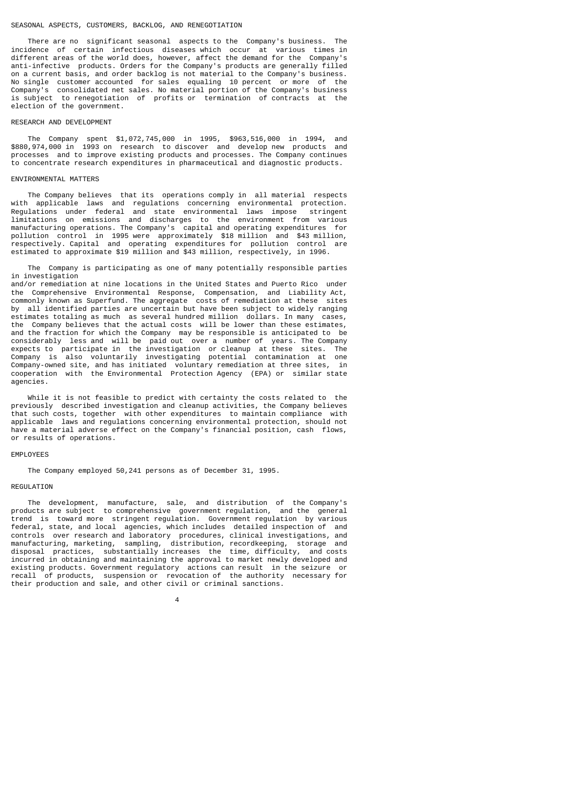### SEASONAL ASPECTS, CUSTOMERS, BACKLOG, AND RENEGOTIATION

 There are no significant seasonal aspects to the Company's business. The incidence of certain infectious diseases which occur at various times in different areas of the world does, however, affect the demand for the Company's anti-infective products. Orders for the Company's products are generally filled on a current basis, and order backlog is not material to the Company's business. No single customer accounted for sales equaling 10 percent or more of the Company's consolidated net sales. No material portion of the Company's business is subject to renegotiation of profits or termination of contracts at the election of the government.

#### RESEARCH AND DEVELOPMENT

 The Company spent \$1,072,745,000 in 1995, \$963,516,000 in 1994, and \$880,974,000 in 1993 on research to discover and develop new products and processes and to improve existing products and processes. The Company continues to concentrate research expenditures in pharmaceutical and diagnostic products.

#### ENVIRONMENTAL MATTERS

 The Company believes that its operations comply in all material respects with applicable laws and regulations concerning environmental protection. Regulations under federal and state environmental laws impose stringent limitations on emissions and discharges to the environment from various manufacturing operations. The Company's capital and operating expenditures for pollution control in 1995 were approximately \$18 million and \$43 million, respectively. Capital and operating expenditures for pollution control are estimated to approximate \$19 million and \$43 million, respectively, in 1996.

 The Company is participating as one of many potentially responsible parties in investigation and/or remediation at nine locations in the United States and Puerto Rico under the Comprehensive Environmental Response, Compensation, and Liability Act, commonly known as Superfund. The aggregate costs of remediation at these sites by all identified parties are uncertain but have been subject to widely ranging estimates totaling as much as several hundred million dollars. In many cases, the Company believes that the actual costs will be lower than these estimates, and the fraction for which the Company may be responsible is anticipated to be considerably less and will be paid out over a number of years. The Company expects to participate in the investigation or cleanup at these sites. The Company is also voluntarily investigating potential contamination at one Company-owned site, and has initiated voluntary remediation at three sites, in cooperation with the Environmental Protection Agency (EPA) or similar state

 While it is not feasible to predict with certainty the costs related to the previously described investigation and cleanup activities, the Company believes that such costs, together with other expenditures to maintain compliance with applicable laws and regulations concerning environmental protection, should not have a material adverse effect on the Company's financial position, cash flows, or results of operations.

#### EMPLOYEES

agencies.

The Company employed 50,241 persons as of December 31, 1995.

4

#### **REGULATION**

 The development, manufacture, sale, and distribution of the Company's products are subject to comprehensive government regulation, and the general trend is toward more stringent regulation. Government regulation by various federal, state, and local agencies, which includes detailed inspection of and controls over research and laboratory procedures, clinical investigations, and manufacturing, marketing, sampling, distribution, recordkeeping, storage and disposal practices, substantially increases the time, difficulty, and costs incurred in obtaining and maintaining the approval to market newly developed and existing products. Government regulatory actions can result in the seizure or recall of products, suspension or revocation of the authority necessary for their production and sale, and other civil or criminal sanctions.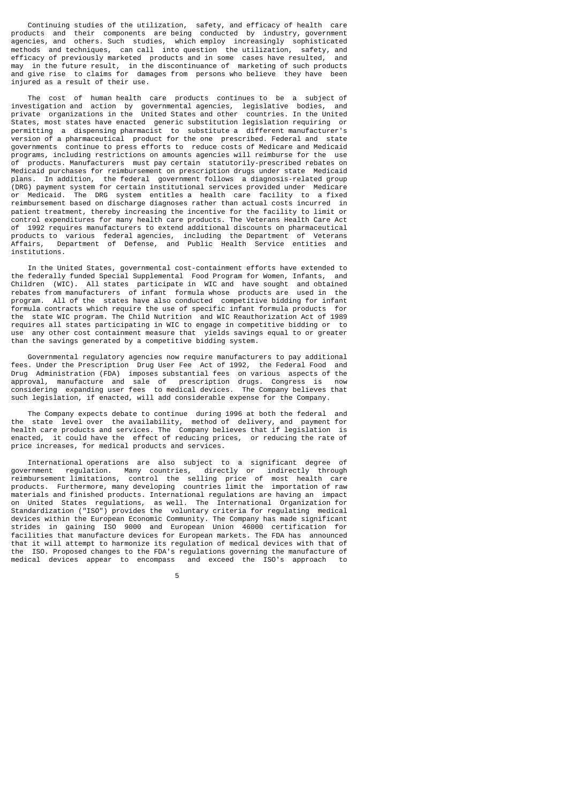Continuing studies of the utilization, safety, and efficacy of health care products and their components are being conducted by industry, government agencies, and others. Such studies, which employ increasingly sophisticated methods and techniques, can call into question the utilization, safety, and efficacy of previously marketed products and in some cases have resulted, and may in the future result, in the discontinuance of marketing of such products and give rise to claims for damages from persons who believe they have been injured as a result of their use.

 The cost of human health care products continues to be a subject of investigation and action by governmental agencies, legislative bodies, and private organizations in the United States and other countries. In the United States, most states have enacted generic substitution legislation requiring or permitting a dispensing pharmacist to substitute a different manufacturer's version of a pharmaceutical product for the one prescribed. Federal and state governments continue to press efforts to reduce costs of Medicare and Medicaid programs, including restrictions on amounts agencies will reimburse for the use<br>of products. Manufacturers must pay certain statutorily-prescribed rebates on products. Manufacturers must pay certain statutorily-prescribed rebates on Medicaid purchases for reimbursement on prescription drugs under state Medicaid plans. In addition, the federal government follows a diagnosis-related group (DRG) payment system for certain institutional services provided under Medicare or Medicaid. The DRG system entitles a health care facility to a fixed reimbursement based on discharge diagnoses rather than actual costs incurred in patient treatment, thereby increasing the incentive for the facility to limit or control expenditures for many health care products. The Veterans Health Care Act of 1992 requires manufacturers to extend additional discounts on pharmaceutical products to various federal agencies, including the Department of Veterans Affairs, Department of Defense, and Public Health Service entities and institutions.

 In the United States, governmental cost-containment efforts have extended to the federally funded Special Supplemental Food Program for Women, Infants, and Children (WIC). All states participate in WIC and have sought and obtained rebates from manufacturers of infant formula whose products are used in the program. All of the states have also conducted competitive bidding for infant formula contracts which require the use of specific infant formula products for the state WIC program. The Child Nutrition and WIC Reauthorization Act of 1989 requires all states participating in WIC to engage in competitive bidding or to use any other cost containment measure that yields savings equal to or greater than the savings generated by a competitive bidding system.

 Governmental regulatory agencies now require manufacturers to pay additional fees. Under the Prescription Drug User Fee Act of 1992, the Federal Food and Drug Administration (FDA) imposes substantial fees on various aspects of the approval, manufacture and sale of prescription drugs. Congress is now considering expanding user fees to medical devices. The Company believes that such legislation, if enacted, will add considerable expense for the Company.

 The Company expects debate to continue during 1996 at both the federal and the state level over the availability, method of delivery, and payment for health care products and services. The Company believes that if legislation is enacted, it could have the effect of reducing prices, or reducing the rate of price increases, for medical products and services.

 International operations are also subject to a significant degree of government regulation. Many countries, directly or indirectly through reimbursement limitations, control the selling price of most health care products. Furthermore, many developing countries limit the importation of raw materials and finished products. International regulations are having an impact on United States regulations, as well. The International Organization for Standardization ("ISO") provides the voluntary criteria for regulating medical devices within the European Economic Community. The Company has made significant strides in gaining ISO 9000 and European Union 46000 certification for facilities that manufacture devices for European markets. The FDA has announced that it will attempt to harmonize its regulation of medical devices with that of the ISO. Proposed changes to the FDA's regulations governing the manufacture of medical devices appear to encompass and exceed the ISO's approach to

the contract of the contract of the contract of the contract of the contract of the contract of the contract o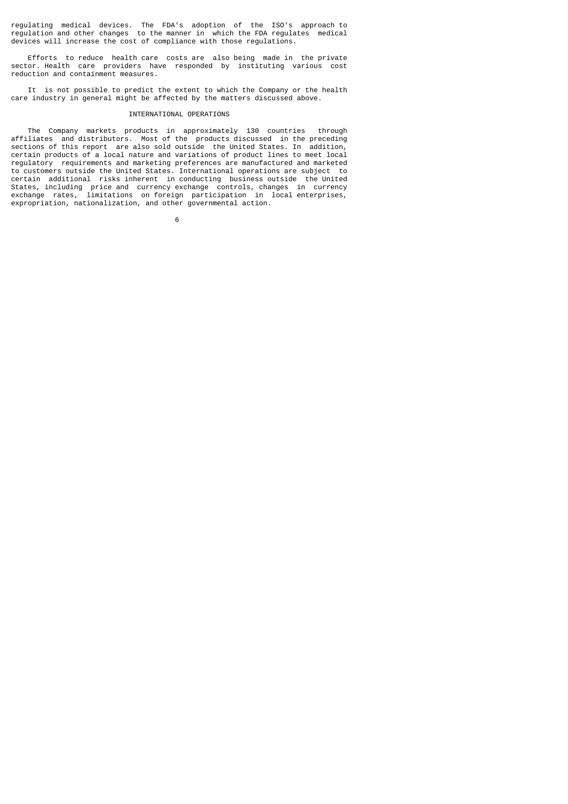regulating medical devices. The FDA's adoption of the ISO's approach to regulation and other changes to the manner in which the FDA regulates medical devices will increase the cost of compliance with those regulations.

 Efforts to reduce health care costs are also being made in the private sector. Health care providers have responded by instituting various cost reduction and containment measures.

 It is not possible to predict the extent to which the Company or the health care industry in general might be affected by the matters discussed above.

#### INTERNATIONAL OPERATIONS

 The Company markets products in approximately 130 countries through affiliates and distributors. Most of the products discussed in the preceding sections of this report are also sold outside the United States. In addition, certain products of a local nature and variations of product lines to meet local regulatory requirements and marketing preferences are manufactured and marketed to customers outside the United States. International operations are subject to certain additional risks inherent in conducting business outside the United States, including price and currency exchange controls, changes in currency exchange rates, limitations on foreign participation in local enterprises, expropriation, nationalization, and other governmental action.

 $\sim$  6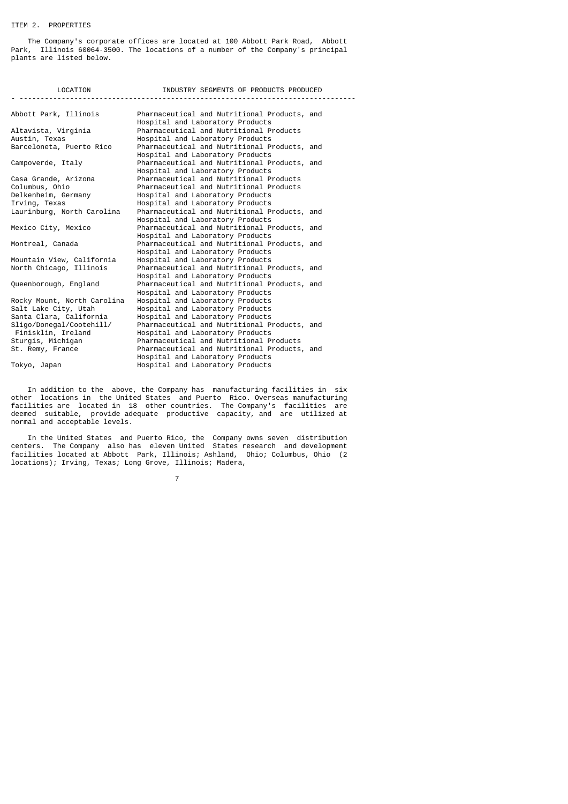# ITEM 2. PROPERTIES

 The Company's corporate offices are located at 100 Abbott Park Road, Abbott Park, Illinois 60064-3500. The locations of a number of the Company's principal plants are listed below.

| LOCATION<br><u> -------------------</u> | INDUSTRY SEGMENTS OF PRODUCTS PRODUCED                                           |  |
|-----------------------------------------|----------------------------------------------------------------------------------|--|
| Abbott Park, Illinois                   | Pharmaceutical and Nutritional Products, and<br>Hospital and Laboratory Products |  |
| Altavista, Virginia                     | Pharmaceutical and Nutritional Products                                          |  |
| Austin, Texas                           | Hospital and Laboratory Products                                                 |  |
| Barceloneta, Puerto Rico                | Pharmaceutical and Nutritional Products, and<br>Hospital and Laboratory Products |  |
| Campoverde, Italy                       | Pharmaceutical and Nutritional Products, and<br>Hospital and Laboratory Products |  |
| Casa Grande, Arizona                    | Pharmaceutical and Nutritional Products                                          |  |
| Columbus, Ohio                          | Pharmaceutical and Nutritional Products                                          |  |
| Delkenheim, Germany                     | Hospital and Laboratory Products                                                 |  |
| Irving, Texas                           | Hospital and Laboratory Products                                                 |  |
| Laurinburg, North Carolina              | Pharmaceutical and Nutritional Products, and<br>Hospital and Laboratory Products |  |
| Mexico City, Mexico                     | Pharmaceutical and Nutritional Products, and<br>Hospital and Laboratory Products |  |
| Montreal, Canada                        | Pharmaceutical and Nutritional Products, and<br>Hospital and Laboratory Products |  |
| Mountain View, California               | Hospital and Laboratory Products                                                 |  |
| North Chicago, Illinois                 | Pharmaceutical and Nutritional Products, and<br>Hospital and Laboratory Products |  |
| Queenborough, England                   | Pharmaceutical and Nutritional Products, and<br>Hospital and Laboratory Products |  |
| Rocky Mount, North Carolina             | Hospital and Laboratory Products                                                 |  |
| Salt Lake City, Utah                    | Hospital and Laboratory Products                                                 |  |
| Santa Clara, California                 | Hospital and Laboratory Products                                                 |  |
| Sligo/Donegal/Cootehill/                | Pharmaceutical and Nutritional Products, and                                     |  |
| Finisklin, Ireland                      | Hospital and Laboratory Products                                                 |  |
| Sturgis, Michigan                       | Pharmaceutical and Nutritional Products                                          |  |
| St. Remy, France                        | Pharmaceutical and Nutritional Products, and                                     |  |
|                                         | Hospital and Laboratory Products                                                 |  |
| Tokyo, Japan                            | Hospital and Laboratory Products                                                 |  |

 In addition to the above, the Company has manufacturing facilities in six other locations in the United States and Puerto Rico. Overseas manufacturing facilities are located in 18 other countries. The Company's facilities are deemed suitable, provide adequate productive capacity, and are utilized at normal and acceptable levels.

 In the United States and Puerto Rico, the Company owns seven distribution centers. The Company also has eleven United States research and development facilities located at Abbott Park, Illinois; Ashland, Ohio; Columbus, Ohio (2 locations); Irving, Texas; Long Grove, Illinois; Madera,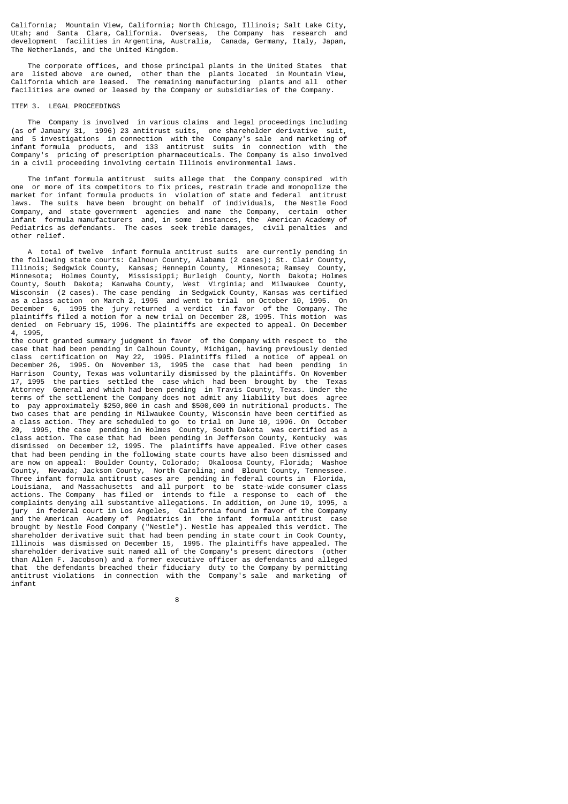California; Mountain View, California; North Chicago, Illinois; Salt Lake City, Utah; and Santa Clara, California. Overseas, the Company has research and development facilities in Argentina, Australia, Canada, Germany, Italy, Japan, The Netherlands, and the United Kingdom.

 The corporate offices, and those principal plants in the United States that are listed above are owned, other than the plants located in Mountain View, California which are leased. The remaining manufacturing plants and all other facilities are owned or leased by the Company or subsidiaries of the Company.

#### ITEM 3. LEGAL PROCEEDINGS

 The Company is involved in various claims and legal proceedings including (as of January 31, 1996) 23 antitrust suits, one shareholder derivative suit, and 5 investigations in connection with the Company's sale and marketing of infant formula products, and 133 antitrust suits in connection with the Company's pricing of prescription pharmaceuticals. The Company is also involved in a civil proceeding involving certain Illinois environmental laws.

 The infant formula antitrust suits allege that the Company conspired with one or more of its competitors to fix prices, restrain trade and monopolize the market for infant formula products in violation of state and federal antitrust laws. The suits have been brought on behalf of individuals, the Nestle Food  $\mathsf{Company},$  and state government agencies and name the  $\mathsf{Company},$  infant formula manufacturers and, in some instances, the Amer formula manufacturers and, in some instances, the American Academy of Pediatrics as defendants. The cases seek treble damages, civil penalties and other relief.

 A total of twelve infant formula antitrust suits are currently pending in the following state courts: Calhoun County, Alabama (2 cases); St. Clair County, Illinois; Sedgwick County, Kansas; Hennepin County, Minnesota; Ramsey County, Minnesota; Holmes County, Mississippi; Burleigh County, North Dakota; Holmes County, South Dakota; Kanwaha County, West Virginia; and Milwaukee County, Wisconsin (2 cases). The case pending in Sedgwick County, Kansas was certified as a class action on March 2, 1995 and went to trial on October 10, 1995. On December 6, 1995 the jury returned a verdict in favor of the Company. The plaintiffs filed a motion for a new trial on December 28, 1995. This motion was denied on February 15, 1996. The plaintiffs are expected to appeal. On December 4, 1995,

the court granted summary judgment in favor of the Company with respect to the case that had been pending in Calhoun County, Michigan, having previously denied class certification on May 22, 1995. Plaintiffs filed a notice of appeal on December 26, 1995. On November 13, 1995 the case that had been pending in Harrison County, Texas was voluntarily dismissed by the plaintiffs. On November 17, 1995 the parties settled the case which had been brought by the Texas General and which had been pending in Travis County, Texas. Under the terms of the settlement the Company does not admit any liability but does agree to pay approximately \$250,000 in cash and \$500,000 in nutritional products. The two cases that are pending in Milwaukee County, Wisconsin have been certified as a class action. They are scheduled to go to trial on June 10, 1996. On October 20, 1995, the case pending in Holmes County, South Dakota was certified as a class action. The case that had been pending in Jefferson County, Kentucky was dismissed on December 12, 1995. The plaintiffs have appealed. Five other cases that had been pending in the following state courts have also been dismissed and are now on appeal: Boulder County, Colorado; Okaloosa County, Florida; Washoe County, Nevada; Jackson County, North Carolina; and Blount County, Tennessee. Three infant formula antitrust cases are pending in federal courts in Florida, Louisiana, and Massachusetts and all purport to be state-wide consumer class actions. The Company has filed or intends to file a response to each of the complaints denying all substantive allegations. In addition, on June 19, 1995, a jury in federal court in Los Angeles, California found in favor of the Company and the American Academy of Pediatrics in the infant formula antitrust case brought by Nestle Food Company ("Nestle"). Nestle has appealed this verdict. The shareholder derivative suit that had been pending in state court in Cook County, Illinois was dismissed on December 15, 1995. The plaintiffs have appealed. The shareholder derivative suit named all of the Company's present directors (other than Allen F. Jacobson) and a former executive officer as defendants and alleged that the defendants breached their fiduciary duty to the Company by permitting antitrust violations in connection with the Company's sale and marketing of infant

e a construction de la construction de la construction de la construction de la construction de la constructio<br>En 1980, en 1980, en 1980, en 1980, en 1980, en 1980, en 1980, en 1980, en 1980, en 1980, en 1980, en 1980, en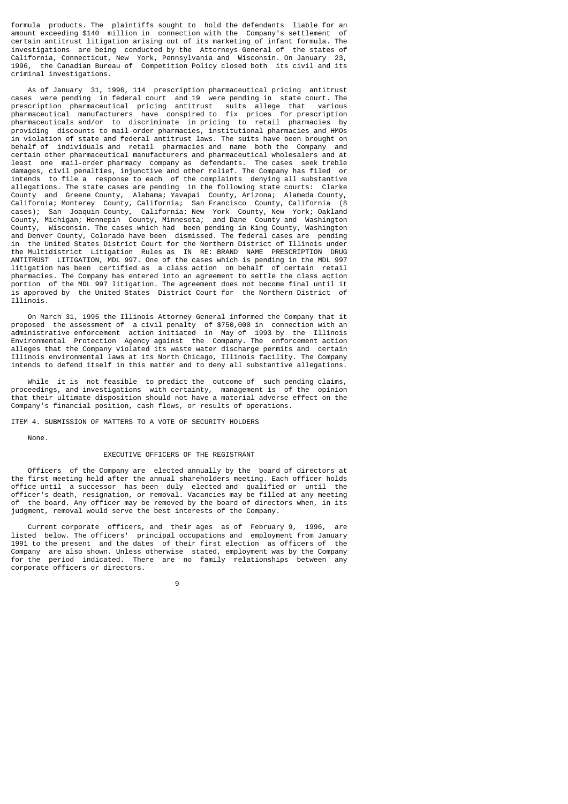formula products. The plaintiffs sought to hold the defendants liable for an amount exceeding \$140 million in connection with the Company's settlement of certain antitrust litigation arising out of its marketing of infant formula. The investigations are being conducted by the Attorneys General of the states of California, Connecticut, New York, Pennsylvania and Wisconsin. On January 23, 1996, the Canadian Bureau of Competition Policy closed both its civil and its criminal investigations.

 As of January 31, 1996, 114 prescription pharmaceutical pricing antitrust cases were pending in federal court and 19 were pending in state court. The prescription pharmaceutical pricing antitrust suits allege that various pharmaceutical manufacturers have conspired to fix prices for prescription pharmaceuticals and/or to discriminate in pricing to retail pharmacies by providing discounts to mail-order pharmacies, institutional pharmacies and HMOs in violation of state and federal antitrust laws. The suits have been brought on behalf of individuals and retail pharmacies and name both the Company and certain other pharmaceutical manufacturers and pharmaceutical wholesalers and at least one mail-order pharmacy company as defendants. The cases seek treble damages, civil penalties, injunctive and other relief. The Company has filed or intends to file a response to each of the complaints denying all substantive allegations. The state cases are pending in the following state courts: Clarke County and Greene County, Alabama; Yavapai County, Arizona; Alameda County, California; Monterey County, California; San Francisco County, California (8 cases); San Joaquin County, California; New York County, New York; Oakland County, Michigan; Hennepin County, Minnesota; and Dane County and Washington County, Wisconsin. The cases which had been pending in King County, Washington and Denver County, Colorado have been dismissed. The federal cases are pending in the United States District Court for the Northern District of Illinois under the Multidistrict Litigation Rules as IN RE: BRAND NAME PRESCRIPTION DRUG ANTITRUST LITIGATION, MDL 997. One of the cases which is pending in the MDL 997 litigation has been certified as a class action on behalf of certain retail pharmacies. The Company has entered into an agreement to settle the class action portion of the MDL 997 litigation. The agreement does not become final until it is approved by the United States District Court for the Northern District of Illinois.

 On March 31, 1995 the Illinois Attorney General informed the Company that it proposed the assessment of a civil penalty of \$750,000 in connection with an administrative enforcement action initiated in May of 1993 by the Illinois Environmental Protection Agency against the Company. The enforcement action alleges that the Company violated its waste water discharge permits and certain Illinois environmental laws at its North Chicago, Illinois facility. The Company intends to defend itself in this matter and to deny all substantive allegations.

 While it is not feasible to predict the outcome of such pending claims, proceedings, and investigations with certainty, management is of the opinion that their ultimate disposition should not have a material adverse effect on the Company's financial position, cash flows, or results of operations.

ITEM 4. SUBMISSION OF MATTERS TO A VOTE OF SECURITY HOLDERS

None.

## EXECUTIVE OFFICERS OF THE REGISTRANT

 Officers of the Company are elected annually by the board of directors at the first meeting held after the annual shareholders meeting. Each officer holds office until a successor has been duly elected and qualified or until the officer's death, resignation, or removal. Vacancies may be filled at any meeting of the board. Any officer may be removed by the board of directors when, in its judgment, removal would serve the best interests of the Company.

 Current corporate officers, and their ages as of February 9, 1996, are listed below. The officers' principal occupations and employment from January 1991 to the present and the dates of their first election as officers of the Company are also shown. Unless otherwise stated, employment was by the Company period indicated. There are no family relationships between any corporate officers or directors.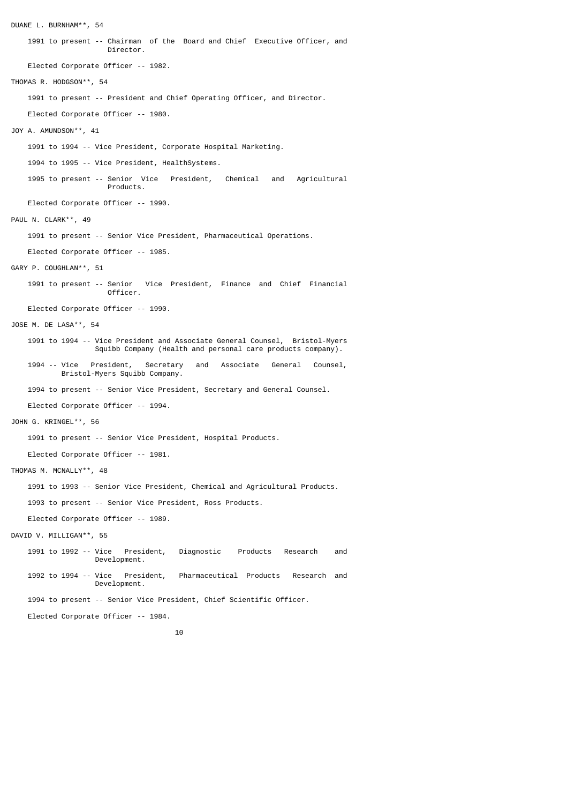DUANE L. BURNHAM\*\*, 54 1991 to present -- Chairman of the Board and Chief Executive Officer, and Director. Elected Corporate Officer -- 1982. THOMAS R. HODGSON\*\*, 54 1991 to present -- President and Chief Operating Officer, and Director. Elected Corporate Officer -- 1980. JOY A. AMUNDSON\*\*, 41 1991 to 1994 -- Vice President, Corporate Hospital Marketing. 1994 to 1995 -- Vice President, HealthSystems. 1995 to present -- Senior Vice President, Chemical and Agricultural Products. Elected Corporate Officer -- 1990. PAUL N. CLARK\*\*, 49 1991 to present -- Senior Vice President, Pharmaceutical Operations. Elected Corporate Officer -- 1985. GARY P. COUGHLAN\*\*, 51 1991 to present -- Senior Vice President, Finance and Chief Financial Officer. Elected Corporate Officer -- 1990. JOSE M. DE LASA\*\*, 54 1991 to 1994 -- Vice President and Associate General Counsel, Bristol-Myers Squibb Company (Health and personal care products company). 1994 -- Vice President, Secretary and Associate General Counsel, Vice President, Secretary<br>Bristol-Myers Squibb Company. 1994 to present -- Senior Vice President, Secretary and General Counsel. Elected Corporate Officer -- 1994. JOHN G. KRINGEL\*\*, 56 1991 to present -- Senior Vice President, Hospital Products. Elected Corporate Officer -- 1981. THOMAS M. MCNALLY\*\*, 48 1991 to 1993 -- Senior Vice President, Chemical and Agricultural Products. 1993 to present -- Senior Vice President, Ross Products. Elected Corporate Officer -- 1989. DAVID V. MILLIGAN\*\*, 55 1991 to 1992 -- Vice President, Diagnostic Products Research and Development. 1992 to 1994 -- Vice President, Pharmaceutical Products Research and Development. 1994 to present -- Senior Vice President, Chief Scientific Officer. Elected Corporate Officer -- 1984.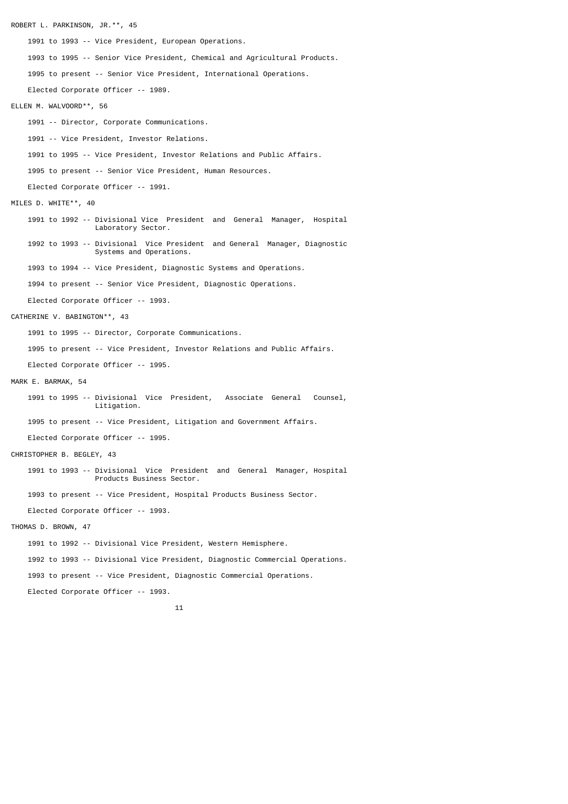ROBERT L. PARKINSON, JR.\*\*, 45 1991 to 1993 -- Vice President, European Operations. 1993 to 1995 -- Senior Vice President, Chemical and Agricultural Products. 1995 to present -- Senior Vice President, International Operations. Elected Corporate Officer -- 1989. ELLEN M. WALVOORD\*\*, 56 1991 -- Director, Corporate Communications. 1991 -- Vice President, Investor Relations. 1991 to 1995 -- Vice President, Investor Relations and Public Affairs. 1995 to present -- Senior Vice President, Human Resources. Elected Corporate Officer -- 1991. MILES D. WHITE\*\*, 40 1991 to 1992 -- Divisional Vice President and General Manager, Hospital Laboratory Sector. 1992 to 1993 -- Divisional Vice President and General Manager, Diagnostic Systems and Operations. 1993 to 1994 -- Vice President, Diagnostic Systems and Operations. 1994 to present -- Senior Vice President, Diagnostic Operations. Elected Corporate Officer -- 1993. CATHERINE V. BABINGTON\*\*, 43 1991 to 1995 -- Director, Corporate Communications. 1995 to present -- Vice President, Investor Relations and Public Affairs. Elected Corporate Officer -- 1995. MARK E. BARMAK, 54 1991 to 1995 -- Divisional Vice President, Associate General Counsel, Litigation. 1995 to present -- Vice President, Litigation and Government Affairs. Elected Corporate Officer -- 1995. CHRISTOPHER B. BEGLEY, 43 1991 to 1993 -- Divisional Vice President and General Manager, Hospital Products Business Sector. 1993 to present -- Vice President, Hospital Products Business Sector. Elected Corporate Officer -- 1993. THOMAS D. BROWN, 47 1991 to 1992 -- Divisional Vice President, Western Hemisphere. 1992 to 1993 -- Divisional Vice President, Diagnostic Commercial Operations. 1993 to present -- Vice President, Diagnostic Commercial Operations. Elected Corporate Officer -- 1993.  $11$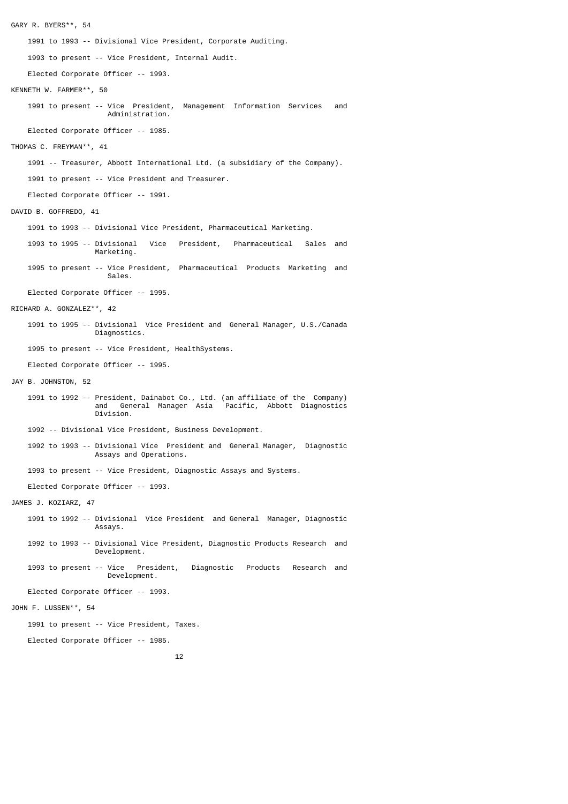GARY R. BYERS\*\*, 54 1991 to 1993 -- Divisional Vice President, Corporate Auditing. 1993 to present -- Vice President, Internal Audit. Elected Corporate Officer -- 1993. KENNETH W. FARMER\*\*, 50 1991 to present -- Vice President, Management Information Services and Administration. Elected Corporate Officer -- 1985. THOMAS C. FREYMAN\*\*, 41 1991 -- Treasurer, Abbott International Ltd. (a subsidiary of the Company). 1991 to present -- Vice President and Treasurer. Elected Corporate Officer -- 1991. DAVID B. GOFFREDO, 41 1991 to 1993 -- Divisional Vice President, Pharmaceutical Marketing. 1993 to 1995 -- Divisional Vice President, Pharmaceutical Sales and Marketing. 1995 to present -- Vice President, Pharmaceutical Products Marketing and Sales. Elected Corporate Officer -- 1995. RICHARD A. GONZALEZ\*\*, 42 1991 to 1995 -- Divisional Vice President and General Manager, U.S./Canada Diagnostics. 1995 to present -- Vice President, HealthSystems. Elected Corporate Officer -- 1995. JAY B. JOHNSTON, 52 1991 to 1992 -- President, Dainabot Co., Ltd. (an affiliate of the Company) and General Manager Asia Pacific, Abbott Diagnostics Division. 1992 -- Divisional Vice President, Business Development. 1992 to 1993 -- Divisional Vice President and General Manager, Diagnostic Assays and Operations. 1993 to present -- Vice President, Diagnostic Assays and Systems. Elected Corporate Officer -- 1993. JAMES J. KOZIARZ, 47 1991 to 1992 -- Divisional Vice President and General Manager, Diagnostic Assays. 1992 to 1993 -- Divisional Vice President, Diagnostic Products Research and Development. 1993 to present -- Vice President, Diagnostic Products Research and Development. Elected Corporate Officer -- 1993. JOHN F. LUSSEN\*\*, 54 1991 to present -- Vice President, Taxes. Elected Corporate Officer -- 1985. 12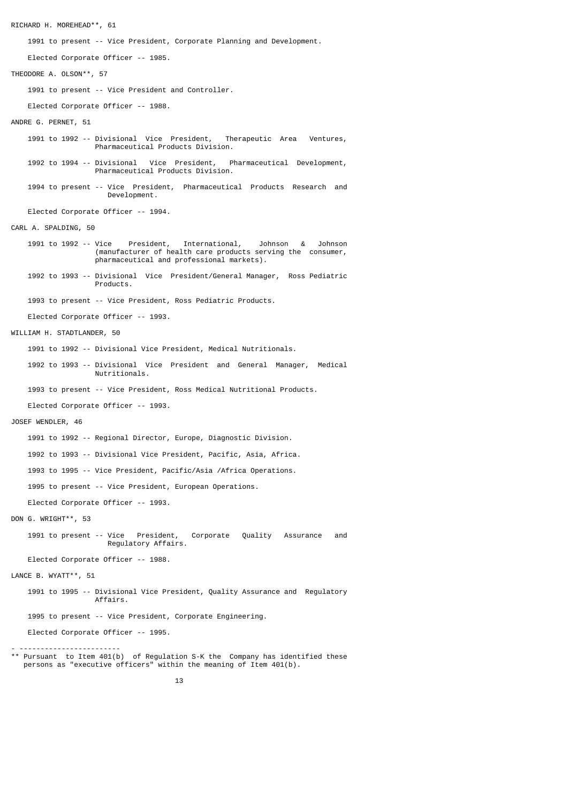RICHARD H. MOREHEAD\*\*, 61 1991 to present -- Vice President, Corporate Planning and Development. Elected Corporate Officer -- 1985. THEODORE A. OLSON\*\*, 57 1991 to present -- Vice President and Controller. Elected Corporate Officer -- 1988. ANDRE G. PERNET, 51 1991 to 1992 -- Divisional Vice President, Therapeutic Area Ventures, Pharmaceutical Products Division. 1992 to 1994 -- Divisional Vice President, Pharmaceutical Development, Pharmaceutical Products Division. 1994 to present -- Vice President, Pharmaceutical Products Research and Development. Elected Corporate Officer -- 1994. CARL A. SPALDING, 50 1991 to 1992 -- Vice President, International, Johnson & Johnson (manufacturer of health care products serving the consumer, pharmaceutical and professional markets). 1992 to 1993 -- Divisional Vice President/General Manager, Ross Pediatric Products. 1993 to present -- Vice President, Ross Pediatric Products. Elected Corporate Officer -- 1993. WILLIAM H. STADTLANDER, 50 1991 to 1992 -- Divisional Vice President, Medical Nutritionals. 1992 to 1993 -- Divisional Vice President and General Manager, Medical Nutritionals. 1993 to present -- Vice President, Ross Medical Nutritional Products. Elected Corporate Officer -- 1993. JOSEF WENDLER, 46 1991 to 1992 -- Regional Director, Europe, Diagnostic Division. 1992 to 1993 -- Divisional Vice President, Pacific, Asia, Africa. 1993 to 1995 -- Vice President, Pacific/Asia /Africa Operations. 1995 to present -- Vice President, European Operations. Elected Corporate Officer -- 1993. DON G. WRIGHT\*\*, 53 1991 to present -- Vice President, Corporate Quality Assurance and Regulatory Affairs. Elected Corporate Officer -- 1988. LANCE B. WYATT\*\*, 51 1991 to 1995 -- Divisional Vice President, Quality Assurance and Regulatory Affairs. 1995 to present -- Vice President, Corporate Engineering. Elected Corporate Officer -- 1995. - ------------------------ \*\* Pursuant to Item 401(b) of Regulation S-K the Company has identified these persons as "executive officers" within the meaning of Item 401(b).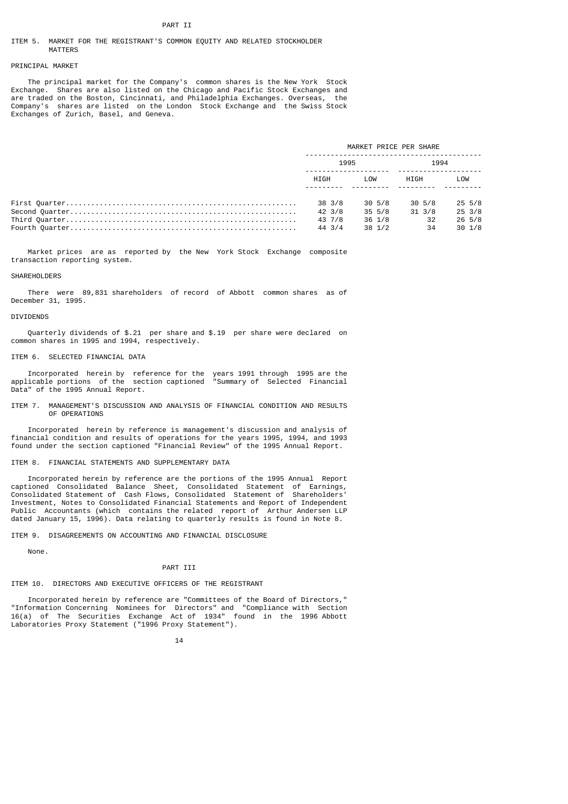## PART TT

#### ITEM 5. MARKET FOR THE REGISTRANT'S COMMON EQUITY AND RELATED STOCKHOLDER MATTERS

#### PRINCIPAL MARKET

 The principal market for the Company's common shares is the New York Stock Exchange. Shares are also listed on the Chicago and Pacific Stock Exchanges and are traded on the Boston, Cincinnati, and Philadelphia Exchanges. Overseas, the Company's shares are listed on the London Stock Exchange and the Swiss Stock Exchanges of Zurich, Basel, and Geneva.

| MARKET PRICE PER SHARE |        |                |        |
|------------------------|--------|----------------|--------|
| 1995                   |        | 1994           |        |
| HIGH                   | I OW   | HIGH           | LOW    |
| 38 3/8                 | 30 5/8 | 30 5/8         | 25 5/8 |
| 42 3/8                 | 35 5/8 | 31 3/8         | 25 3/8 |
| 43 7/8                 | 36 1/8 | $\frac{32}{ }$ | 26 5/8 |
| 44 3/4                 | 38 1/2 | -34            | 30 1/8 |
|                        |        |                |        |

 Market prices are as reported by the New York Stock Exchange composite transaction reporting system.

#### **SHAREHOLDERS**

 There were 89,831 shareholders of record of Abbott common shares as of December 31, 1995.

#### DIVIDENDS

 Quarterly dividends of \$.21 per share and \$.19 per share were declared on common shares in 1995 and 1994, respectively.

#### ITEM 6. SELECTED FINANCIAL DATA

 Incorporated herein by reference for the years 1991 through 1995 are the applicable portions of the section captioned "Summary of Selected Financial Data" of the 1995 Annual Report.

ITEM 7. MANAGEMENT'S DISCUSSION AND ANALYSIS OF FINANCIAL CONDITION AND RESULTS OF OPERATIONS

 Incorporated herein by reference is management's discussion and analysis of financial condition and results of operations for the years 1995, 1994, and 1993 found under the section captioned "Financial Review" of the 1995 Annual Report.

#### ITEM 8. FINANCIAL STATEMENTS AND SUPPLEMENTARY DATA

 Incorporated herein by reference are the portions of the 1995 Annual Report captioned Consolidated Balance Sheet, Consolidated Statement of Earnings, Consolidated Statement of Cash Flows, Consolidated Statement of Shareholders' Investment, Notes to Consolidated Financial Statements and Report of Independent Public Accountants (which contains the related report of Arthur Andersen LLP dated January 15, 1996). Data relating to quarterly results is found in Note 8.

ITEM 9. DISAGREEMENTS ON ACCOUNTING AND FINANCIAL DISCLOSURE

# None.

## PART III

### ITEM 10. DIRECTORS AND EXECUTIVE OFFICERS OF THE REGISTRANT

 Incorporated herein by reference are "Committees of the Board of Directors," "Information Concerning Nominees for Directors" and "Compliance with Section 16(a) of The Securities Exchange Act of 1934" found in the 1996 Abbott Laboratories Proxy Statement ("1996 Proxy Statement").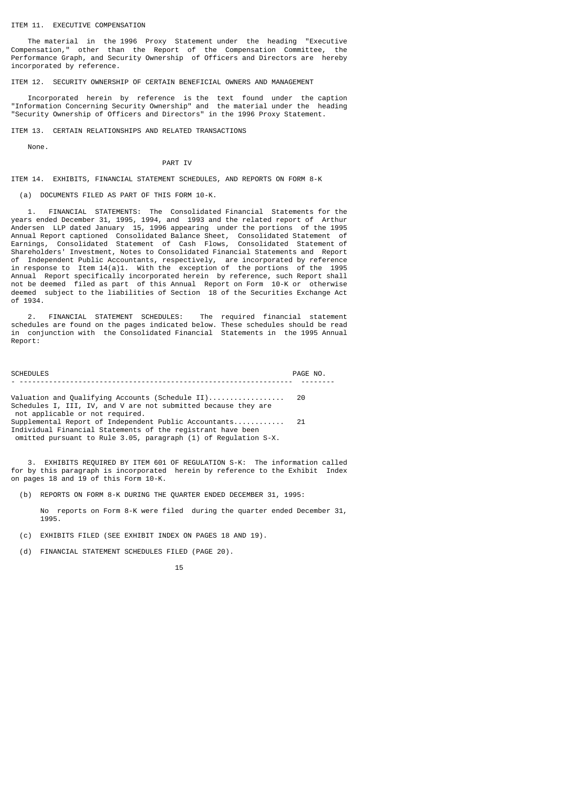### ITEM 11. EXECUTIVE COMPENSATION

 The material in the 1996 Proxy Statement under the heading "Executive Compensation," other than the Report of the Compensation Committee, the Performance Graph, and Security Ownership of Officers and Directors are hereby incorporated by reference.

ITEM 12. SECURITY OWNERSHIP OF CERTAIN BENEFICIAL OWNERS AND MANAGEMENT

 Incorporated herein by reference is the text found under the caption "Information Concerning Security Ownership" and the material under the heading "Security Ownership of Officers and Directors" in the 1996 Proxy Statement.

ITEM 13. CERTAIN RELATIONSHIPS AND RELATED TRANSACTIONS

None.

PART IV

ITEM 14. EXHIBITS, FINANCIAL STATEMENT SCHEDULES, AND REPORTS ON FORM 8-K

(a) DOCUMENTS FILED AS PART OF THIS FORM 10-K.

 1. FINANCIAL STATEMENTS: The Consolidated Financial Statements for the years ended December 31, 1995, 1994, and 1993 and the related report of Arthur Andersen LLP dated January 15, 1996 appearing under the portions of the 1995 Annual Report captioned Consolidated Balance Sheet, Consolidated Statement of Earnings, Consolidated Statement of Cash Flows, Consolidated Statement of Shareholders' Investment, Notes to Consolidated Financial Statements and Report of Independent Public Accountants, respectively, are incorporated by reference in response to Item 14(a)1. With the exception of the portions of the 1995 Annual Report specifically incorporated herein by reference, such Report shall not be deemed filed as part of this Annual Report on Form 10-K or otherwise deemed subject to the liabilities of Section 18 of the Securities Exchange Act of 1934.

 2. FINANCIAL STATEMENT SCHEDULES: The required financial statement schedules are found on the pages indicated below. These schedules should be read in conjunction with the Consolidated Financial Statements in the 1995 Annual Report:

SCHEDULES PAGE NO. - ----------------------------------------------------------------- --------

Valuation and Qualifying Accounts (Schedule II).................. 20 Schedules I, III, IV, and V are not submitted because they are not applicable or not required. Supplemental Report of Independent Public Accountants............ 21 Individual Financial Statements of the registrant have been omitted pursuant to Rule 3.05, paragraph (1) of Regulation S-X.

 3. EXHIBITS REQUIRED BY ITEM 601 OF REGULATION S-K: The information called for by this paragraph is incorporated herein by reference to the Exhibit Index on pages 18 and 19 of this Form 10-K.

(b) REPORTS ON FORM 8-K DURING THE QUARTER ENDED DECEMBER 31, 1995:

 No reports on Form 8-K were filed during the quarter ended December 31, 1995.

(c) EXHIBITS FILED (SEE EXHIBIT INDEX ON PAGES 18 AND 19).

(d) FINANCIAL STATEMENT SCHEDULES FILED (PAGE 20).

<sup>15</sup> and 15 and 15 and 15 and 15 and 15 and 15 and 15 and 15 and 15 and 15 and 15 and 15 and 15 and 15 and 15 an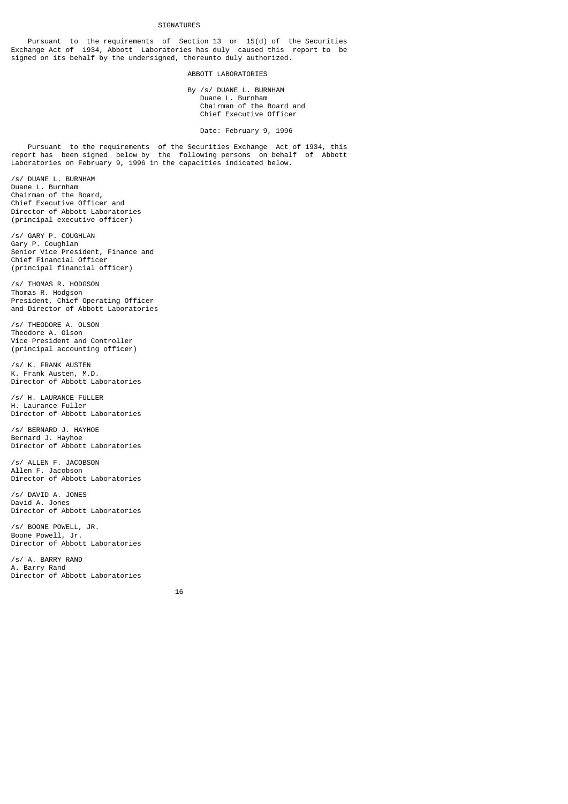#### SIGNATURES

 Pursuant to the requirements of Section 13 or 15(d) of the Securities Exchange Act of 1934, Abbott Laboratories has duly caused this report to be signed on its behalf by the undersigned, thereunto duly authorized.

#### ABBOTT LABORATORIES

 By /s/ DUANE L. BURNHAM Duane L. Burnham Chairman of the Board and Chief Executive Officer

Date: February 9, 1996

 Pursuant to the requirements of the Securities Exchange Act of 1934, this report has been signed below by the following persons on behalf of Abbott Laboratories on February 9, 1996 in the capacities indicated below.

/s/ DUANE L. BURNHAM Duane L. Burnham Chairman of the Board, Chief Executive Officer and Director of Abbott Laboratories (principal executive officer)

/s/ GARY P. COUGHLAN Gary P. Coughlan Senior Vice President, Finance and Chief Financial Officer (principal financial officer)

/s/ THOMAS R. HODGSON Thomas R. Hodgson President, Chief Operating Officer and Director of Abbott Laboratories

/s/ THEODORE A. OLSON Theodore A. Olson Vice President and Controller (principal accounting officer)

/s/ K. FRANK AUSTEN K. Frank Austen, M.D. Director of Abbott Laboratories

/s/ H. LAURANCE FULLER H. Laurance Fuller Director of Abbott Laboratories

/s/ BERNARD J. HAYHOE Bernard J. Hayhoe Director of Abbott Laboratories

/s/ ALLEN F. JACOBSON Allen F. Jacobson Director of Abbott Laboratories

/s/ DAVID A. JONES David A. Jones Director of Abbott Laboratories

/s/ BOONE POWELL, JR. Boone Powell, Jr. Director of Abbott Laboratories

/s/ A. BARRY RAND A. Barry Rand Director of Abbott Laboratories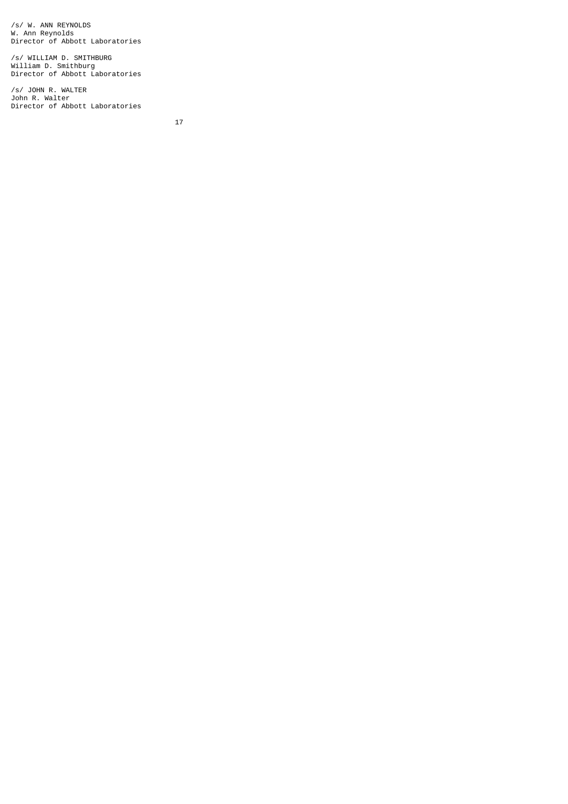/s/ W. ANN REYNOLDS W. Ann Reynolds Director of Abbott Laboratories

/s/ WILLIAM D. SMITHBURG William D. Smithburg Director of Abbott Laboratories

/s/ JOHN R. WALTER John R. Walter Director of Abbott Laboratories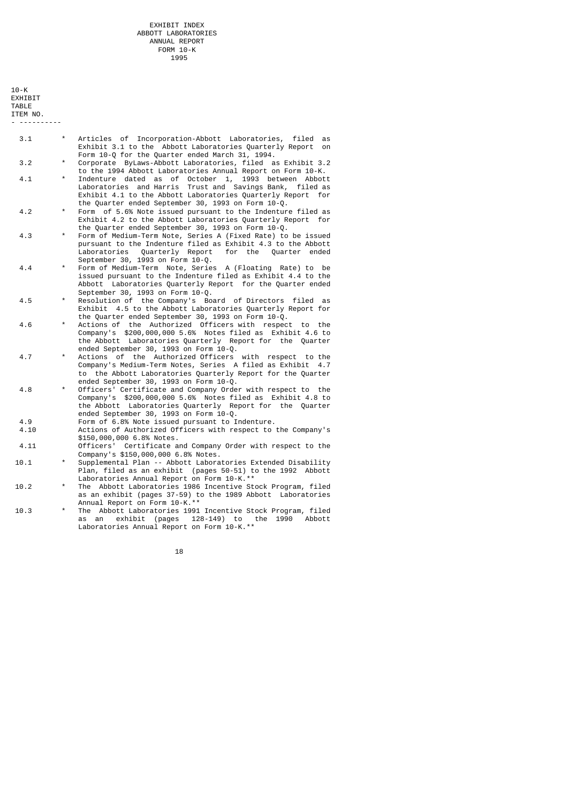$10-K$ **EXHIBIT** TABLE ITEM NO. - ----------

- 3.1 \* Articles of Incorporation-Abbott Laboratories, filed as Exhibit 3.1 to the Abbott Laboratories Quarterly Report on Form 10-Q for the Quarter ended March 31, 1994.<br>3.2 \* Corporate ByLaws-Abbott Laboratories, filed a
- Corporate ByLaws-Abbott Laboratories, filed as Exhibit 3.2 to the 1994 Abbott Laboratories Annual Report on Form 10-K.
- 4.1 \* Indenture dated as of October 1, 1993 between Abbott Laboratories and Harris Trust and Savings Bank, filed as Exhibit 4.1 to the Abbott Laboratories Quarterly Report for the Quarter ended September 30, 1993 on Form 10-Q.<br>Form of 5.6% Note issued pursuant to the Indentur
	- Form of 5.6% Note issued pursuant to the Indenture filed as Exhibit 4.2 to the Abbott Laboratories Quarterly Report for the Quarter ended September 30, 1993 on Form 10-Q.<br>4.3 • Form of Medium-Term Note, Series A (Fixed Rate) to
	- Form of Medium-Term Note, Series A (Fixed Rate) to be issued pursuant to the Indenture filed as Exhibit 4.3 to the Abbott Quarterly Report September 30, 1993 on Form 10-Q.<br>4.4 \* Form of Medium-Term Note, Serie
- Form of Medium-Term Note, Series A (Floating Rate) to be issued pursuant to the Indenture filed as Exhibit 4.4 to the Abbott Laboratories Quarterly Report for the Quarter ended September 30, 1993 on Form 10-Q.
- 4.5 \* Resolution of the Company's Board of Directors filed as Exhibit 4.5 to the Abbott Laboratories Quarterly Report for the Quarter ended September 30, 1993 on Form 10-Q.
- 4.6 \* Actions of the Authorized Officers with respect to the Company's \$200,000,000 5.6% Notes filed as Exhibit 4.6 to the Abbott Laboratories Quarterly Report for the Quarter ended September 30, 1993 on Form 10-Q.
- 4.7 \* Actions of the Authorized Officers with respect to the Company's Medium-Term Notes, Series A filed as Exhibit 4.7 to the Abbott Laboratories Quarterly Report for the Quarter ended September 30, 1993 on Form 10-Q.<br>4.8 \* Officers' Certificate and Company Orde
- officers' Certificate and Company Order with respect to the Company's \$200,000,000 5.6% Notes filed as Exhibit 4.8 to the Abbott Laboratories Quarterly Report for the Quarter ended September 30, 1993 on Form 10-Q.<br>4.9 Form of 6.8% Note issued pursuant to T
	- 4.9 Form of 6.8% Note issued pursuant to Indenture.<br>4.10 Actions of Authorized Officers with respect to
	- Actions of Authorized Officers with respect to the Company's \$150,000,000 6.8% Notes.
- 4.11 Officers' Certificate and Company Order with respect to the Company's \$150,000,000 6.8% Notes.
- 10.1 \* Supplemental Plan -- Abbott Laboratories Extended Disability Plan, filed as an exhibit (pages 50-51) to the 1992 Abbott Laboratories Annual Report on Form 10-K.\*\*<br>10.2 \* The Abbott Laboratories 1986 Incentive St
- The Abbott Laboratories 1986 Incentive Stock Program, filed as an exhibit (pages 37-59) to the 1989 Abbott Laboratories Annual Report on Form 10-K.\*\*
- 10.3 \* The Abbott Laboratories 1991 Incentive Stock Program, filed as an exhibit (pages 128-149) to the 1990 Abbott Laboratories Annual Report on Form 10-K.\*\*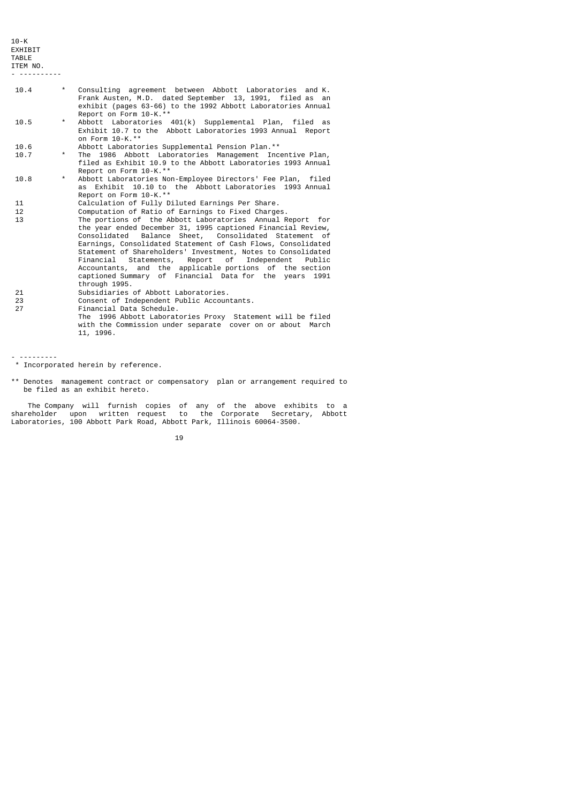$10-K$ EXHIBIT TABLE

ITEM NO. - ----------

- 10.4 \* Consulting agreement between Abbott Laboratories and K. Frank Austen, M.D. dated September 13, 1991, filed as an exhibit (pages 63-66) to the 1992 Abbott Laboratories Annual Report on Form 10-K.\*\* 10.5 \* Abbott Laboratories 401(k) Supplemental Plan, filed as Exhibit 10.7 to the Abbott Laboratories 1993 Annual Report on Form 10-K.\*\*<br>10.6 Abbott Laborato 10.6 Abbott Laboratories Supplemental Pension Plan.\*\* The 1986 Abbott Laboratories Management Incentive Plan, filed as Exhibit 10.9 to the Abbott Laboratories 1993 Annual Report on Form 10-K.\*\* 10.8 \* Abbott Laboratories Non-Employee Directors' Fee Plan, filed as Exhibit 10.10 to the Abbott Laboratories 1993 Annual Report on Form 10-K.\*\* 11 Calculation of Fully Diluted Earnings Per Share.<br>12 Computation of Ratio of Earnings to Fixed Charge 12 Computation of Ratio of Earnings to Fixed Charges.<br>13 The portions of the Abbott Laboratories Annual R The portions of the Abbott Laboratories Annual Report for the year ended December 31, 1995 captioned Financial Review, Consolidated Balance Sheet, Consolidated Statement of Earnings, Consolidated Statement of Cash Flows, Consolidated Statement of Shareholders' Investment, Notes to Consolidated
- Financial Statements, Report of Independent Public Accountants, and the applicable portions of the section captioned Summary of Financial Data for the years 1991 through 1995.<br>
21 Subsidiaries<br>
23 Consent of In<br>
27 Financial Dat Subsidiaries of Abbott Laboratories.
- 23 Consent of Independent Public Accountants.
- Einancial Data Schedule.
- The 1996 Abbott Laboratories Proxy Statement will be filed with the Commission under separate cover on or about March 11, 1996.

- ---------

\*\* Denotes management contract or compensatory plan or arrangement required to be filed as an exhibit hereto.

 The Company will furnish copies of any of the above exhibits to a shareholder upon written request to the Corporate Secretary, Abbott Laboratories, 100 Abbott Park Road, Abbott Park, Illinois 60064-3500.

 <sup>\*</sup> Incorporated herein by reference.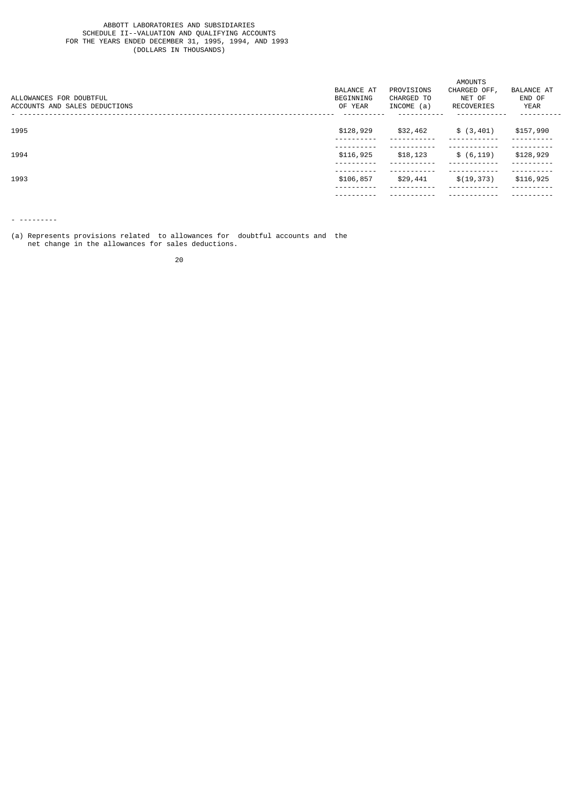#### ABBOTT LABORATORIES AND SUBSIDIARIES SCHEDULE II--VALUATION AND QUALIFYING ACCOUNTS FOR THE YEARS ENDED DECEMBER 31, 1995, 1994, AND 1993 (DOLLARS IN THOUSANDS)

|                               | AMOUNTS<br>PROVISIONS<br>CHARGED OFF,<br><b>BALANCE AT</b><br><b>BALANCE AT</b> |            |             |             |
|-------------------------------|---------------------------------------------------------------------------------|------------|-------------|-------------|
| ALLOWANCES FOR DOUBTFUL       | BEGINNING                                                                       | CHARGED TO | NET OF      | END OF      |
| ACCOUNTS AND SALES DEDUCTIONS | OF YEAR                                                                         | INCOME (a) | RECOVERIES  | <b>YEAR</b> |
|                               |                                                                                 |            |             |             |
| 1995                          | \$128,929                                                                       | \$32,462   | \$(3, 401)  | \$157,990   |
|                               |                                                                                 |            |             |             |
| 1994                          | \$116,925                                                                       | \$18,123   | \$ (6, 119) | \$128,929   |
|                               |                                                                                 |            |             |             |
| 1993                          | \$106,857                                                                       | \$29,441   | \$(19, 373) | \$116,925   |
|                               |                                                                                 |            |             |             |
|                               |                                                                                 |            |             |             |

- ---------

(a) Represents provisions related to allowances for doubtful accounts and the net change in the allowances for sales deductions.

е процесс в политика в село в 1920 године в 1920 године в 1920 године в 1920 године в 1920 године в 1920 годин<br>В 1920 године в 1920 године в 1920 године в 1920 године в 1920 године в 1920 године в 1920 године в 1920 годин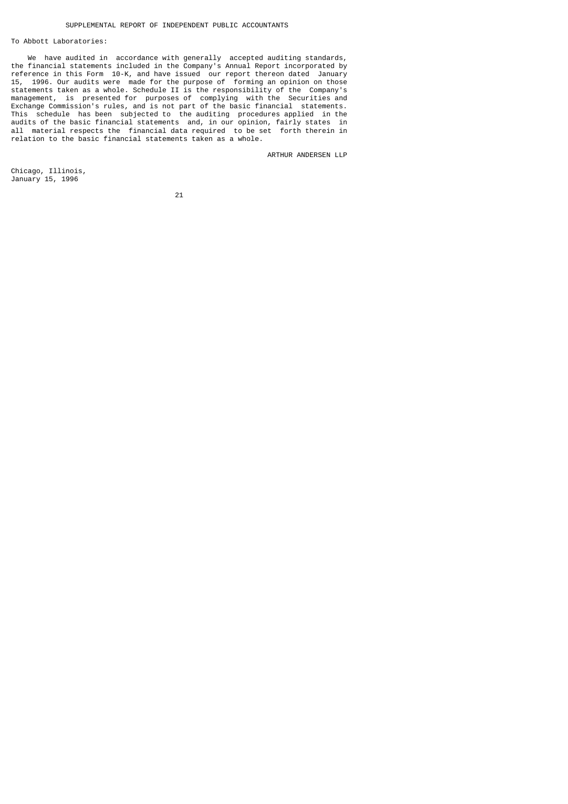#### To Abbott Laboratories:

 We have audited in accordance with generally accepted auditing standards, the financial statements included in the Company's Annual Report incorporated by reference in this Form 10-K, and have issued our report thereon dated January 15, 1996. Our audits were made for the purpose of forming an opinion on those statements taken as a whole. Schedule II is the responsibility of the Company's management, is presented for purposes of complying with the Securities and Exchange Commission's rules, and is not part of the basic financial statements. This schedule has been subjected to the auditing procedures applied in the audits of the basic financial statements and, in our opinion, fairly states in all material respects the financial data required to be set forth therein in relation to the basic financial statements taken as a whole.

ARTHUR ANDERSEN LLP

Chicago, Illinois, January 15, 1996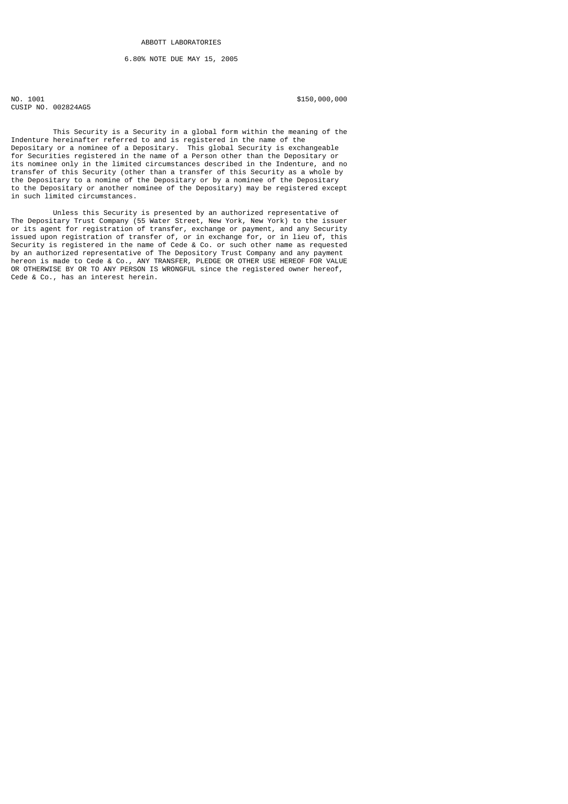### 6.80% NOTE DUE MAY 15, 2005

NO. 1001 \$150,000,000 \$150,000,000 \$150,000,000 \$150,000,000 \$150,000 \$150,000 \$150,000 \$150,000 \$150,000 \$150 CUSIP NO. 002824AG5

 This Security is a Security in a global form within the meaning of the Indenture hereinafter referred to and is registered in the name of the Depositary or a nominee of a Depositary. This global Security is exchangeable for Securities registered in the name of a Person other than the Depositary or its nominee only in the limited circumstances described in the Indenture, and no transfer of this Security (other than a transfer of this Security as a whole by the Depositary to a nomine of the Depositary or by a nominee of the Depositary to the Depositary or another nominee of the Depositary) may be registered except in such limited circumstances.

 Unless this Security is presented by an authorized representative of The Depositary Trust Company (55 Water Street, New York, New York) to the issuer or its agent for registration of transfer, exchange or payment, and any Security issued upon registration of transfer of, or in exchange for, or in lieu of, this Security is registered in the name of Cede & Co. or such other name as requested by an authorized representative of The Depository Trust Company and any payment hereon is made to Cede & Co., ANY TRANSFER, PLEDGE OR OTHER USE HEREOF FOR VALUE OR OTHERWISE BY OR TO ANY PERSON IS WRONGFUL since the registered owner hereof, Cede & Co., has an interest herein.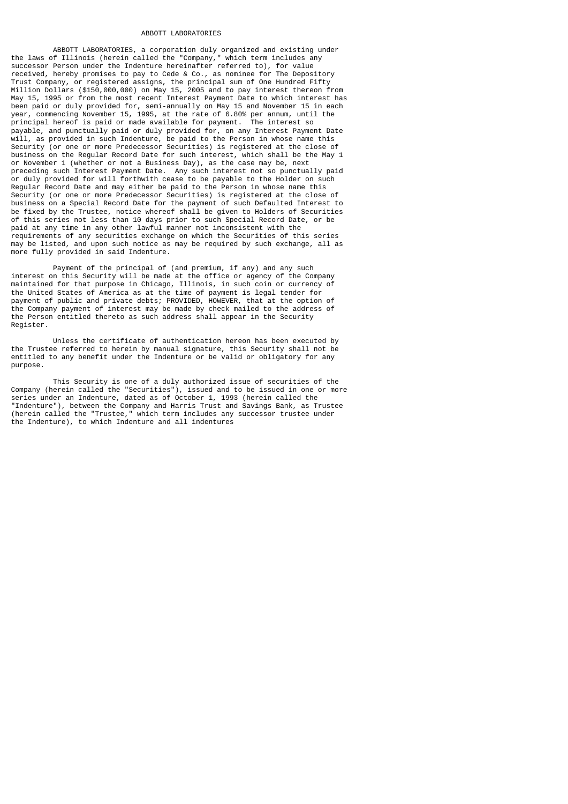#### ABBOTT LABORATORIES

 ABBOTT LABORATORIES, a corporation duly organized and existing under the laws of Illinois (herein called the "Company," which term includes any successor Person under the Indenture hereinafter referred to), for value received, hereby promises to pay to Cede & Co., as nominee for The Depository Trust Company, or registered assigns, the principal sum of One Hundred Fifty Million Dollars (\$150,000,000) on May 15, 2005 and to pay interest thereon from May 15, 1995 or from the most recent Interest Payment Date to which interest has been paid or duly provided for, semi-annually on May 15 and November 15 in each year, commencing November 15, 1995, at the rate of 6.80% per annum, until the principal hereof is paid or made available for payment. The interest so payable, and punctually paid or duly provided for, on any Interest Payment Date will, as provided in such Indenture, be paid to the Person in whose name this Security (or one or more Predecessor Securities) is registered at the close of business on the Regular Record Date for such interest, which shall be the May 1 or November 1 (whether or not a Business Day), as the case may be, next preceding such Interest Payment Date. Any such interest not so punctually paid or duly provided for will forthwith cease to be payable to the Holder on such Regular Record Date and may either be paid to the Person in whose name this Security (or one or more Predecessor Securities) is registered at the close of business on a Special Record Date for the payment of such Defaulted Interest to be fixed by the Trustee, notice whereof shall be given to Holders of Securities of this series not less than 10 days prior to such Special Record Date, or be paid at any time in any other lawful manner not inconsistent with the requirements of any securities exchange on which the Securities of this series may be listed, and upon such notice as may be required by such exchange, all as more fully provided in said Indenture.

Payment of the principal of (and premium, if any) and any such interest on this Security will be made at the office or agency of the Company maintained for that purpose in Chicago, Illinois, in such coin or currency of the United States of America as at the time of payment is legal tender for payment of public and private debts; PROVIDED, HOWEVER, that at the option of the Company payment of interest may be made by check mailed to the address of the Person entitled thereto as such address shall appear in the Security Register.

 Unless the certificate of authentication hereon has been executed by the Trustee referred to herein by manual signature, this Security shall not be entitled to any benefit under the Indenture or be valid or obligatory for any purpose.

 This Security is one of a duly authorized issue of securities of the Company (herein called the "Securities"), issued and to be issued in one or more series under an Indenture, dated as of October 1, 1993 (herein called the "Indenture"), between the Company and Harris Trust and Savings Bank, as Trustee (herein called the "Trustee," which term includes any successor trustee under the Indenture), to which Indenture and all indentures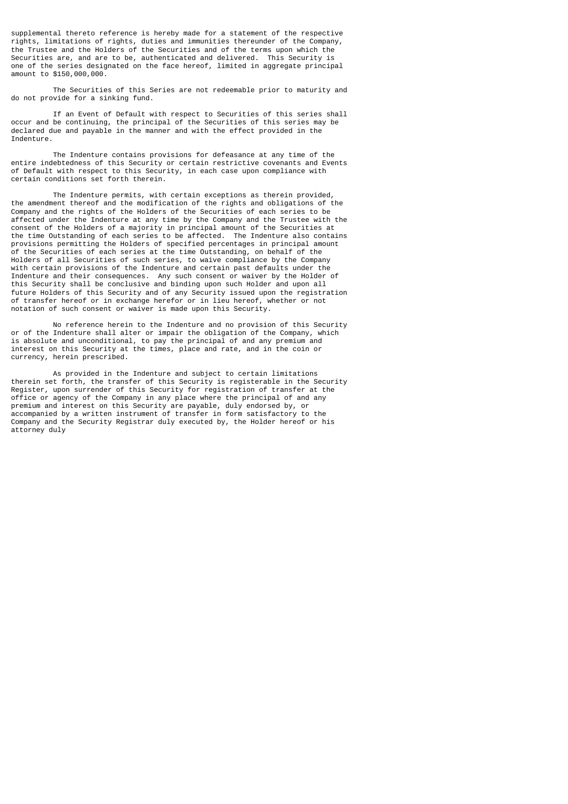supplemental thereto reference is hereby made for a statement of the respective rights, limitations of rights, duties and immunities thereunder of the Company, the Trustee and the Holders of the Securities and of the terms upon which the Securities are, and are to be, authenticated and delivered. This Security is one of the series designated on the face hereof, limited in aggregate principal amount to \$150,000,000.

 The Securities of this Series are not redeemable prior to maturity and do not provide for a sinking fund.

 If an Event of Default with respect to Securities of this series shall occur and be continuing, the principal of the Securities of this series may be declared due and payable in the manner and with the effect provided in the Indenture.

 The Indenture contains provisions for defeasance at any time of the entire indebtedness of this Security or certain restrictive covenants and Events of Default with respect to this Security, in each case upon compliance with certain conditions set forth therein.

 The Indenture permits, with certain exceptions as therein provided, the amendment thereof and the modification of the rights and obligations of the Company and the rights of the Holders of the Securities of each series to be affected under the Indenture at any time by the Company and the Trustee with the consent of the Holders of a majority in principal amount of the Securities at the time Outstanding of each series to be affected. The Indenture also contains provisions permitting the Holders of specified percentages in principal amount of the Securities of each series at the time Outstanding, on behalf of the Holders of all Securities of such series, to waive compliance by the Company with certain provisions of the Indenture and certain past defaults under the Indenture and their consequences. Any such consent or waiver by the Holder of this Security shall be conclusive and binding upon such Holder and upon all future Holders of this Security and of any Security issued upon the registration of transfer hereof or in exchange herefor or in lieu hereof, whether or not notation of such consent or waiver is made upon this Security.

 No reference herein to the Indenture and no provision of this Security or of the Indenture shall alter or impair the obligation of the Company, which is absolute and unconditional, to pay the principal of and any premium and interest on this Security at the times, place and rate, and in the coin or currency, herein prescribed.

 As provided in the Indenture and subject to certain limitations therein set forth, the transfer of this Security is registerable in the Security Register, upon surrender of this Security for registration of transfer at the office or agency of the Company in any place where the principal of and any premium and interest on this Security are payable, duly endorsed by, or accompanied by a written instrument of transfer in form satisfactory to the Company and the Security Registrar duly executed by, the Holder hereof or his attorney duly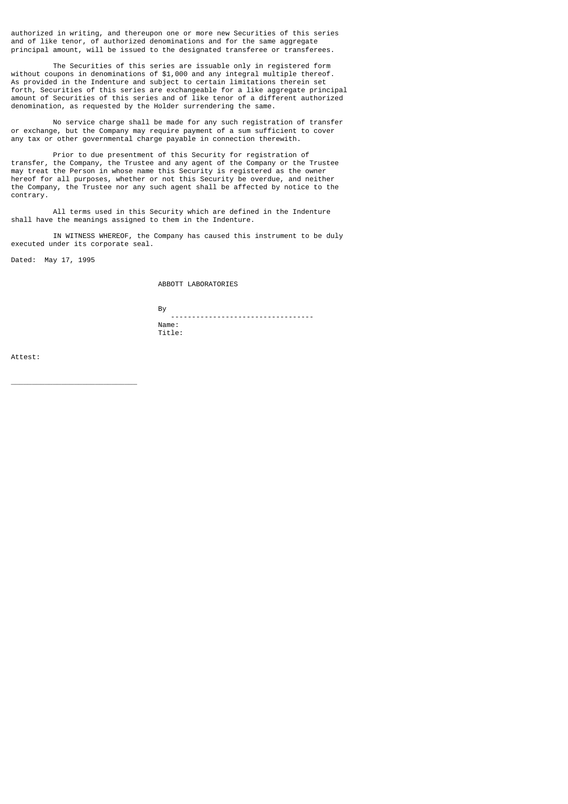authorized in writing, and thereupon one or more new Securities of this series and of like tenor, of authorized denominations and for the same aggregate principal amount, will be issued to the designated transferee or transferees.

 The Securities of this series are issuable only in registered form without coupons in denominations of \$1,000 and any integral multiple thereof. As provided in the Indenture and subject to certain limitations therein set forth, Securities of this series are exchangeable for a like aggregate principal amount of Securities of this series and of like tenor of a different authorized denomination, as requested by the Holder surrendering the same.

 No service charge shall be made for any such registration of transfer or exchange, but the Company may require payment of a sum sufficient to cover any tax or other governmental charge payable in connection therewith.

 Prior to due presentment of this Security for registration of transfer, the Company, the Trustee and any agent of the Company or the Trustee may treat the Person in whose name this Security is registered as the owner hereof for all purposes, whether or not this Security be overdue, and neither the Company, the Trustee nor any such agent shall be affected by notice to the contrary.

 All terms used in this Security which are defined in the Indenture shall have the meanings assigned to them in the Indenture.

 IN WITNESS WHEREOF, the Company has caused this instrument to be duly executed under its corporate seal.

Dated: May 17, 1995

\_\_\_\_\_\_\_\_\_\_\_\_\_\_\_\_\_\_\_\_\_\_\_\_\_\_\_\_\_\_

ABBOTT LABORATORIES

and the state of the Bystem of the Bystem of the Bystem of the Bystem of the Bystem of the Bystem of the Bystem of the Bystem of the Bystem of the Bystem of the Bystem of the Bystem of the Bystem of the Bystem of the Byste

 ---------------------------------- Name: Title:

Attest: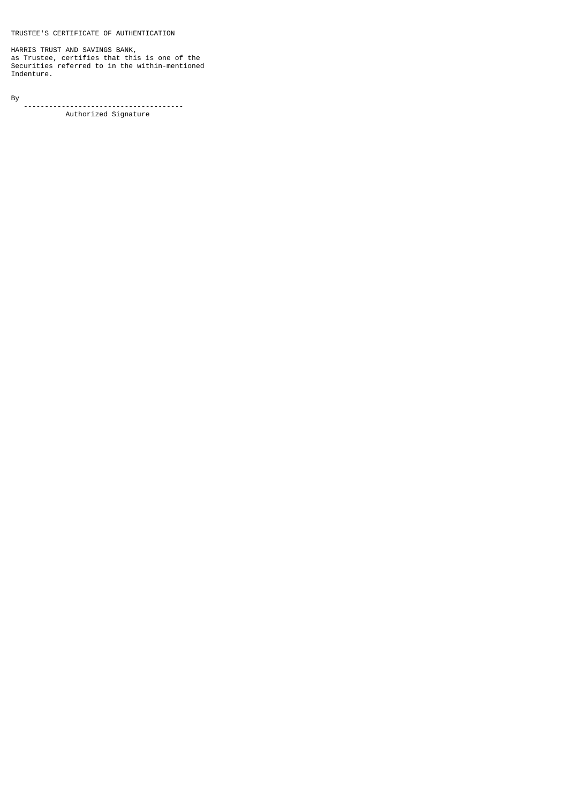TRUSTEE'S CERTIFICATE OF AUTHENTICATION

HARRIS TRUST AND SAVINGS BANK, as Trustee, certifies that this is one of the Securities referred to in the within-mentioned Indenture.

By -------------------------------------- Authorized Signature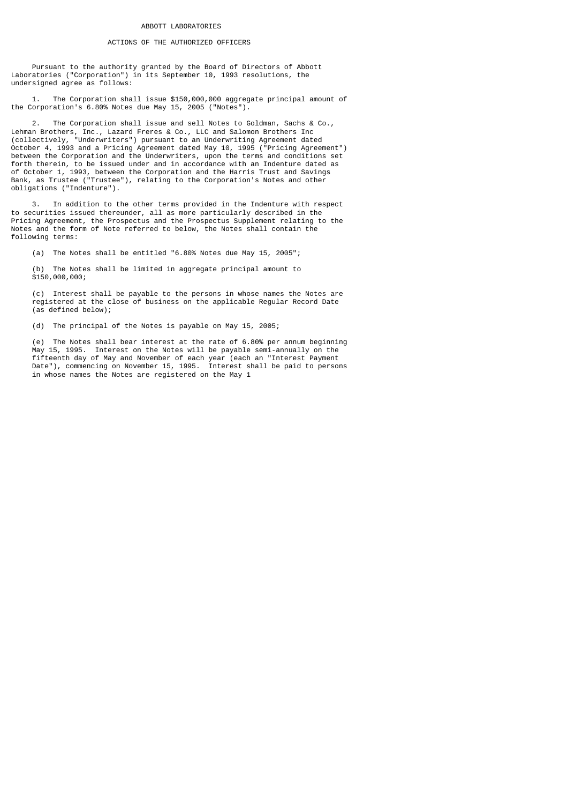#### ACTIONS OF THE AUTHORIZED OFFICERS

 Pursuant to the authority granted by the Board of Directors of Abbott Laboratories ("Corporation") in its September 10, 1993 resolutions, the undersigned agree as follows:

 1. The Corporation shall issue \$150,000,000 aggregate principal amount of the Corporation's 6.80% Notes due May 15, 2005 ("Notes").

 2. The Corporation shall issue and sell Notes to Goldman, Sachs & Co., Lehman Brothers, Inc., Lazard Freres & Co., LLC and Salomon Brothers Inc (collectively, "Underwriters") pursuant to an Underwriting Agreement dated October 4, 1993 and a Pricing Agreement dated May 10, 1995 ("Pricing Agreement") between the Corporation and the Underwriters, upon the terms and conditions set forth therein, to be issued under and in accordance with an Indenture dated as of October 1, 1993, between the Corporation and the Harris Trust and Savings Bank, as Trustee ("Trustee"), relating to the Corporation's Notes and other obligations ("Indenture").

 3. In addition to the other terms provided in the Indenture with respect to securities issued thereunder, all as more particularly described in the Pricing Agreement, the Prospectus and the Prospectus Supplement relating to the Notes and the form of Note referred to below, the Notes shall contain the following terms:

(a) The Notes shall be entitled "6.80% Notes due May 15, 2005";

 (b) The Notes shall be limited in aggregate principal amount to \$150,000,000;

 (c) Interest shall be payable to the persons in whose names the Notes are registered at the close of business on the applicable Regular Record Date (as defined below);

(d) The principal of the Notes is payable on May 15, 2005;

 (e) The Notes shall bear interest at the rate of 6.80% per annum beginning May 15, 1995. Interest on the Notes will be payable semi-annually on the fifteenth day of May and November of each year (each an "Interest Payment Date"), commencing on November 15, 1995. Interest shall be paid to persons in whose names the Notes are registered on the May 1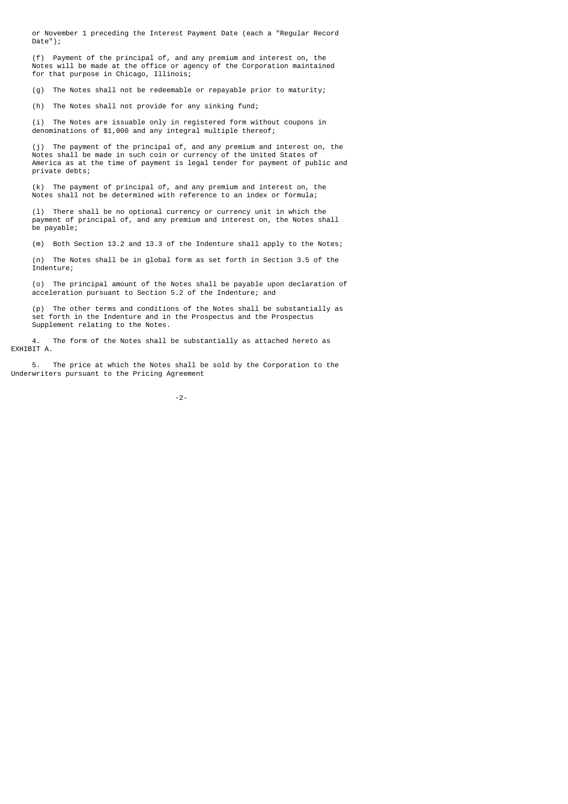or November 1 preceding the Interest Payment Date (each a "Regular Record Date");

 (f) Payment of the principal of, and any premium and interest on, the Notes will be made at the office or agency of the Corporation maintained for that purpose in Chicago, Illinois;

(g) The Notes shall not be redeemable or repayable prior to maturity;

(h) The Notes shall not provide for any sinking fund;

 (i) The Notes are issuable only in registered form without coupons in denominations of \$1,000 and any integral multiple thereof;

 (j) The payment of the principal of, and any premium and interest on, the Notes shall be made in such coin or currency of the United States of America as at the time of payment is legal tender for payment of public and private debts;

 (k) The payment of principal of, and any premium and interest on, the Notes shall not be determined with reference to an index or formula;

 (l) There shall be no optional currency or currency unit in which the payment of principal of, and any premium and interest on, the Notes shall be payable;

(m) Both Section 13.2 and 13.3 of the Indenture shall apply to the Notes;

 (n) The Notes shall be in global form as set forth in Section 3.5 of the Indenture;

 (o) The principal amount of the Notes shall be payable upon declaration of acceleration pursuant to Section 5.2 of the Indenture; and

 (p) The other terms and conditions of the Notes shall be substantially as set forth in the Indenture and in the Prospectus and the Prospectus Supplement relating to the Notes.

 4. The form of the Notes shall be substantially as attached hereto as EXHIBIT A.

 5. The price at which the Notes shall be sold by the Corporation to the Underwriters pursuant to the Pricing Agreement

-2-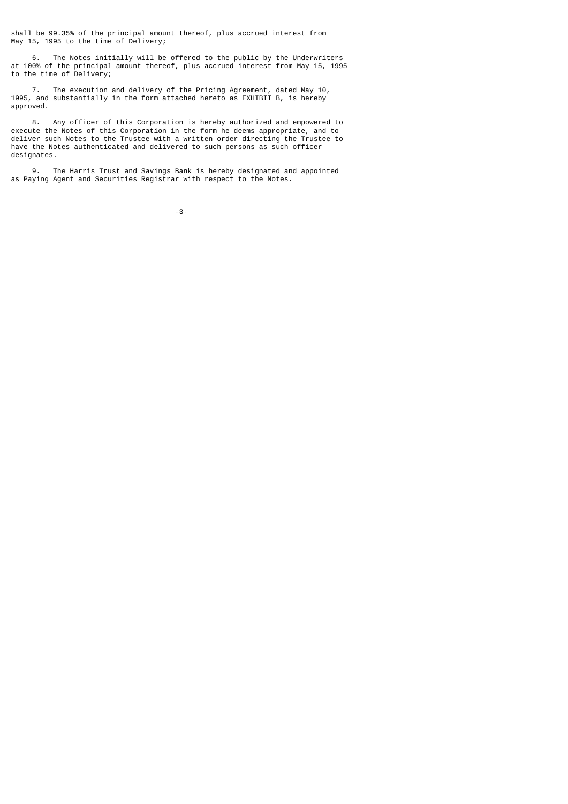shall be 99.35% of the principal amount thereof, plus accrued interest from May 15, 1995 to the time of Delivery;

 6. The Notes initially will be offered to the public by the Underwriters at 100% of the principal amount thereof, plus accrued interest from May 15, 1995 to the time of Delivery;

 7. The execution and delivery of the Pricing Agreement, dated May 10, 1995, and substantially in the form attached hereto as EXHIBIT B, is hereby approved.

 8. Any officer of this Corporation is hereby authorized and empowered to execute the Notes of this Corporation in the form he deems appropriate, and to deliver such Notes to the Trustee with a written order directing the Trustee to have the Notes authenticated and delivered to such persons as such officer designates.

 9. The Harris Trust and Savings Bank is hereby designated and appointed as Paying Agent and Securities Registrar with respect to the Notes.

-3-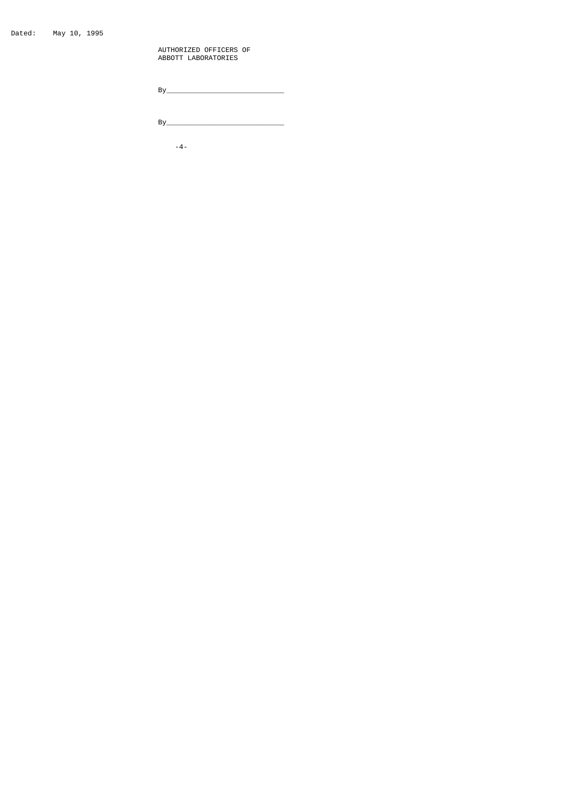Dated: May 10, 1995

 AUTHORIZED OFFICERS OF ABBOTT LABORATORIES

By\_\_\_\_\_\_\_\_\_\_\_\_\_\_\_\_\_\_\_\_\_\_\_\_\_\_\_\_

By\_\_\_\_\_\_\_\_\_\_\_\_\_\_\_\_\_\_\_\_\_\_\_\_\_\_\_\_

-4-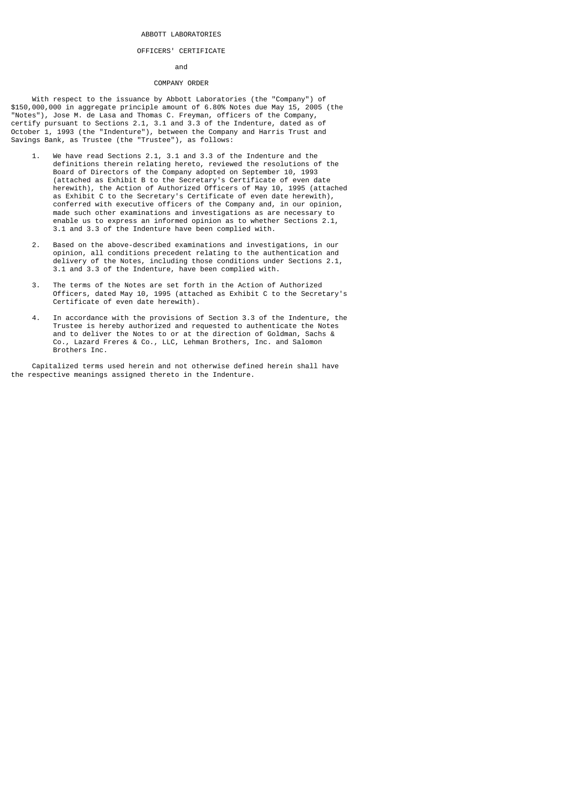### ABBOTT LABORATORIES

#### OFFICERS' CERTIFICATE

#### and

### COMPANY ORDER

 With respect to the issuance by Abbott Laboratories (the "Company") of \$150,000,000 in aggregate principle amount of 6.80% Notes due May 15, 2005 (the "Notes"), Jose M. de Lasa and Thomas C. Freyman, officers of the Company, certify pursuant to Sections 2.1, 3.1 and 3.3 of the Indenture, dated as of October 1, 1993 (the "Indenture"), between the Company and Harris Trust and Savings Bank, as Trustee (the "Trustee"), as follows:

- 1. We have read Sections 2.1, 3.1 and 3.3 of the Indenture and the definitions therein relating hereto, reviewed the resolutions of the Board of Directors of the Company adopted on September 10, 1993 (attached as Exhibit B to the Secretary's Certificate of even date herewith), the Action of Authorized Officers of May 10, 1995 (attached as Exhibit C to the Secretary's Certificate of even date herewith), conferred with executive officers of the Company and, in our opinion, made such other examinations and investigations as are necessary to enable us to express an informed opinion as to whether Sections 2.1, 3.1 and 3.3 of the Indenture have been complied with.
- 2. Based on the above-described examinations and investigations, in our opinion, all conditions precedent relating to the authentication and delivery of the Notes, including those conditions under Sections 2.1, 3.1 and 3.3 of the Indenture, have been complied with.
	- 3. The terms of the Notes are set forth in the Action of Authorized Officers, dated May 10, 1995 (attached as Exhibit C to the Secretary's Certificate of even date herewith).
- 4. In accordance with the provisions of Section 3.3 of the Indenture, the Trustee is hereby authorized and requested to authenticate the Notes and to deliver the Notes to or at the direction of Goldman, Sachs & Co., Lazard Freres & Co., LLC, Lehman Brothers, Inc. and Salomon Brothers Inc.

 Capitalized terms used herein and not otherwise defined herein shall have the respective meanings assigned thereto in the Indenture.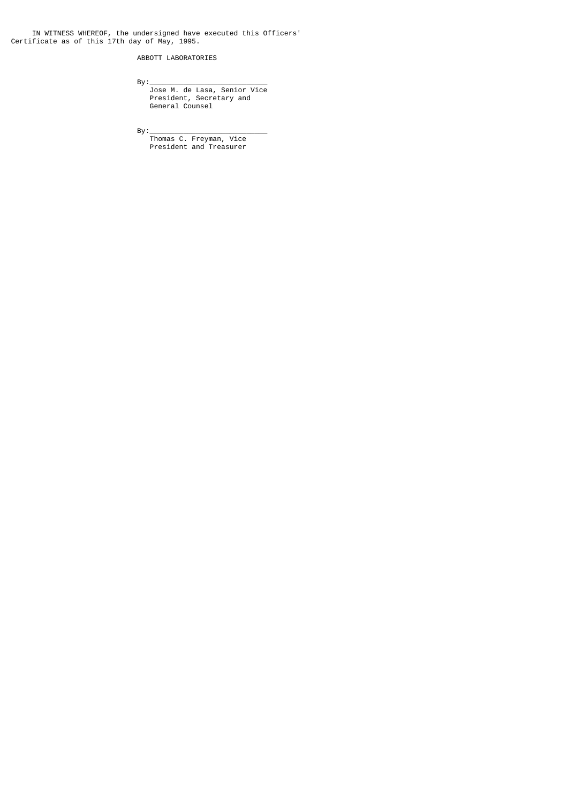IN WITNESS WHEREOF, the undersigned have executed this Officers' Certificate as of this 17th day of May, 1995.

ABBOTT LABORATORIES

By:\_\_\_\_\_\_\_\_\_\_\_\_\_\_\_\_\_\_\_\_\_\_\_\_\_\_\_\_

 Jose M. de Lasa, Senior Vice President, Secretary and General Counsel

By:\_\_\_\_\_\_\_\_\_\_\_\_\_\_\_\_\_\_\_\_\_\_\_\_\_\_\_\_

 Thomas C. Freyman, Vice President and Treasurer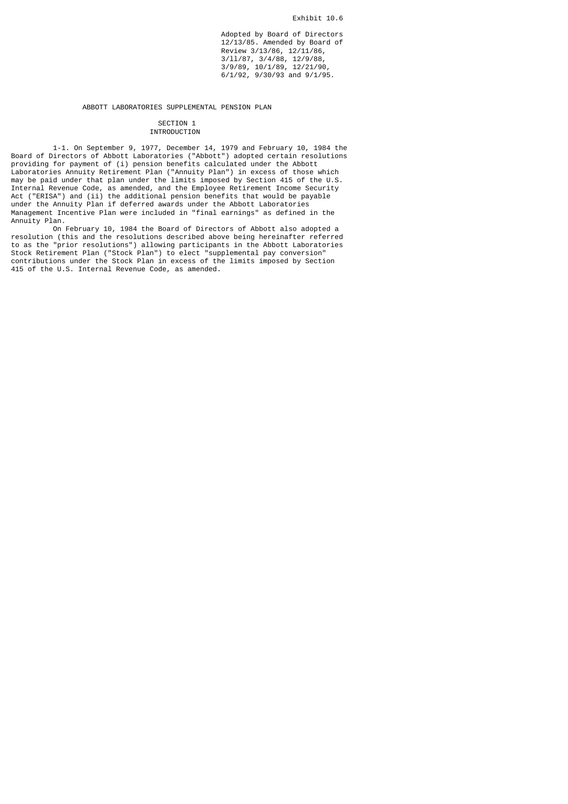Adopted by Board of Directors 12/13/85. Amended by Board of Review 3/13/86, 12/11/86, 3/ll/87, 3/4/88, 12/9/88,  $3/9/89, 10/1/89, 12/21/90,$ 6/1/92, 9/30/93 and 9/1/95.

#### ABBOTT LABORATORIES SUPPLEMENTAL PENSION PLAN

### SECTION 1 INTRODUCTION

 1-1. On September 9, 1977, December 14, 1979 and February 10, 1984 the Board of Directors of Abbott Laboratories ("Abbott") adopted certain resolutions providing for payment of (i) pension benefits calculated under the Abbott Laboratories Annuity Retirement Plan ("Annuity Plan") in excess of those which may be paid under that plan under the limits imposed by Section 415 of the U.S. Internal Revenue Code, as amended, and the Employee Retirement Income Security Act ("ERISA") and (ii) the additional pension benefits that would be payable under the Annuity Plan if deferred awards under the Abbott Laboratories Management Incentive Plan were included in "final earnings" as defined in the Annuity Plan.

 On February 10, 1984 the Board of Directors of Abbott also adopted a resolution (this and the resolutions described above being hereinafter referred to as the "prior resolutions") allowing participants in the Abbott Laboratories Stock Retirement Plan ("Stock Plan") to elect "supplemental pay conversion" contributions under the Stock Plan in excess of the limits imposed by Section 415 of the U.S. Internal Revenue Code, as amended.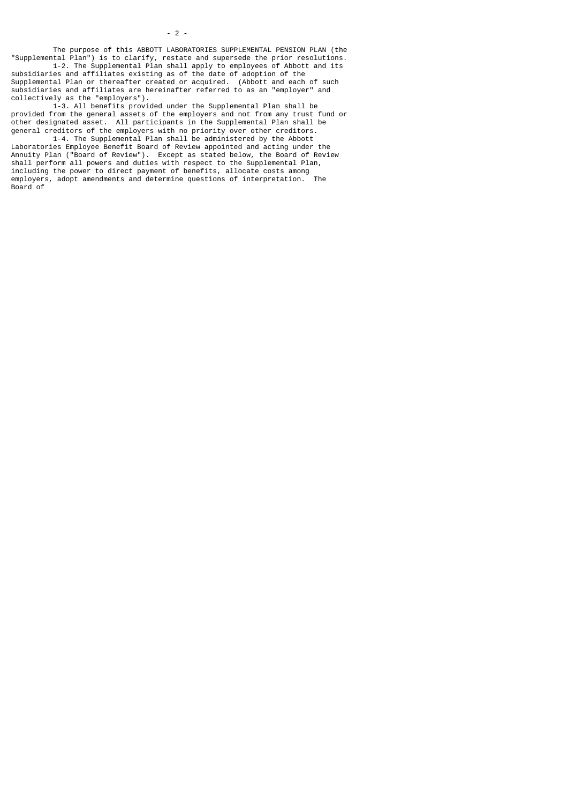The purpose of this ABBOTT LABORATORIES SUPPLEMENTAL PENSION PLAN (the "Supplemental Plan") is to clarify, restate and supersede the prior resolutions.

 1-2. The Supplemental Plan shall apply to employees of Abbott and its subsidiaries and affiliates existing as of the date of adoption of the Supplemental Plan or thereafter created or acquired. (Abbott and each of such subsidiaries and affiliates are hereinafter referred to as an "employer" and collectively as the "employers").

 1-3. All benefits provided under the Supplemental Plan shall be provided from the general assets of the employers and not from any trust fund or other designated asset. All participants in the Supplemental Plan shall be general creditors of the employers with no priority over other creditors.

 1-4. The Supplemental Plan shall be administered by the Abbott Laboratories Employee Benefit Board of Review appointed and acting under the Annuity Plan ("Board of Review"). Except as stated below, the Board of Review shall perform all powers and duties with respect to the Supplemental Plan, including the power to direct payment of benefits, allocate costs among employers, adopt amendments and determine questions of interpretation. The Board of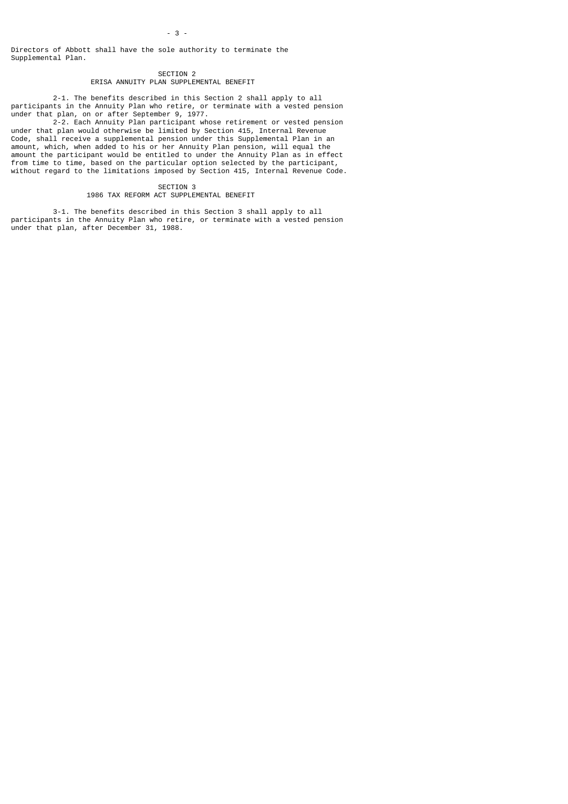Directors of Abbott shall have the sole authority to terminate the Supplemental Plan.

> SECTION 2 ERISA ANNUITY PLAN SUPPLEMENTAL BENEFIT

 2-1. The benefits described in this Section 2 shall apply to all participants in the Annuity Plan who retire, or terminate with a vested pension under that plan, on or after September 9, 1977.

 2-2. Each Annuity Plan participant whose retirement or vested pension under that plan would otherwise be limited by Section 415, Internal Revenue Code, shall receive a supplemental pension under this Supplemental Plan in an amount, which, when added to his or her Annuity Plan pension, will equal the amount the participant would be entitled to under the Annuity Plan as in effect from time to time, based on the particular option selected by the participant, without regard to the limitations imposed by Section 415, Internal Revenue Code.

> SECTION 3 1986 TAX REFORM ACT SUPPLEMENTAL BENEFIT

 3-1. The benefits described in this Section 3 shall apply to all participants in the Annuity Plan who retire, or terminate with a vested pension under that plan, after December 31, 1988.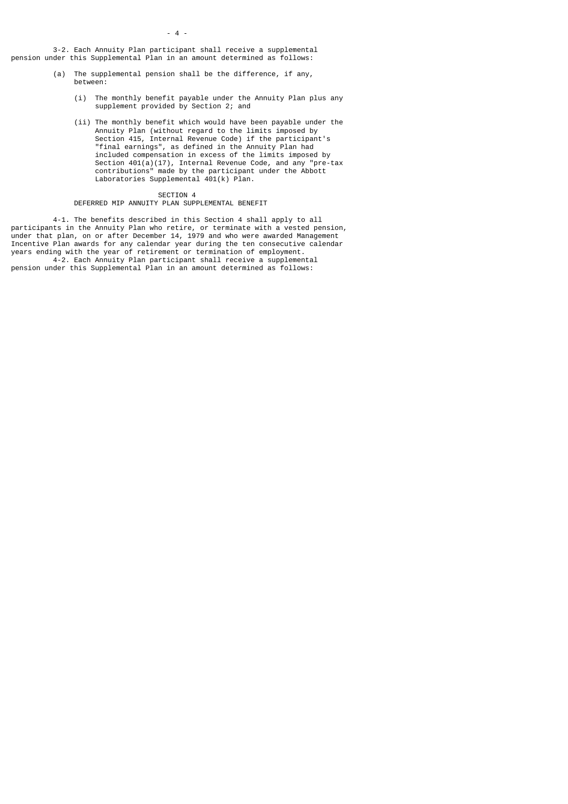$-4$  -

 3-2. Each Annuity Plan participant shall receive a supplemental pension under this Supplemental Plan in an amount determined as follows:

- (a) The supplemental pension shall be the difference, if any, between:
	- (i) The monthly benefit payable under the Annuity Plan plus any supplement provided by Section 2; and
- (ii) The monthly benefit which would have been payable under the Annuity Plan (without regard to the limits imposed by Section 415, Internal Revenue Code) if the participant's "final earnings", as defined in the Annuity Plan had included compensation in excess of the limits imposed by Section 401(a)(17), Internal Revenue Code, and any "pre-tax contributions" made by the participant under the Abbott Laboratories Supplemental 401(k) Plan.

#### SECTION 4

#### DEFERRED MIP ANNUITY PLAN SUPPLEMENTAL BENEFIT

 4-1. The benefits described in this Section 4 shall apply to all participants in the Annuity Plan who retire, or terminate with a vested pension, under that plan, on or after December 14, 1979 and who were awarded Management Incentive Plan awards for any calendar year during the ten consecutive calendar years ending with the year of retirement or termination of employment.

 4-2. Each Annuity Plan participant shall receive a supplemental pension under this Supplemental Plan in an amount determined as follows: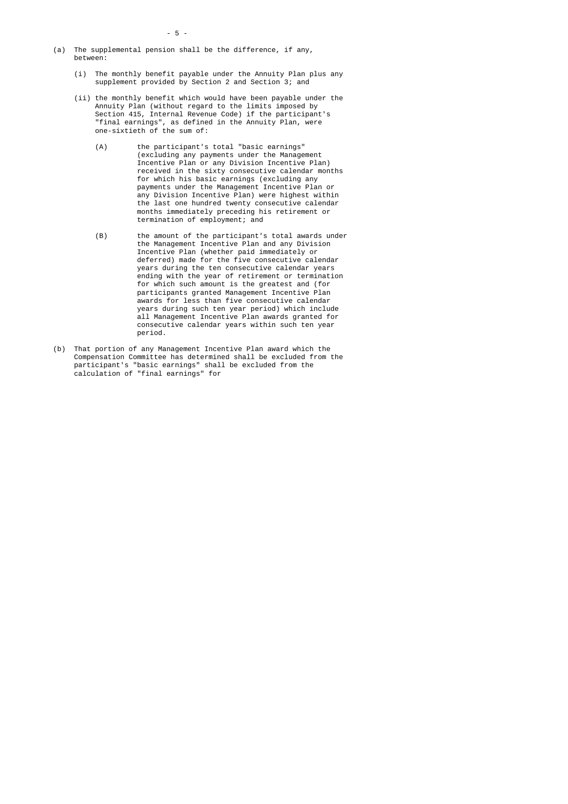- (a) The supplemental pension shall be the difference, if any, between:
	- (i) The monthly benefit payable under the Annuity Plan plus any supplement provided by Section 2 and Section 3; and
- (ii) the monthly benefit which would have been payable under the Annuity Plan (without regard to the limits imposed by Section 415, Internal Revenue Code) if the participant's "final earnings", as defined in the Annuity Plan, were one-sixtieth of the sum of:
	- (A) the participant's total "basic earnings" (excluding any payments under the Management Incentive Plan or any Division Incentive Plan) received in the sixty consecutive calendar months for which his basic earnings (excluding any payments under the Management Incentive Plan or any Division Incentive Plan) were highest within the last one hundred twenty consecutive calendar months immediately preceding his retirement or termination of employment; and
- (B) the amount of the participant's total awards under the Management Incentive Plan and any Division Incentive Plan (whether paid immediately or deferred) made for the five consecutive calendar years during the ten consecutive calendar years ending with the year of retirement or termination for which such amount is the greatest and (for participants granted Management Incentive Plan awards for less than five consecutive calendar years during such ten year period) which include all Management Incentive Plan awards granted for consecutive calendar years within such ten year period.
- (b) That portion of any Management Incentive Plan award which the Compensation Committee has determined shall be excluded from the participant's "basic earnings" shall be excluded from the calculation of "final earnings" for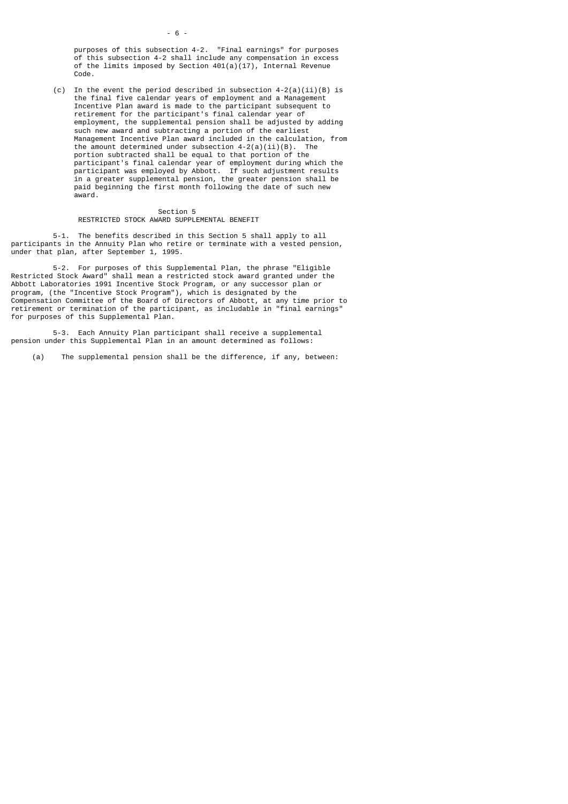purposes of this subsection 4-2. "Final earnings" for purposes of this subsection 4-2 shall include any compensation in excess of the limits imposed by Section 401(a)(17), Internal Revenue Code.

(c) In the event the period described in subsection  $4-2(a)(ii)(B)$  is the final five calendar years of employment and a Management Incentive Plan award is made to the participant subsequent to retirement for the participant's final calendar year of employment, the supplemental pension shall be adjusted by adding such new award and subtracting a portion of the earliest Management Incentive Plan award included in the calculation, from the amount determined under subsection  $4-2(a)(ii)(B)$ . The portion subtracted shall be equal to that portion of the participant's final calendar year of employment during which the participant was employed by Abbott. If such adjustment results in a greater supplemental pension, the greater pension shall be paid beginning the first month following the date of such new award.

#### Section 5 RESTRICTED STOCK AWARD SUPPLEMENTAL BENEFIT

 5-1. The benefits described in this Section 5 shall apply to all participants in the Annuity Plan who retire or terminate with a vested pension, under that plan, after September 1, 1995.

 5-2. For purposes of this Supplemental Plan, the phrase "Eligible Restricted Stock Award" shall mean a restricted stock award granted under the Abbott Laboratories 1991 Incentive Stock Program, or any successor plan or program, (the "Incentive Stock Program"), which is designated by the Compensation Committee of the Board of Directors of Abbott, at any time prior to retirement or termination of the participant, as includable in "final earnings" for purposes of this Supplemental Plan.

 5-3. Each Annuity Plan participant shall receive a supplemental pension under this Supplemental Plan in an amount determined as follows:

(a) The supplemental pension shall be the difference, if any, between: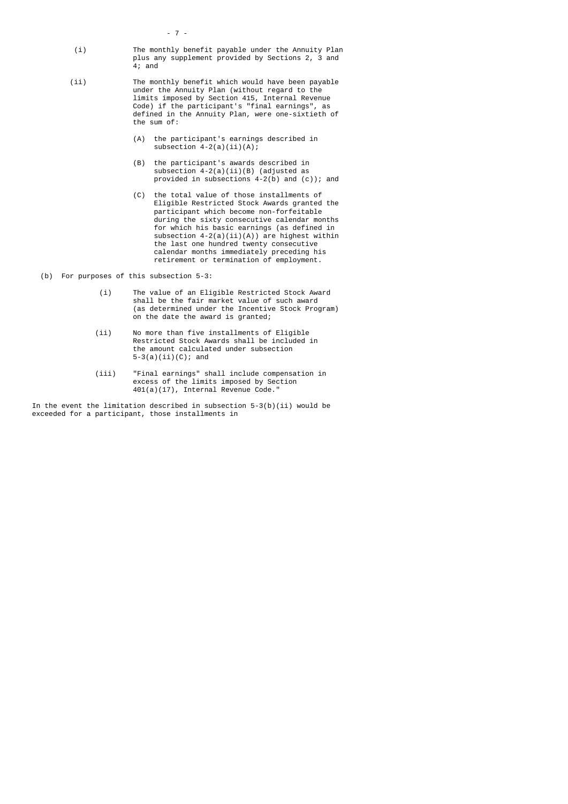- 7
	- (i) The monthly benefit payable under the Annuity Plan plus any supplement provided by Sections 2, 3 and 4; and
	- (ii) The monthly benefit which would have been payable under the Annuity Plan (without regard to the limits imposed by Section 415, Internal Revenue Code) if the participant's "final earnings", as defined in the Annuity Plan, were one-sixtieth of the sum of:
		- (A) the participant's earnings described in subsection  $4-2(a)(ii)(A);$
		- (B) the participant's awards described in subsection 4-2(a)(ii)(B) (adjusted as provided in subsections 4-2(b) and (c)); and
		- (C) the total value of those installments of Eligible Restricted Stock Awards granted the participant which become non-forfeitable during the sixty consecutive calendar months for which his basic earnings (as defined in subsection  $4-2(a)(ii)(A)$  are highest within the last one hundred twenty consecutive calendar months immediately preceding his retirement or termination of employment.

(b) For purposes of this subsection 5-3:

- (i) The value of an Eligible Restricted Stock Award shall be the fair market value of such award (as determined under the Incentive Stock Program) on the date the award is granted;
- (ii) No more than five installments of Eligible Restricted Stock Awards shall be included in the amount calculated under subsection 5-3(a)(ii)(C); and
- (iii) "Final earnings" shall include compensation in excess of the limits imposed by Section 401(a)(17), Internal Revenue Code."

 In the event the limitation described in subsection 5-3(b)(ii) would be exceeded for a participant, those installments in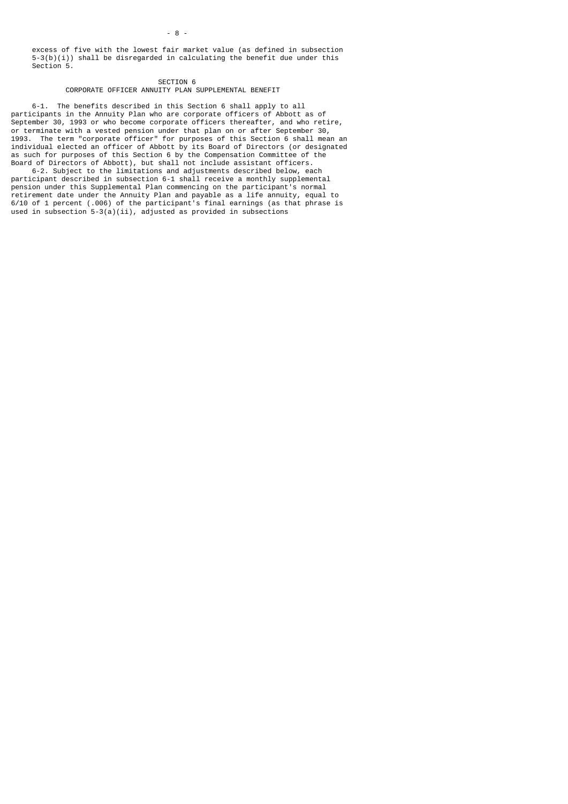excess of five with the lowest fair market value (as defined in subsection 5-3(b)(i)) shall be disregarded in calculating the benefit due under this Section 5.

SECTION 6 CORPORATE OFFICER ANNUITY PLAN SUPPLEMENTAL BENEFIT

 6-1. The benefits described in this Section 6 shall apply to all participants in the Annuity Plan who are corporate officers of Abbott as of September 30, 1993 or who become corporate officers thereafter, and who retire, or terminate with a vested pension under that plan on or after September 30, 1993. The term "corporate officer" for purposes of this Section 6 shall mean an individual elected an officer of Abbott by its Board of Directors (or designated as such for purposes of this Section 6 by the Compensation Committee of the Board of Directors of Abbott), but shall not include assistant officers.

 6-2. Subject to the limitations and adjustments described below, each participant described in subsection 6-1 shall receive a monthly supplemental pension under this Supplemental Plan commencing on the participant's normal retirement date under the Annuity Plan and payable as a life annuity, equal to 6/10 of 1 percent (.006) of the participant's final earnings (as that phrase is used in subsection 5-3(a)(ii), adjusted as provided in subsections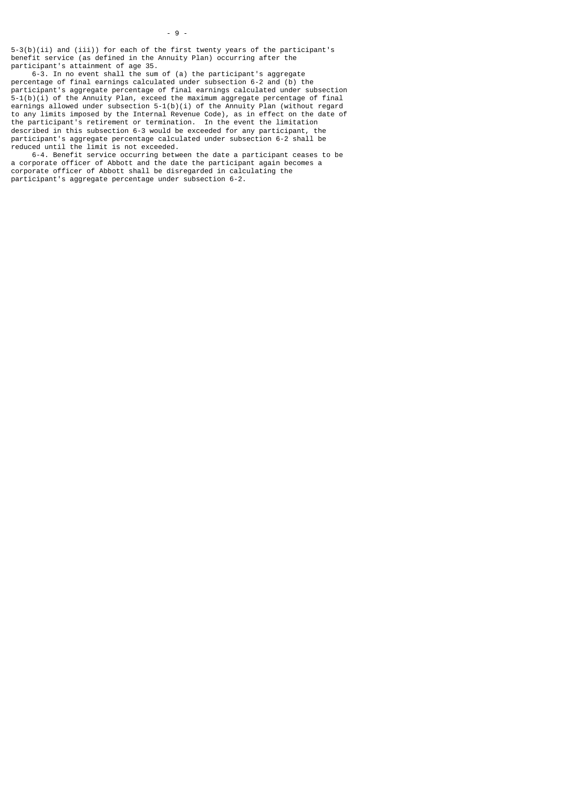5-3(b)(ii) and (iii)) for each of the first twenty years of the participant's benefit service (as defined in the Annuity Plan) occurring after the participant's attainment of age 35.

 6-3. In no event shall the sum of (a) the participant's aggregate percentage of final earnings calculated under subsection 6-2 and (b) the participant's aggregate percentage of final earnings calculated under subsection 5-1(b)(i) of the Annuity Plan, exceed the maximum aggregate percentage of final earnings allowed under subsection 5-1(b)(i) of the Annuity Plan (without regard to any limits imposed by the Internal Revenue Code), as in effect on the date of the participant's retirement or termination. In the event the limitation described in this subsection 6-3 would be exceeded for any participant, the participant's aggregate percentage calculated under subsection 6-2 shall be reduced until the limit is not exceeded.

 6-4. Benefit service occurring between the date a participant ceases to be a corporate officer of Abbott and the date the participant again becomes a corporate officer of Abbott shall be disregarded in calculating the participant's aggregate percentage under subsection 6-2.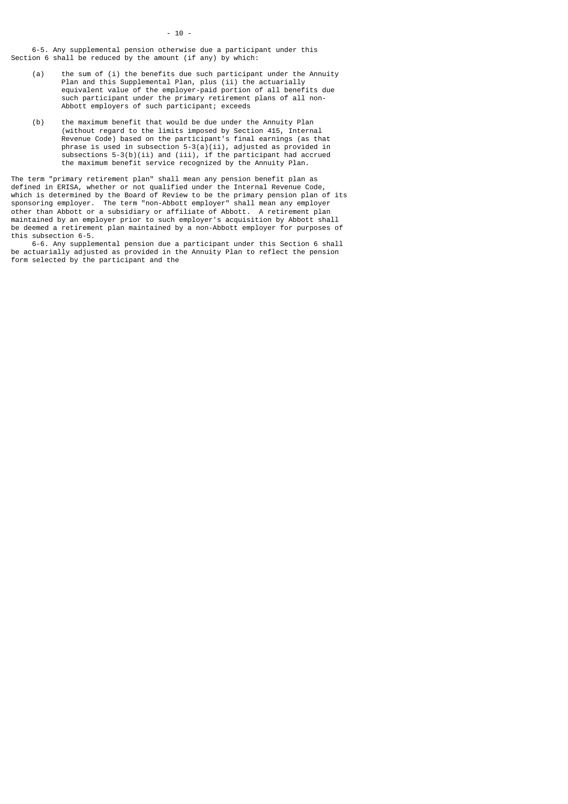6-5. Any supplemental pension otherwise due a participant under this Section 6 shall be reduced by the amount (if any) by which:

- (a) the sum of (i) the benefits due such participant under the Annuity Plan and this Supplemental Plan, plus (ii) the actuarially equivalent value of the employer-paid portion of all benefits due such participant under the primary retirement plans of all non- Abbott employers of such participant; exceeds
	- (b) the maximum benefit that would be due under the Annuity Plan (without regard to the limits imposed by Section 415, Internal Revenue Code) based on the participant's final earnings (as that phrase is used in subsection  $5-3(a)(ii)$ , adjusted as provided in subsections  $5-3(b)(ii)$  and  $(iii)$ , if the participant had accrued the maximum benefit service recognized by the Annuity Plan.

The term "primary retirement plan" shall mean any pension benefit plan as defined in ERISA, whether or not qualified under the Internal Revenue Code, which is determined by the Board of Review to be the primary pension plan of its sponsoring employer. The term "non-Abbott employer" shall mean any employer other than Abbott or a subsidiary or affiliate of Abbott. A retirement plan maintained by an employer prior to such employer's acquisition by Abbott shall be deemed a retirement plan maintained by a non-Abbott employer for purposes of this subsection 6-5.

 6-6. Any supplemental pension due a participant under this Section 6 shall be actuarially adjusted as provided in the Annuity Plan to reflect the pension form selected by the participant and the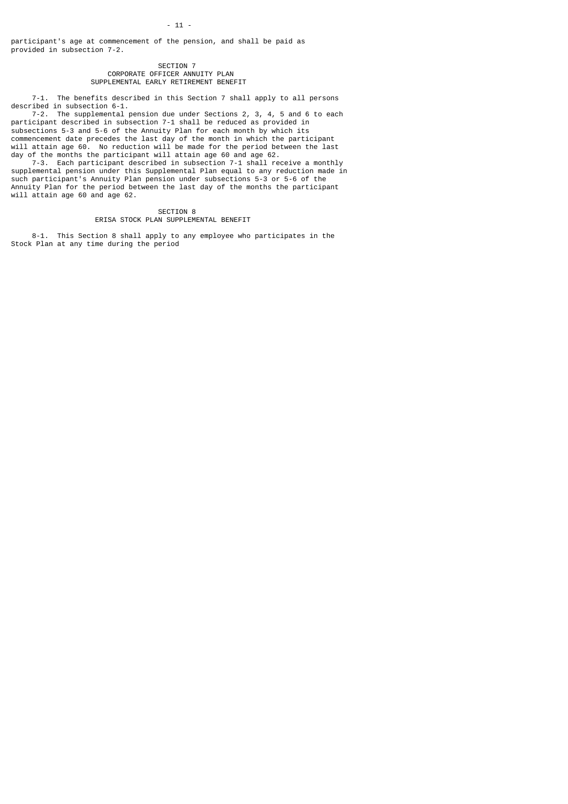participant's age at commencement of the pension, and shall be paid as provided in subsection 7-2.

## SECTION<sub>7</sub> CORPORATE OFFICER ANNUITY PLAN SUPPLEMENTAL EARLY RETIREMENT BENEFIT

 7-1. The benefits described in this Section 7 shall apply to all persons described in subsection 6-1.

 7-2. The supplemental pension due under Sections 2, 3, 4, 5 and 6 to each participant described in subsection 7-1 shall be reduced as provided in subsections 5-3 and 5-6 of the Annuity Plan for each month by which its commencement date precedes the last day of the month in which the participant will attain age 60. No reduction will be made for the period between the last day of the months the participant will attain age 60 and age 62.

 7-3. Each participant described in subsection 7-1 shall receive a monthly supplemental pension under this Supplemental Plan equal to any reduction made in such participant's Annuity Plan pension under subsections 5-3 or 5-6 of the Annuity Plan for the period between the last day of the months the participant will attain age 60 and age 62.

> SECTION 8 ERISA STOCK PLAN SUPPLEMENTAL BENEFIT

 8-1. This Section 8 shall apply to any employee who participates in the Stock Plan at any time during the period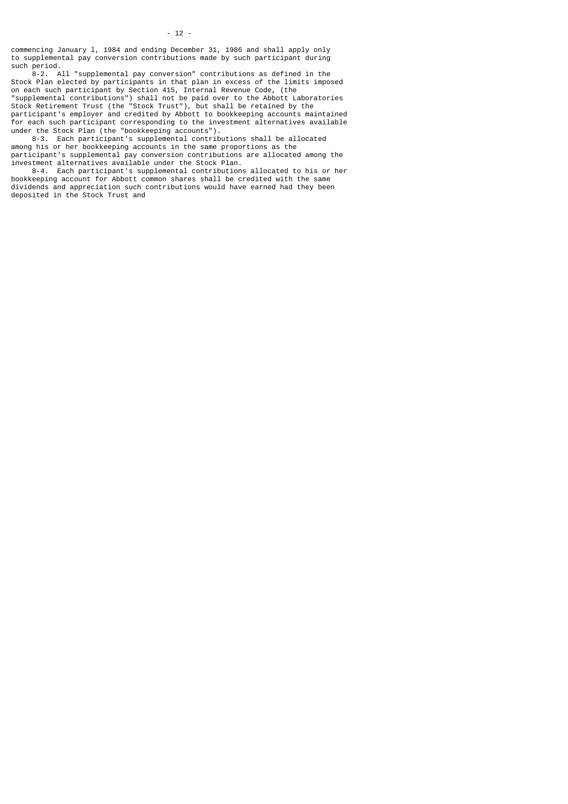$- 12 -$ 

 8-2. All "supplemental pay conversion" contributions as defined in the Stock Plan elected by participants in that plan in excess of the limits imposed on each such participant by Section 415, Internal Revenue Code, (the "supplemental contributions") shall not be paid over to the Abbott Laboratories Stock Retirement Trust (the "Stock Trust"), but shall be retained by the participant's employer and credited by Abbott to bookkeeping accounts maintained for each such participant corresponding to the investment alternatives available under the Stock Plan (the "bookkeeping accounts").

 8-3. Each participant's supplemental contributions shall be allocated among his or her bookkeeping accounts in the same proportions as the participant's supplemental pay conversion contributions are allocated among the investment alternatives available under the Stock Plan.

 8-4. Each participant's supplemental contributions allocated to his or her bookkeeping account for Abbott common shares shall be credited with the same dividends and appreciation such contributions would have earned had they been deposited in the Stock Trust and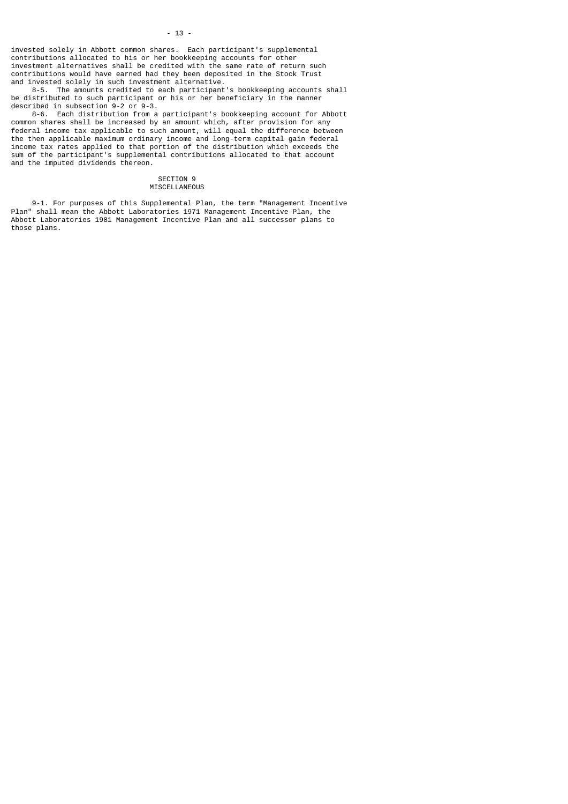$- 13 -$ 

 8-5. The amounts credited to each participant's bookkeeping accounts shall be distributed to such participant or his or her beneficiary in the manner described in subsection 9-2 or 9-3.

 8-6. Each distribution from a participant's bookkeeping account for Abbott common shares shall be increased by an amount which, after provision for any federal income tax applicable to such amount, will equal the difference between the then applicable maximum ordinary income and long-term capital gain federal income tax rates applied to that portion of the distribution which exceeds the sum of the participant's supplemental contributions allocated to that account and the imputed dividends thereon.

### SECTION 9 MISCELLANEOUS

 9-1. For purposes of this Supplemental Plan, the term "Management Incentive Plan" shall mean the Abbott Laboratories 1971 Management Incentive Plan, the Abbott Laboratories 1981 Management Incentive Plan and all successor plans to those plans.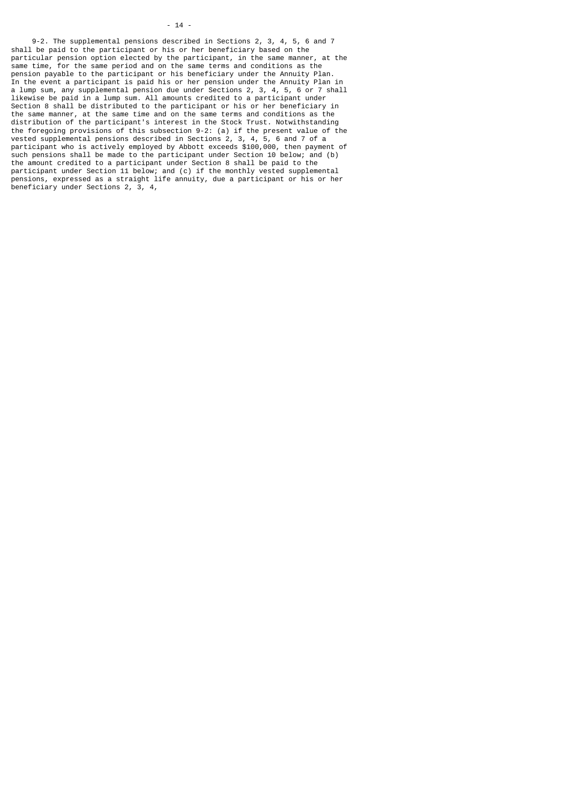## - 14 -

 9-2. The supplemental pensions described in Sections 2, 3, 4, 5, 6 and 7 shall be paid to the participant or his or her beneficiary based on the particular pension option elected by the participant, in the same manner, at the same time, for the same period and on the same terms and conditions as the pension payable to the participant or his beneficiary under the Annuity Plan. In the event a participant is paid his or her pension under the Annuity Plan in a lump sum, any supplemental pension due under Sections 2, 3, 4, 5, 6 or 7 shall likewise be paid in a lump sum. All amounts credited to a participant under Section 8 shall be distributed to the participant or his or her beneficiary in the same manner, at the same time and on the same terms and conditions as the distribution of the participant's interest in the Stock Trust. Notwithstanding the foregoing provisions of this subsection 9-2: (a) if the present value of the vested supplemental pensions described in Sections 2, 3, 4, 5, 6 and 7 of a participant who is actively employed by Abbott exceeds \$100,000, then payment of such pensions shall be made to the participant under Section 10 below; and (b) the amount credited to a participant under Section 8 shall be paid to the participant under Section 11 below; and (c) if the monthly vested supplemental pensions, expressed as a straight life annuity, due a participant or his or her beneficiary under Sections 2, 3, 4,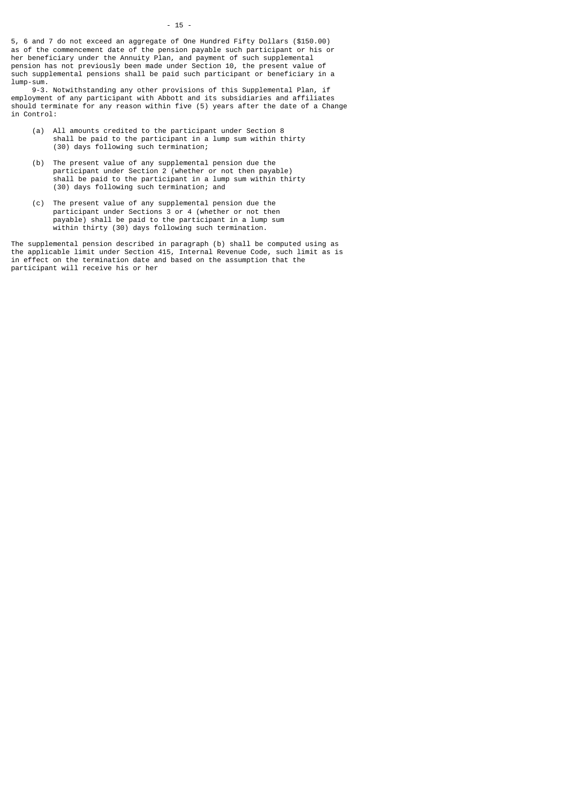5, 6 and 7 do not exceed an aggregate of One Hundred Fifty Dollars (\$150.00) as of the commencement date of the pension payable such participant or his or her beneficiary under the Annuity Plan, and payment of such supplemental pension has not previously been made under Section 10, the present value of such supplemental pensions shall be paid such participant or beneficiary in a lump-sum.

 9-3. Notwithstanding any other provisions of this Supplemental Plan, if employment of any participant with Abbott and its subsidiaries and affiliates should terminate for any reason within five (5) years after the date of a Change in Control:

- (a) All amounts credited to the participant under Section 8 shall be paid to the participant in a lump sum within thirty (30) days following such termination;
- (b) The present value of any supplemental pension due the participant under Section 2 (whether or not then payable) shall be paid to the participant in a lump sum within thirty (30) days following such termination; and
- (c) The present value of any supplemental pension due the participant under Sections 3 or 4 (whether or not then payable) shall be paid to the participant in a lump sum within thirty (30) days following such termination.

The supplemental pension described in paragraph (b) shall be computed using as the applicable limit under Section 415, Internal Revenue Code, such limit as is in effect on the termination date and based on the assumption that the participant will receive his or her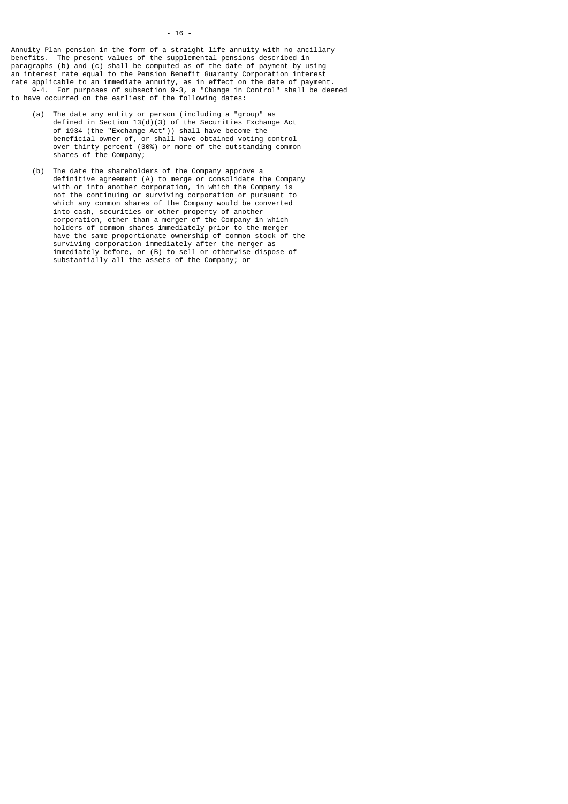Annuity Plan pension in the form of a straight life annuity with no ancillary benefits. The present values of the supplemental pensions described in paragraphs (b) and (c) shall be computed as of the date of payment by using an interest rate equal to the Pension Benefit Guaranty Corporation interest rate applicable to an immediate annuity, as in effect on the date of payment. 9-4. For purposes of subsection 9-3, a "Change in Control" shall be deemed to have occurred on the earliest of the following dates:

- (a) The date any entity or person (including a "group" as defined in Section 13(d)(3) of the Securities Exchange Act of 1934 (the "Exchange Act")) shall have become the beneficial owner of, or shall have obtained voting control over thirty percent (30%) or more of the outstanding common shares of the Company;
- (b) The date the shareholders of the Company approve a definitive agreement (A) to merge or consolidate the Company with or into another corporation, in which the Company is not the continuing or surviving corporation or pursuant to which any common shares of the Company would be converted into cash, securities or other property of another corporation, other than a merger of the Company in which holders of common shares immediately prior to the merger have the same proportionate ownership of common stock of the surviving corporation immediately after the merger as immediately before, or (B) to sell or otherwise dispose of substantially all the assets of the Company; or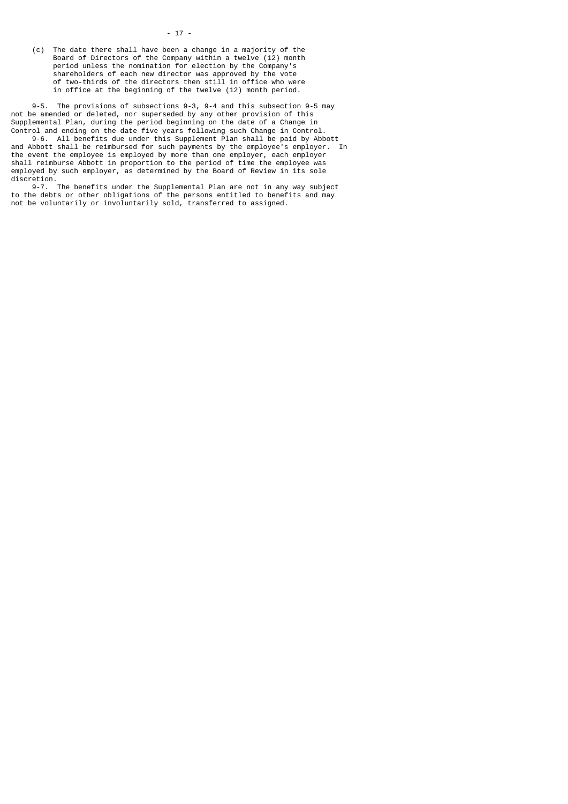(c) The date there shall have been a change in a majority of the Board of Directors of the Company within a twelve (12) month period unless the nomination for election by the Company's shareholders of each new director was approved by the vote of two-thirds of the directors then still in office who were in office at the beginning of the twelve (12) month period.

 9-5. The provisions of subsections 9-3, 9-4 and this subsection 9-5 may not be amended or deleted, nor superseded by any other provision of this Supplemental Plan, during the period beginning on the date of a Change in Control and ending on the date five years following such Change in Control.

 9-6. All benefits due under this Supplement Plan shall be paid by Abbott and Abbott shall be reimbursed for such payments by the employee's employer. In the event the employee is employed by more than one employer, each employer shall reimburse Abbott in proportion to the period of time the employee was employed by such employer, as determined by the Board of Review in its sole discretion.

 9-7. The benefits under the Supplemental Plan are not in any way subject to the debts or other obligations of the persons entitled to benefits and may not be voluntarily or involuntarily sold, transferred to assigned.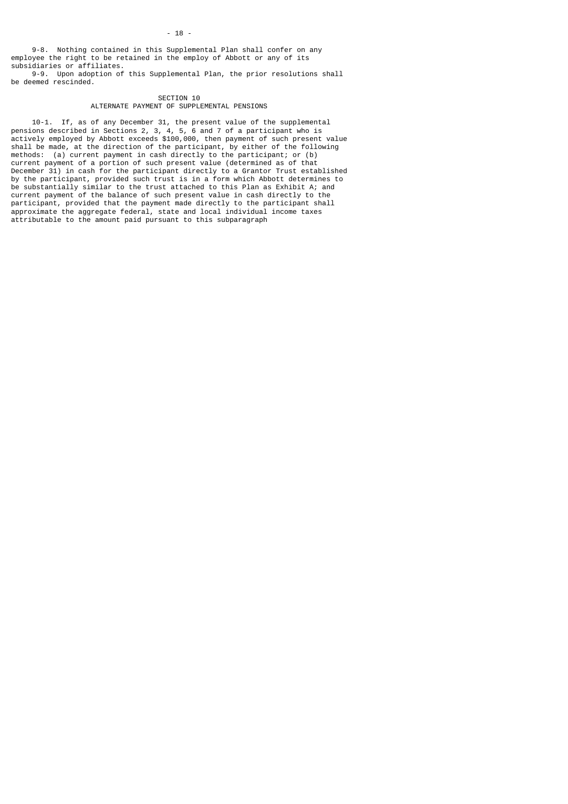9-8. Nothing contained in this Supplemental Plan shall confer on any employee the right to be retained in the employ of Abbott or any of its subsidiaries or affiliates.

 9-9. Upon adoption of this Supplemental Plan, the prior resolutions shall be deemed rescinded.

## SECTION 10 ALTERNATE PAYMENT OF SUPPLEMENTAL PENSIONS

 10-1. If, as of any December 31, the present value of the supplemental pensions described in Sections 2, 3, 4, 5, 6 and 7 of a participant who is actively employed by Abbott exceeds \$100,000, then payment of such present value shall be made, at the direction of the participant, by either of the following methods: (a) current payment in cash directly to the participant; or (b) current payment of a portion of such present value (determined as of that December 31) in cash for the participant directly to a Grantor Trust established by the participant, provided such trust is in a form which Abbott determines to be substantially similar to the trust attached to this Plan as Exhibit A; and current payment of the balance of such present value in cash directly to the participant, provided that the payment made directly to the participant shall approximate the aggregate federal, state and local individual income taxes attributable to the amount paid pursuant to this subparagraph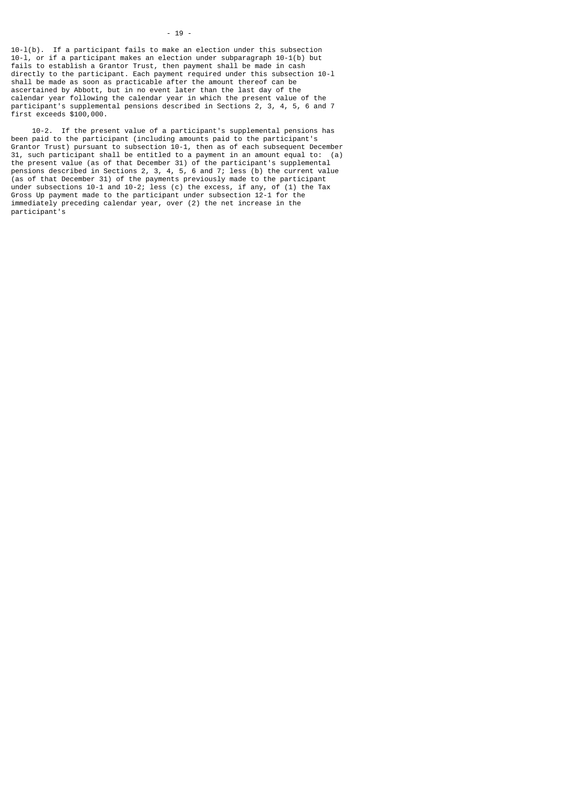10-l(b). If a participant fails to make an election under this subsection 10-l, or if a participant makes an election under subparagraph 10-1(b) but fails to establish a Grantor Trust, then payment shall be made in cash directly to the participant. Each payment required under this subsection 10-l shall be made as soon as practicable after the amount thereof can be ascertained by Abbott, but in no event later than the last day of the calendar year following the calendar year in which the present value of the participant's supplemental pensions described in Sections 2, 3, 4, 5, 6 and 7 first exceeds \$100,000.

 10-2. If the present value of a participant's supplemental pensions has been paid to the participant (including amounts paid to the participant's Grantor Trust) pursuant to subsection 10-1, then as of each subsequent December 31, such participant shall be entitled to a payment in an amount equal to: (a) the present value (as of that December 31) of the participant's supplemental pensions described in Sections 2, 3, 4, 5, 6 and 7; less (b) the current value (as of that December 31) of the payments previously made to the participant under subsections 10-1 and 10-2; less (c) the excess, if any, of (1) the Tax Gross Up payment made to the participant under subsection 12-1 for the immediately preceding calendar year, over (2) the net increase in the participant's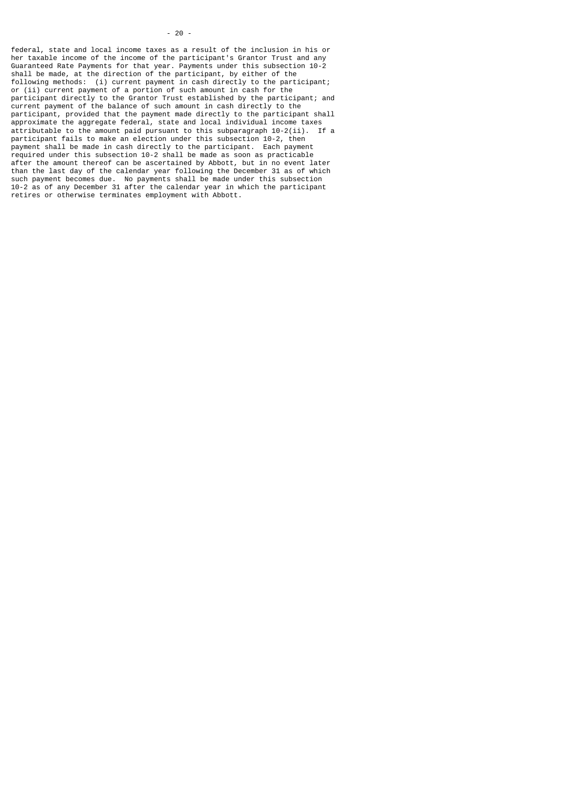federal, state and local income taxes as a result of the inclusion in his or her taxable income of the income of the participant's Grantor Trust and any Guaranteed Rate Payments for that year. Payments under this subsection 10-2 shall be made, at the direction of the participant, by either of the following methods: (i) current payment in cash directly to the participant; or (ii) current payment of a portion of such amount in cash for the participant directly to the Grantor Trust established by the participant; and current payment of the balance of such amount in cash directly to the participant, provided that the payment made directly to the participant shall approximate the aggregate federal, state and local individual income taxes attributable to the amount paid pursuant to this subparagraph 10-2(ii). If a participant fails to make an election under this subsection 10-2, then payment shall be made in cash directly to the participant. Each payment required under this subsection 10-2 shall be made as soon as practicable after the amount thereof can be ascertained by Abbott, but in no event later than the last day of the calendar year following the December 31 as of which such payment becomes due. No payments shall be made under this subsection 10-2 as of any December 31 after the calendar year in which the participant retires or otherwise terminates employment with Abbott.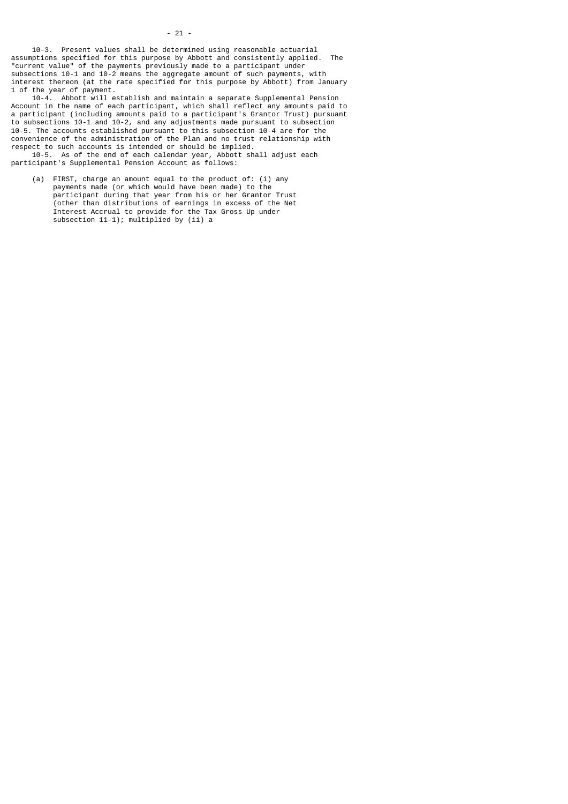10-3. Present values shall be determined using reasonable actuarial assumptions specified for this purpose by Abbott and consistently applied. The "current value" of the payments previously made to a participant under subsections 10-1 and 10-2 means the aggregate amount of such payments, with interest thereon (at the rate specified for this purpose by Abbott) from January 1 of the year of payment.

 10-4. Abbott will establish and maintain a separate Supplemental Pension Account in the name of each participant, which shall reflect any amounts paid to a participant (including amounts paid to a participant's Grantor Trust) pursuant to subsections 10-1 and 10-2, and any adjustments made pursuant to subsection 10-5. The accounts established pursuant to this subsection 10-4 are for the convenience of the administration of the Plan and no trust relationship with respect to such accounts is intended or should be implied.

 10-5. As of the end of each calendar year, Abbott shall adjust each participant's Supplemental Pension Account as follows:

 (a) FIRST, charge an amount equal to the product of: (i) any payments made (or which would have been made) to the participant during that year from his or her Grantor Trust (other than distributions of earnings in excess of the Net Interest Accrual to provide for the Tax Gross Up under subsection 11-1); multiplied by (ii) a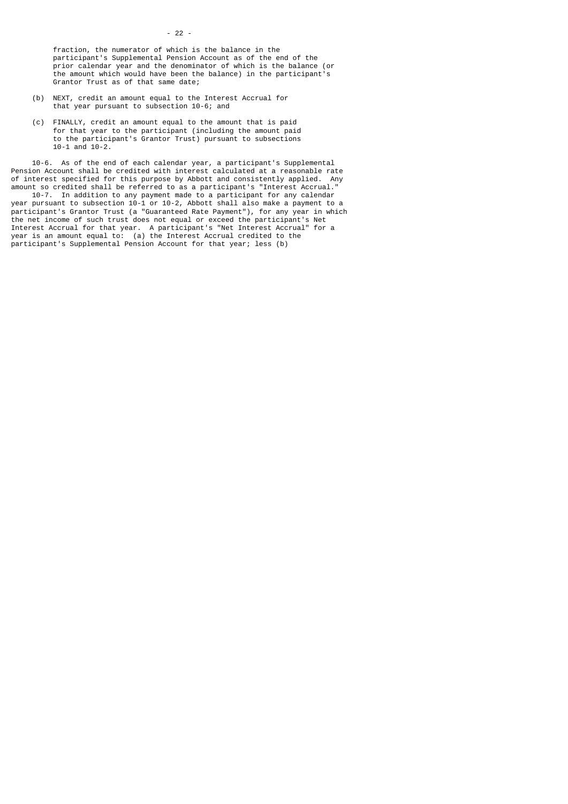fraction, the numerator of which is the balance in the participant's Supplemental Pension Account as of the end of the prior calendar year and the denominator of which is the balance (or the amount which would have been the balance) in the participant's Grantor Trust as of that same date;

- (b) NEXT, credit an amount equal to the Interest Accrual for that year pursuant to subsection 10-6; and
- (c) FINALLY, credit an amount equal to the amount that is paid for that year to the participant (including the amount paid to the participant's Grantor Trust) pursuant to subsections 10-1 and 10-2.

 10-6. As of the end of each calendar year, a participant's Supplemental Pension Account shall be credited with interest calculated at a reasonable rate of interest specified for this purpose by Abbott and consistently applied. Any amount so credited shall be referred to as a participant's "Interest Accrual."

 10-7. In addition to any payment made to a participant for any calendar year pursuant to subsection 10-1 or 10-2, Abbott shall also make a payment to a participant's Grantor Trust (a "Guaranteed Rate Payment"), for any year in which the net income of such trust does not equal or exceed the participant's Net Interest Accrual for that year. A participant's "Net Interest Accrual" for a year is an amount equal to: (a) the Interest Accrual credited to the participant's Supplemental Pension Account for that year; less (b)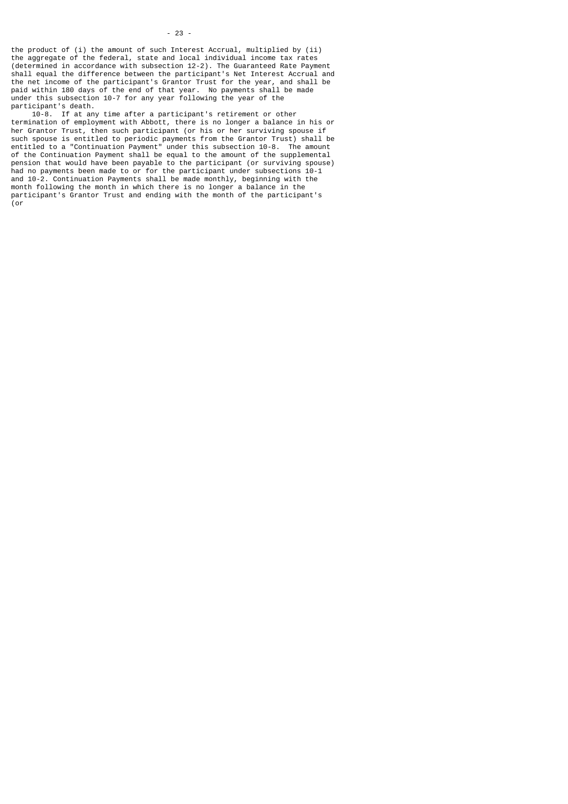the product of (i) the amount of such Interest Accrual, multiplied by (ii) the aggregate of the federal, state and local individual income tax rates (determined in accordance with subsection 12-2). The Guaranteed Rate Payment shall equal the difference between the participant's Net Interest Accrual and the net income of the participant's Grantor Trust for the year, and shall be paid within 180 days of the end of that year. No payments shall be made under this subsection 10-7 for any year following the year of the participant's death.

 10-8. If at any time after a participant's retirement or other termination of employment with Abbott, there is no longer a balance in his or her Grantor Trust, then such participant (or his or her surviving spouse if such spouse is entitled to periodic payments from the Grantor Trust) shall be entitled to a "Continuation Payment" under this subsection 10-8. The amount of the Continuation Payment shall be equal to the amount of the supplemental pension that would have been payable to the participant (or surviving spouse) had no payments been made to or for the participant under subsections 10-1 and 10-2. Continuation Payments shall be made monthly, beginning with the month following the month in which there is no longer a balance in the participant's Grantor Trust and ending with the month of the participant's (or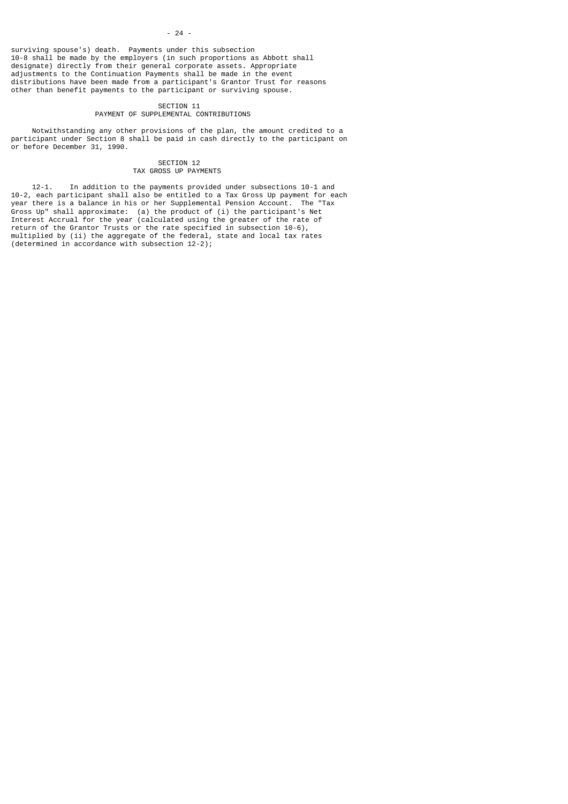#### - 24 -

surviving spouse's) death. Payments under this subsection 10-8 shall be made by the employers (in such proportions as Abbott shall designate) directly from their general corporate assets. Appropriate adjustments to the Continuation Payments shall be made in the event distributions have been made from a participant's Grantor Trust for reasons other than benefit payments to the participant or surviving spouse.

#### SECTION 11

#### PAYMENT OF SUPPLEMENTAL CONTRIBUTIONS

 Notwithstanding any other provisions of the plan, the amount credited to a participant under Section 8 shall be paid in cash directly to the participant on or before December 31, 1990.

# SECTION 12

## TAX GROSS UP PAYMENTS

 12-1. In addition to the payments provided under subsections 10-1 and 10-2, each participant shall also be entitled to a Tax Gross Up payment for each year there is a balance in his or her Supplemental Pension Account. The "Tax Gross Up" shall approximate: (a) the product of (i) the participant's Net Interest Accrual for the year (calculated using the greater of the rate of return of the Grantor Trusts or the rate specified in subsection 10-6), multiplied by (ii) the aggregate of the federal, state and local tax rates (determined in accordance with subsection 12-2);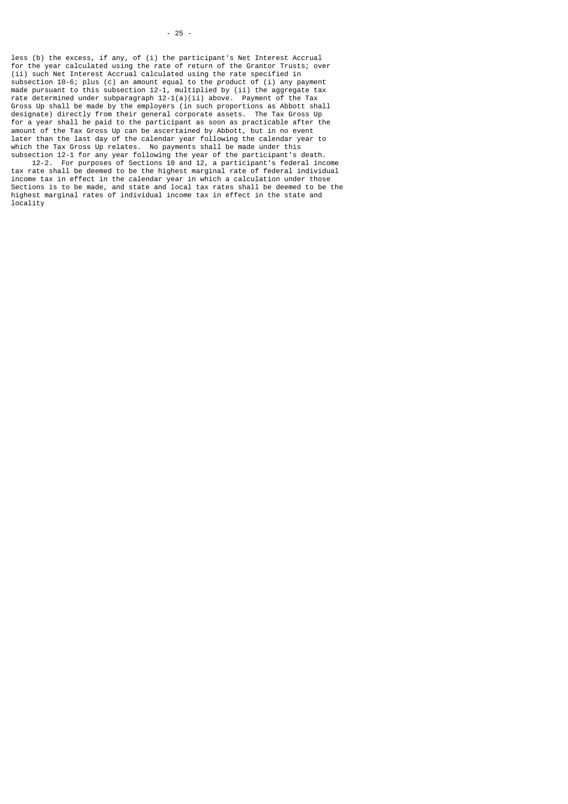subsection 12-1 for any year following the year of the participant's death. 12-2. For purposes of Sections 10 and 12, a participant's federal income tax rate shall be deemed to be the highest marginal rate of federal individual income tax in effect in the calendar year in which a calculation under those Sections is to be made, and state and local tax rates shall be deemed to be the highest marginal rates of individual income tax in effect in the state and locality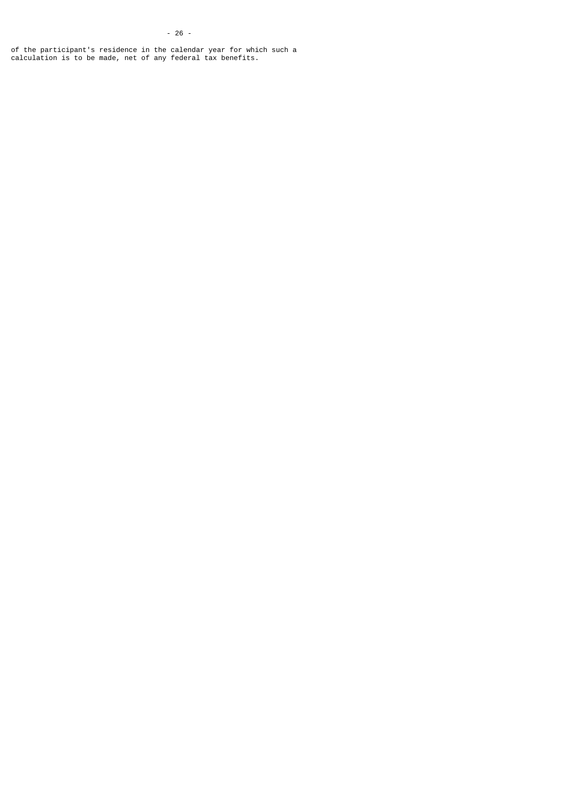of the participant's residence in the calendar year for which such a calculation is to be made, net of any federal tax benefits.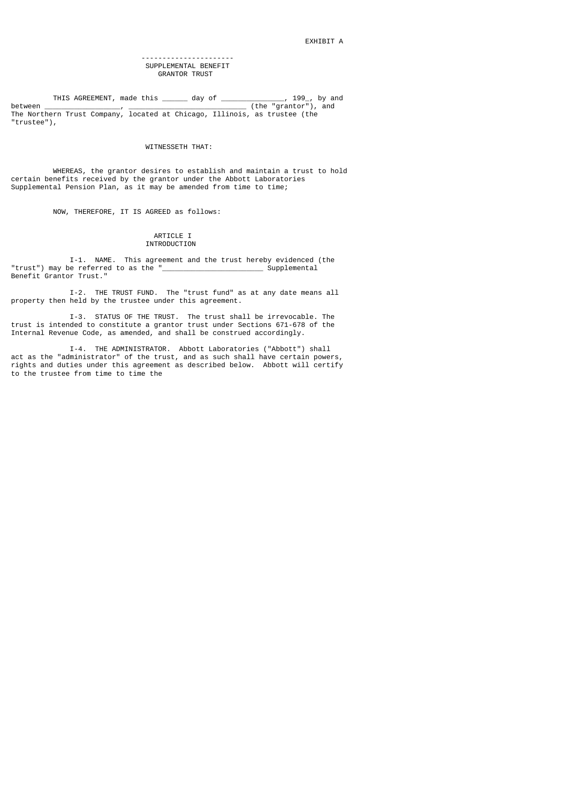#### ---------------------- SUPPLEMENTAL BENEFIT GRANTOR TRUST

 THIS AGREEMENT, made this \_\_\_\_\_\_ day of \_\_\_\_\_\_\_\_\_\_\_\_\_\_\_, 199\_, by and between \_\_\_\_\_\_\_\_\_\_\_\_\_\_\_\_\_\_, \_\_\_\_\_\_\_\_\_\_\_\_\_\_\_\_\_\_\_\_\_\_\_\_\_\_\_\_ (the "grantor"), and The Northern Trust Company, located at Chicago, Illinois, as trustee (the "trustee"),

#### WITNESSETH THAT:

 WHEREAS, the grantor desires to establish and maintain a trust to hold certain benefits received by the grantor under the Abbott Laboratories Supplemental Pension Plan, as it may be amended from time to time;

NOW, THEREFORE, IT IS AGREED as follows:

### ARTICLE I INTRODUCTION

I-1. NAME. This agreement and the trust hereby evidenced (the<br>be referred to as the "Supplemental "trust") may be referred to as the " Benefit Grantor Trust."

 I-2. THE TRUST FUND. The "trust fund" as at any date means all property then held by the trustee under this agreement.

 I-3. STATUS OF THE TRUST. The trust shall be irrevocable. The trust is intended to constitute a grantor trust under Sections 671-678 of the Internal Revenue Code, as amended, and shall be construed accordingly.

 I-4. THE ADMINISTRATOR. Abbott Laboratories ("Abbott") shall act as the "administrator" of the trust, and as such shall have certain powers, rights and duties under this agreement as described below. Abbott will certify to the trustee from time to time the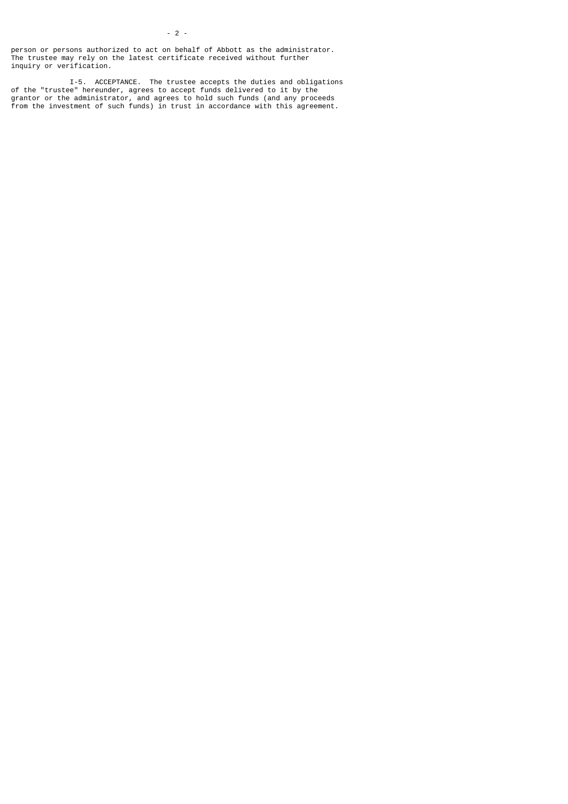- 2 -

 I-5. ACCEPTANCE. The trustee accepts the duties and obligations of the "trustee" hereunder, agrees to accept funds delivered to it by the grantor or the administrator, and agrees to hold such funds (and any proceeds from the investment of such funds) in trust in accordance with this agreement.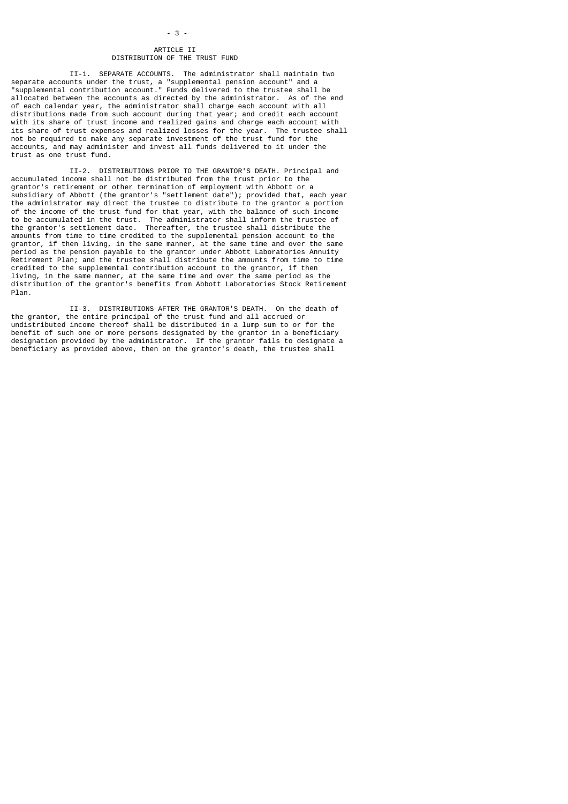## ARTICLE II DISTRIBUTION OF THE TRUST FUND

 II-1. SEPARATE ACCOUNTS. The administrator shall maintain two separate accounts under the trust, a "supplemental pension account" and a "supplemental contribution account." Funds delivered to the trustee shall be allocated between the accounts as directed by the administrator. As of the end of each calendar year, the administrator shall charge each account with all distributions made from such account during that year; and credit each account with its share of trust income and realized gains and charge each account with its share of trust expenses and realized losses for the year. The trustee shall not be required to make any separate investment of the trust fund for the accounts, and may administer and invest all funds delivered to it under the trust as one trust fund.

 II-2. DISTRIBUTIONS PRIOR TO THE GRANTOR'S DEATH. Principal and accumulated income shall not be distributed from the trust prior to the grantor's retirement or other termination of employment with Abbott or a subsidiary of Abbott (the grantor's "settlement date"); provided that, each year the administrator may direct the trustee to distribute to the grantor a portion of the income of the trust fund for that year, with the balance of such income to be accumulated in the trust. The administrator shall inform the trustee of the grantor's settlement date. Thereafter, the trustee shall distribute the amounts from time to time credited to the supplemental pension account to the grantor, if then living, in the same manner, at the same time and over the same period as the pension payable to the grantor under Abbott Laboratories Annuity Retirement Plan; and the trustee shall distribute the amounts from time to time credited to the supplemental contribution account to the grantor, if then living, in the same manner, at the same time and over the same period as the distribution of the grantor's benefits from Abbott Laboratories Stock Retirement Plan.

 II-3. DISTRIBUTIONS AFTER THE GRANTOR'S DEATH. On the death of the grantor, the entire principal of the trust fund and all accrued or undistributed income thereof shall be distributed in a lump sum to or for the benefit of such one or more persons designated by the grantor in a beneficiary designation provided by the administrator. If the grantor fails to designate a beneficiary as provided above, then on the grantor's death, the trustee shall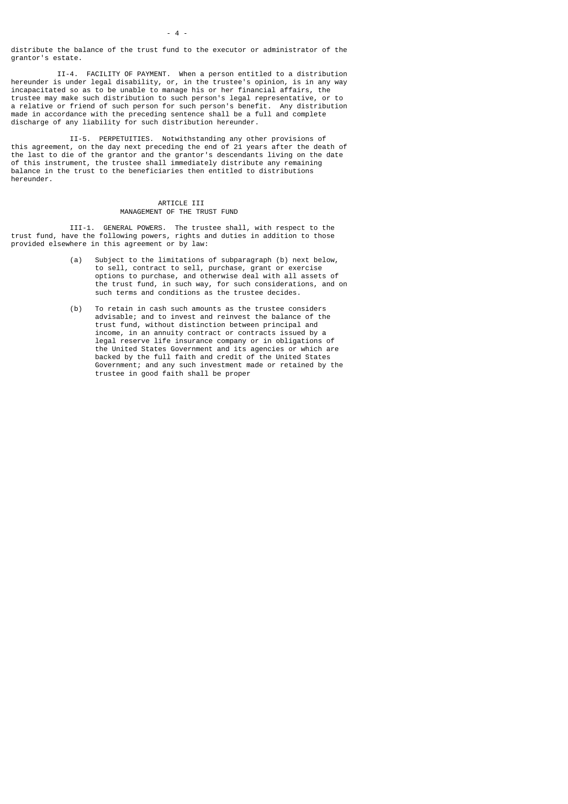distribute the balance of the trust fund to the executor or administrator of the grantor's estate.

 II-4. FACILITY OF PAYMENT. When a person entitled to a distribution hereunder is under legal disability, or, in the trustee's opinion, is in any way incapacitated so as to be unable to manage his or her financial affairs, the trustee may make such distribution to such person's legal representative, or to a relative or friend of such person for such person's benefit. Any distribution made in accordance with the preceding sentence shall be a full and complete discharge of any liability for such distribution hereunder.

 II-5. PERPETUITIES. Notwithstanding any other provisions of this agreement, on the day next preceding the end of 21 years after the death of the last to die of the grantor and the grantor's descendants living on the date of this instrument, the trustee shall immediately distribute any remaining balance in the trust to the beneficiaries then entitled to distributions hereunder.

### ARTICLE III MANAGEMENT OF THE TRUST FUND

 III-1. GENERAL POWERS. The trustee shall, with respect to the trust fund, have the following powers, rights and duties in addition to those provided elsewhere in this agreement or by law:

- (a) Subject to the limitations of subparagraph (b) next below, to sell, contract to sell, purchase, grant or exercise options to purchase, and otherwise deal with all assets of the trust fund, in such way, for such considerations, and on such terms and conditions as the trustee decides.
- (b) To retain in cash such amounts as the trustee considers advisable; and to invest and reinvest the balance of the trust fund, without distinction between principal and income, in an annuity contract or contracts issued by a legal reserve life insurance company or in obligations of the United States Government and its agencies or which are backed by the full faith and credit of the United States Government; and any such investment made or retained by the trustee in good faith shall be proper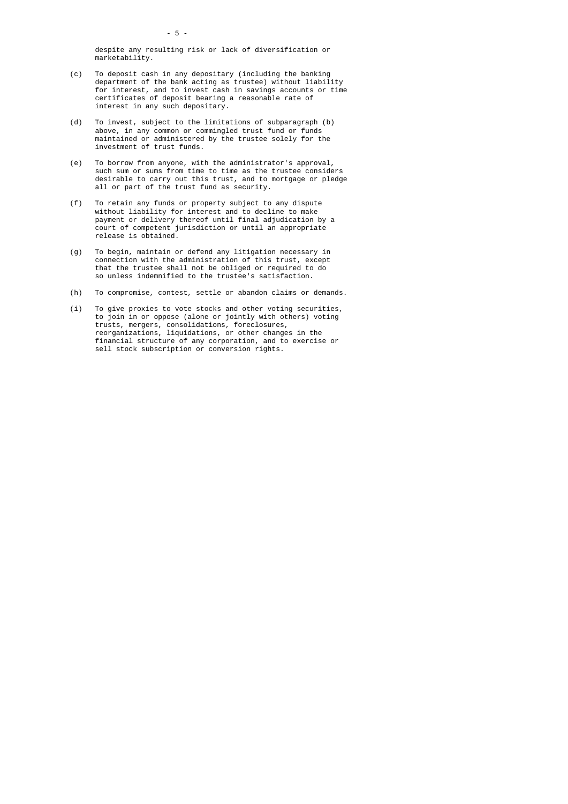despite any resulting risk or lack of diversification or marketability.

- (c) To deposit cash in any depositary (including the banking department of the bank acting as trustee) without liability for interest, and to invest cash in savings accounts or time certificates of deposit bearing a reasonable rate of interest in any such depositary.
	- (d) To invest, subject to the limitations of subparagraph (b) above, in any common or commingled trust fund or funds maintained or administered by the trustee solely for the investment of trust funds.
- (e) To borrow from anyone, with the administrator's approval, such sum or sums from time to time as the trustee considers desirable to carry out this trust, and to mortgage or pledge all or part of the trust fund as security.
	- (f) To retain any funds or property subject to any dispute without liability for interest and to decline to make payment or delivery thereof until final adjudication by a court of competent jurisdiction or until an appropriate release is obtained.
	- (g) To begin, maintain or defend any litigation necessary in connection with the administration of this trust, except that the trustee shall not be obliged or required to do so unless indemnified to the trustee's satisfaction.
	- (h) To compromise, contest, settle or abandon claims or demands.
- (i) To give proxies to vote stocks and other voting securities, to join in or oppose (alone or jointly with others) voting trusts, mergers, consolidations, foreclosures, reorganizations, liquidations, or other changes in the financial structure of any corporation, and to exercise or sell stock subscription or conversion rights.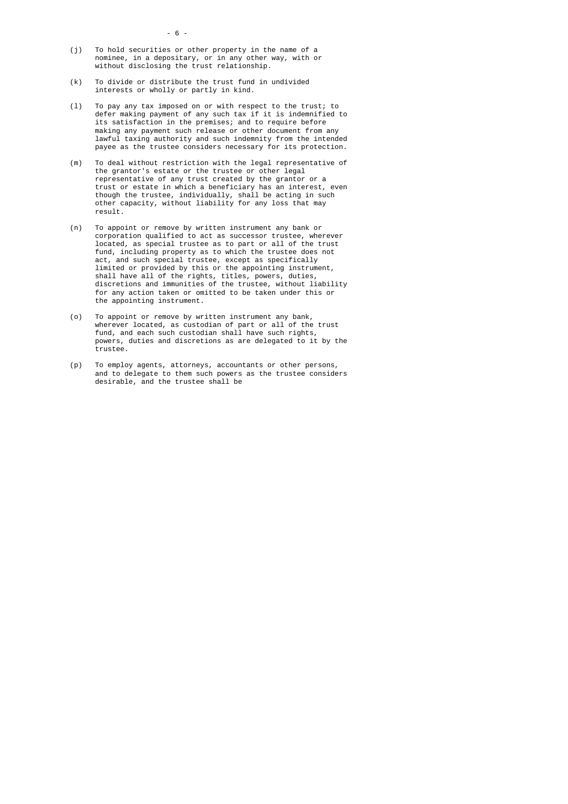- (j) To hold securities or other property in the name of a nominee, in a depositary, or in any other way, with or without disclosing the trust relationship.
	- (k) To divide or distribute the trust fund in undivided interests or wholly or partly in kind.
	- (l) To pay any tax imposed on or with respect to the trust; to defer making payment of any such tax if it is indemnified to its satisfaction in the premises; and to require before making any payment such release or other document from any lawful taxing authority and such indemnity from the intended payee as the trustee considers necessary for its protection.
- (m) To deal without restriction with the legal representative of the grantor's estate or the trustee or other legal representative of any trust created by the grantor or a trust or estate in which a beneficiary has an interest, even though the trustee, individually, shall be acting in such other capacity, without liability for any loss that may result.
- (n) To appoint or remove by written instrument any bank or corporation qualified to act as successor trustee, wherever located, as special trustee as to part or all of the trust fund, including property as to which the trustee does not act, and such special trustee, except as specifically limited or provided by this or the appointing instrument, shall have all of the rights, titles, powers, duties, discretions and immunities of the trustee, without liability for any action taken or omitted to be taken under this or the appointing instrument.
- (o) To appoint or remove by written instrument any bank, wherever located, as custodian of part or all of the trust fund, and each such custodian shall have such rights, powers, duties and discretions as are delegated to it by the trustee.
- (p) To employ agents, attorneys, accountants or other persons, and to delegate to them such powers as the trustee considers desirable, and the trustee shall be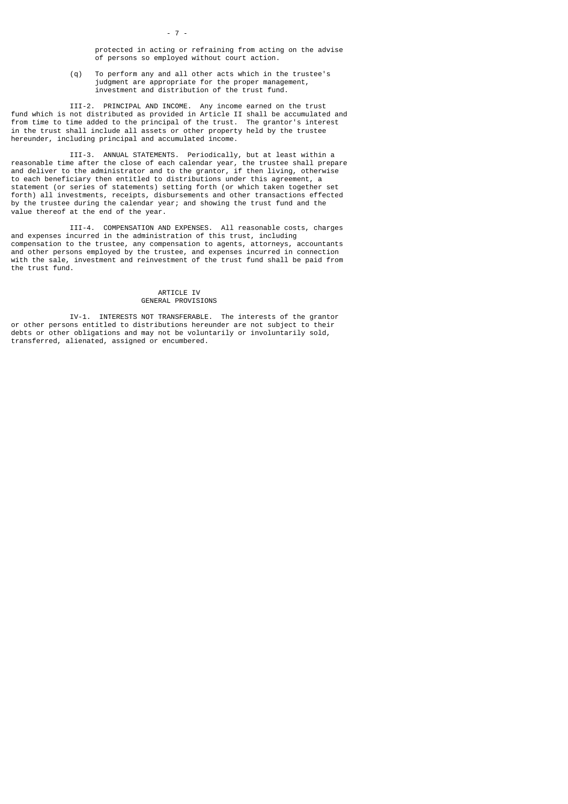(q) To perform any and all other acts which in the trustee's judgment are appropriate for the proper management, investment and distribution of the trust fund.

 III-2. PRINCIPAL AND INCOME. Any income earned on the trust fund which is not distributed as provided in Article II shall be accumulated and from time to time added to the principal of the trust. The grantor's interest in the trust shall include all assets or other property held by the trustee hereunder, including principal and accumulated income.

- 7 -

 III-3. ANNUAL STATEMENTS. Periodically, but at least within a reasonable time after the close of each calendar year, the trustee shall prepare and deliver to the administrator and to the grantor, if then living, otherwise to each beneficiary then entitled to distributions under this agreement, a statement (or series of statements) setting forth (or which taken together set forth) all investments, receipts, disbursements and other transactions effected by the trustee during the calendar year; and showing the trust fund and the value thereof at the end of the year.

 III-4. COMPENSATION AND EXPENSES. All reasonable costs, charges and expenses incurred in the administration of this trust, including compensation to the trustee, any compensation to agents, attorneys, accountants and other persons employed by the trustee, and expenses incurred in connection with the sale, investment and reinvestment of the trust fund shall be paid from the trust fund.

### ARTICLE IV GENERAL PROVISIONS

 IV-1. INTERESTS NOT TRANSFERABLE. The interests of the grantor or other persons entitled to distributions hereunder are not subject to their debts or other obligations and may not be voluntarily or involuntarily sold, transferred, alienated, assigned or encumbered.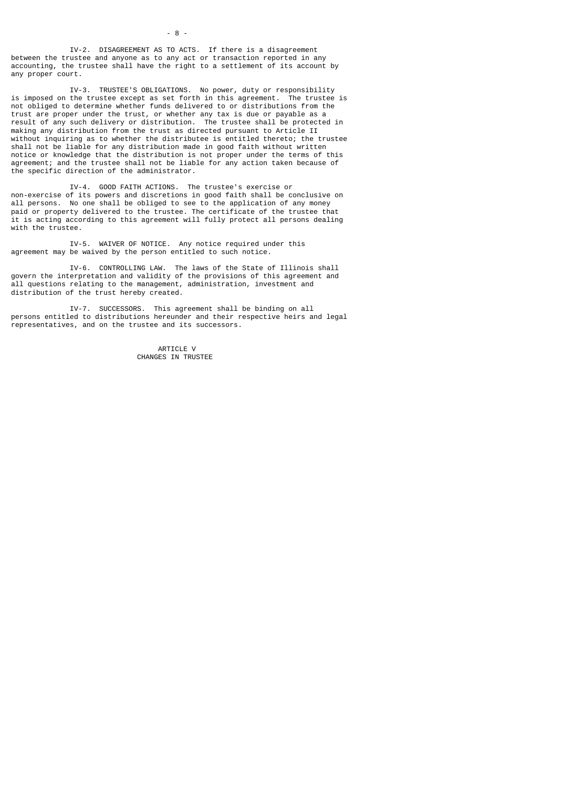IV-2. DISAGREEMENT AS TO ACTS. If there is a disagreement between the trustee and anyone as to any act or transaction reported in any accounting, the trustee shall have the right to a settlement of its account by any proper court.

 IV-3. TRUSTEE'S OBLIGATIONS. No power, duty or responsibility is imposed on the trustee except as set forth in this agreement. The trustee is not obliged to determine whether funds delivered to or distributions from the trust are proper under the trust, or whether any tax is due or payable as a result of any such delivery or distribution. The trustee shall be protected in making any distribution from the trust as directed pursuant to Article II without inquiring as to whether the distributee is entitled thereto; the trustee shall not be liable for any distribution made in good faith without written notice or knowledge that the distribution is not proper under the terms of this agreement; and the trustee shall not be liable for any action taken because of the specific direction of the administrator.

 IV-4. GOOD FAITH ACTIONS. The trustee's exercise or non-exercise of its powers and discretions in good faith shall be conclusive on all persons. No one shall be obliged to see to the application of any money paid or property delivered to the trustee. The certificate of the trustee that it is acting according to this agreement will fully protect all persons dealing with the trustee.

 IV-5. WAIVER OF NOTICE. Any notice required under this agreement may be waived by the person entitled to such notice.

 IV-6. CONTROLLING LAW. The laws of the State of Illinois shall govern the interpretation and validity of the provisions of this agreement and all questions relating to the management, administration, investment and distribution of the trust hereby created.

 IV-7. SUCCESSORS. This agreement shall be binding on all persons entitled to distributions hereunder and their respective heirs and legal representatives, and on the trustee and its successors.

> ARTICLE V CHANGES IN TRUSTEE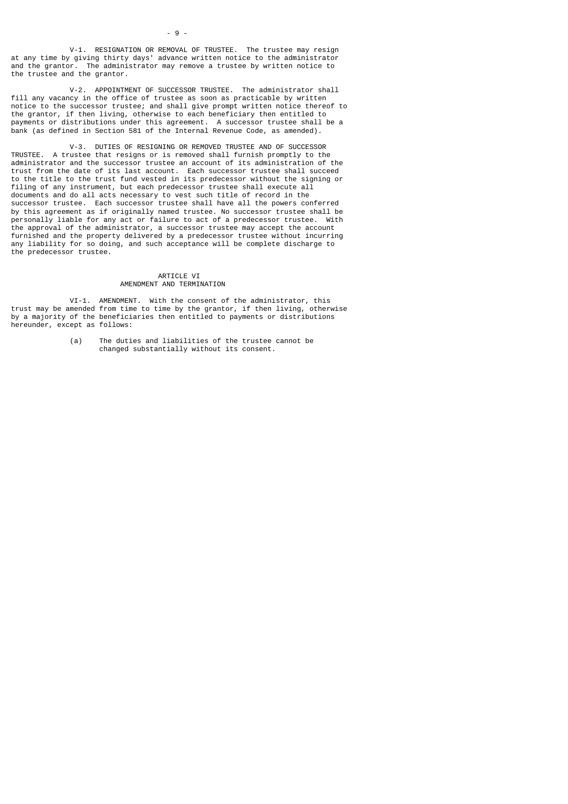V-1. RESIGNATION OR REMOVAL OF TRUSTEE. The trustee may resign at any time by giving thirty days' advance written notice to the administrator and the grantor. The administrator may remove a trustee by written notice to the trustee and the grantor.

 V-2. APPOINTMENT OF SUCCESSOR TRUSTEE. The administrator shall fill any vacancy in the office of trustee as soon as practicable by written notice to the successor trustee; and shall give prompt written notice thereof to the grantor, if then living, otherwise to each beneficiary then entitled to payments or distributions under this agreement. A successor trustee shall be a bank (as defined in Section 581 of the Internal Revenue Code, as amended).

 V-3. DUTIES OF RESIGNING OR REMOVED TRUSTEE AND OF SUCCESSOR TRUSTEE. A trustee that resigns or is removed shall furnish promptly to the administrator and the successor trustee an account of its administration of the trust from the date of its last account. Each successor trustee shall succeed to the title to the trust fund vested in its predecessor without the signing or filing of any instrument, but each predecessor trustee shall execute all documents and do all acts necessary to vest such title of record in the successor trustee. Each successor trustee shall have all the powers conferred by this agreement as if originally named trustee. No successor trustee shall be personally liable for any act or failure to act of a predecessor trustee. With the approval of the administrator, a successor trustee may accept the account furnished and the property delivered by a predecessor trustee without incurring any liability for so doing, and such acceptance will be complete discharge to the predecessor trustee.

## ARTICLE VI AMENDMENT AND TERMINATION

 VI-1. AMENDMENT. With the consent of the administrator, this trust may be amended from time to time by the grantor, if then living, otherwise by a majority of the beneficiaries then entitled to payments or distributions hereunder, except as follows:

> (a) The duties and liabilities of the trustee cannot be changed substantially without its consent.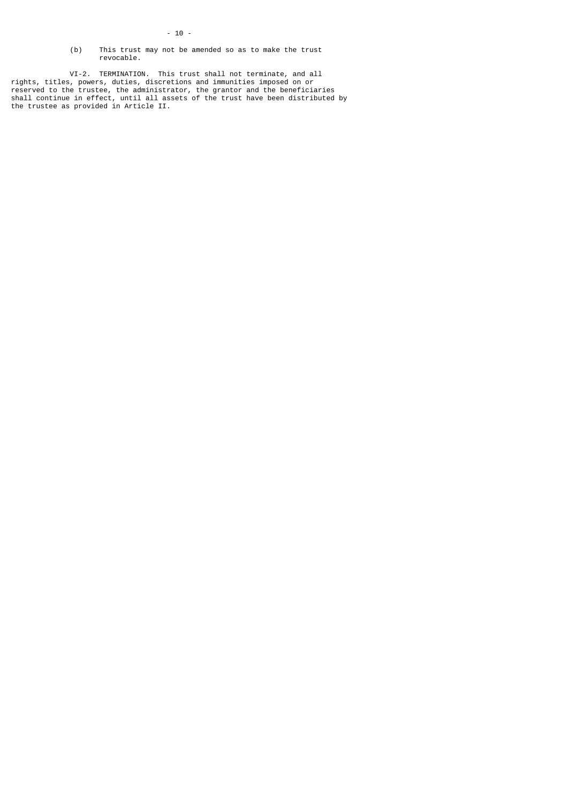- 10 -
- (b) This trust may not be amended so as to make the trust revocable.

 VI-2. TERMINATION. This trust shall not terminate, and all rights, titles, powers, duties, discretions and immunities imposed on or reserved to the trustee, the administrator, the grantor and the beneficiaries shall continue in effect, until all assets of the trust have been distributed by the trustee as provided in Article II.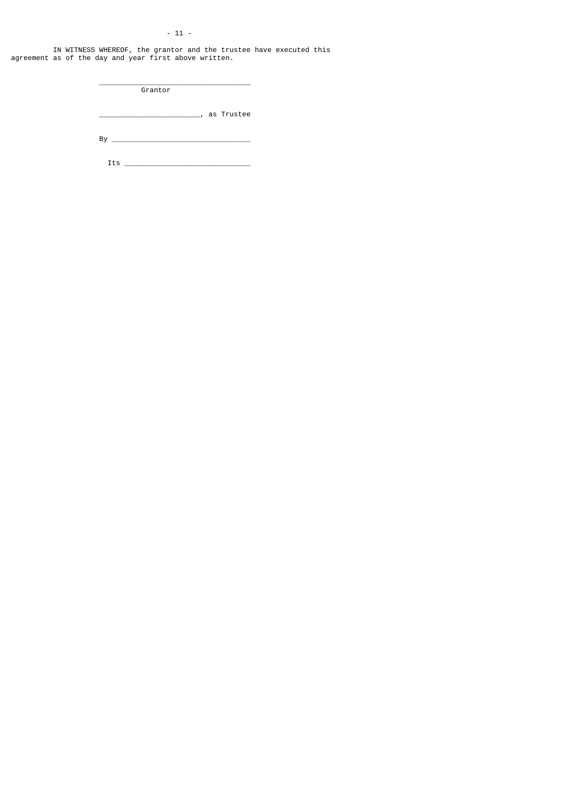# - 11 -

 IN WITNESS WHEREOF, the grantor and the trustee have executed this agreement as of the day and year first above written.

\_\_\_\_\_\_\_\_\_\_\_\_\_\_\_\_\_\_\_\_\_\_\_\_, as Trustee

**Grantor** 

 $\overline{\phantom{a}}$  ,  $\overline{\phantom{a}}$  ,  $\overline{\phantom{a}}$  ,  $\overline{\phantom{a}}$  ,  $\overline{\phantom{a}}$  ,  $\overline{\phantom{a}}$  ,  $\overline{\phantom{a}}$  ,  $\overline{\phantom{a}}$  ,  $\overline{\phantom{a}}$  ,  $\overline{\phantom{a}}$  ,  $\overline{\phantom{a}}$  ,  $\overline{\phantom{a}}$  ,  $\overline{\phantom{a}}$  ,  $\overline{\phantom{a}}$  ,  $\overline{\phantom{a}}$  ,  $\overline{\phantom{a}}$ 

By \_\_\_\_\_\_\_\_\_\_\_\_\_\_\_\_\_\_\_\_\_\_\_\_\_\_\_\_\_\_\_\_\_

Its \_\_\_\_\_\_\_\_\_\_\_\_\_\_\_\_\_\_\_\_\_\_\_\_\_\_\_\_\_\_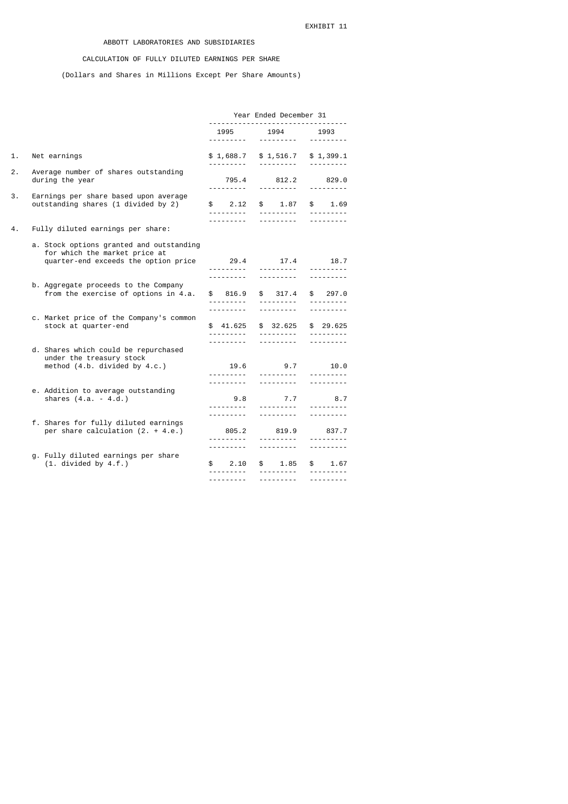# ABBOTT LABORATORIES AND SUBSIDIARIES

# CALCULATION OF FULLY DILUTED EARNINGS PER SHARE

(Dollars and Shares in Millions Except Per Share Amounts)

|    |                                                                                                                   | Year Ended December 31                            |                                                                 |                                                 |  |  |
|----|-------------------------------------------------------------------------------------------------------------------|---------------------------------------------------|-----------------------------------------------------------------|-------------------------------------------------|--|--|
|    |                                                                                                                   | 1995                                              | 1994<br><u> - - - - - - - - - -</u>                             | 1993<br><u>.</u>                                |  |  |
| 1. | Net earnings                                                                                                      | \$1,688.7                                         | \$1,516.7<br><u> - - - - - - - - -</u>                          | \$1,399.1                                       |  |  |
| 2. | Average number of shares outstanding<br>during the year                                                           | 795.4                                             | 812.2                                                           | 829.0                                           |  |  |
| З. | Earnings per share based upon average<br>outstanding shares (1 divided by 2)                                      | <u> - - - - - - - - - -</u><br>\$2.12             | <u> - - - - - - - - -</u><br>$\frac{1}{2}$<br>1.87              | <u>.</u><br>\$1.69<br><u> - - - - - - - - -</u> |  |  |
| 4. | Fully diluted earnings per share:                                                                                 |                                                   | <u> - - - - - - - - -</u>                                       |                                                 |  |  |
|    | a. Stock options granted and outstanding<br>for which the market price at<br>quarter-end exceeds the option price | 29.4<br><u>.</u>                                  | 17.4<br><u> - - - - - - - - -</u>                               | 18.7                                            |  |  |
|    | b. Aggregate proceeds to the Company<br>from the exercise of options in 4.a.                                      | ---------<br>\$816.9                              | <u>.</u><br>\$317.4<br><u> - - - - - - - - -</u>                | ----------<br>\$297.0<br><u>.</u><br><u>.</u>   |  |  |
|    | c. Market price of the Company's common<br>stock at quarter-end                                                   | \$ 41,625<br><u> - - - - - - - - - -</u>          | \$ 32,625<br><u> - - - - - - - - -</u>                          | \$29.625<br><u> - - - - - - - - -</u>           |  |  |
|    | d. Shares which could be repurchased<br>under the treasury stock<br>method $(4.b.$ divided by $4.c.)$             | 19.6<br><u> - - - - - - - - -</u>                 | 9.7<br><u> - - - - - - - - - -</u><br><u> - - - - - - - - -</u> | ----------<br>10.0<br><u>.</u>                  |  |  |
|    | e. Addition to average outstanding<br>shares $(4.a. - 4.d.)$                                                      | 9.8<br><u>.</u>                                   | 7.7<br><u>.</u>                                                 | 8.7<br>---------                                |  |  |
|    | f. Shares for fully diluted earnings<br>per share calculation $(2. + 4.e.)$                                       | <u>.</u><br>805.2                                 | <u> - - - - - - - - -</u><br>819.9<br><u>.</u> .                | 837.7<br><u>.</u>                               |  |  |
|    | g. Fully diluted earnings per share<br>$(1.$ divided by $4.f.)$                                                   | $\mathbf{s}$<br>2.10<br><u> - - - - - - - - -</u> | <u> - - - - - - - - -</u><br>$\mathbb{S}$<br>1.85<br>.          | \$1.67<br><u>.</u>                              |  |  |
|    |                                                                                                                   | ----------                                        | ---------                                                       | <u>.</u>                                        |  |  |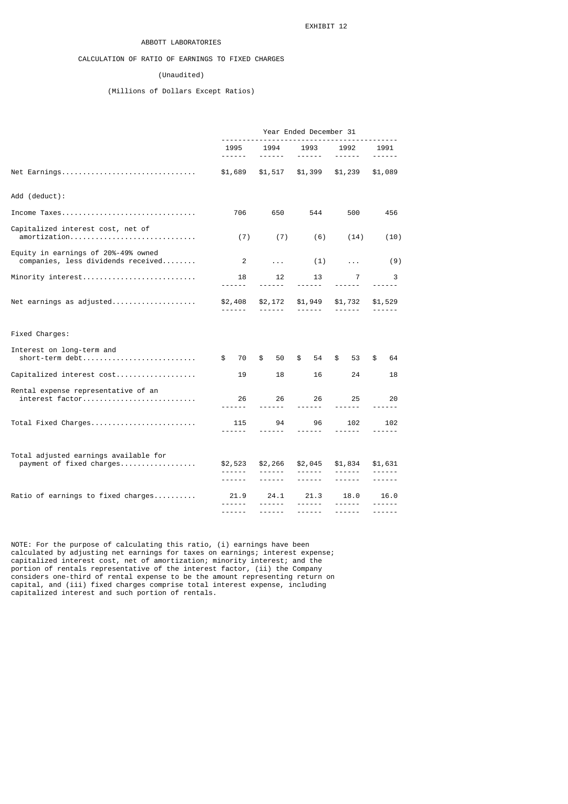## ABBOTT LABORATORIES

# CALCULATION OF RATIO OF EARNINGS TO FIXED CHARGES

## (Unaudited)

# (Millions of Dollars Except Ratios)

|                                                                           | Year Ended December 31   |                                                                                            |                                                                                                                                                                                                                                                                                                                                                                                                                                                                                    |                            |                          |  |  |
|---------------------------------------------------------------------------|--------------------------|--------------------------------------------------------------------------------------------|------------------------------------------------------------------------------------------------------------------------------------------------------------------------------------------------------------------------------------------------------------------------------------------------------------------------------------------------------------------------------------------------------------------------------------------------------------------------------------|----------------------------|--------------------------|--|--|
|                                                                           | 1995<br>------           | 1994<br>------                                                                             | 1993<br>$\frac{1}{2} \left( \frac{1}{2} \right) \left( \frac{1}{2} \right) \left( \frac{1}{2} \right) \left( \frac{1}{2} \right) \left( \frac{1}{2} \right) \left( \frac{1}{2} \right) \left( \frac{1}{2} \right) \left( \frac{1}{2} \right) \left( \frac{1}{2} \right) \left( \frac{1}{2} \right) \left( \frac{1}{2} \right) \left( \frac{1}{2} \right) \left( \frac{1}{2} \right) \left( \frac{1}{2} \right) \left( \frac{1}{2} \right) \left( \frac{1}{2} \right) \left( \frac$ | 1992<br>$- - - - - -$      | 1991<br>------           |  |  |
| Net Earnings                                                              | \$1,689                  | \$1,517                                                                                    | \$1,399                                                                                                                                                                                                                                                                                                                                                                                                                                                                            | \$1,239                    | \$1,089                  |  |  |
| Add (deduct):                                                             |                          |                                                                                            |                                                                                                                                                                                                                                                                                                                                                                                                                                                                                    |                            |                          |  |  |
| Income Taxes                                                              | 706                      | 650                                                                                        | 544                                                                                                                                                                                                                                                                                                                                                                                                                                                                                | 500                        | 456                      |  |  |
| Capitalized interest cost, net of<br>amortization                         | (7)                      | (7)                                                                                        | (6)                                                                                                                                                                                                                                                                                                                                                                                                                                                                                | (14)                       | (10)                     |  |  |
| Equity in earnings of 20%-49% owned<br>companies, less dividends received | 2                        | $\sim 100$                                                                                 | (1)                                                                                                                                                                                                                                                                                                                                                                                                                                                                                | $\sim 100$                 | (9)                      |  |  |
| Minority interest                                                         | 18<br>------             | 12<br>$- - - - - -$                                                                        | 13<br>------                                                                                                                                                                                                                                                                                                                                                                                                                                                                       | 7<br>------                | 3                        |  |  |
| Net earnings as adjusted                                                  | \$2,408<br>$- - - - - -$ | $- - - - - - -$                                                                            | \$2,172 \$1,949<br>$- - - - - - -$                                                                                                                                                                                                                                                                                                                                                                                                                                                 | \$1,732<br>$- - - - - -$   | \$1,529<br>$- - - - - -$ |  |  |
| Fixed Charges:                                                            |                          |                                                                                            |                                                                                                                                                                                                                                                                                                                                                                                                                                                                                    |                            |                          |  |  |
| Interest on long-term and<br>short-term debt                              | 70<br>\$                 | \$<br>50                                                                                   | \$<br>54                                                                                                                                                                                                                                                                                                                                                                                                                                                                           | \$<br>53                   | \$<br>64                 |  |  |
| Capitalized interest cost                                                 | 19                       | 18                                                                                         | 16                                                                                                                                                                                                                                                                                                                                                                                                                                                                                 | 24                         | 18                       |  |  |
| Rental expense representative of an<br>interest factor                    | 26<br><u>.</u>           | 26<br>------                                                                               | 26                                                                                                                                                                                                                                                                                                                                                                                                                                                                                 | 25<br>------               | 20<br>------             |  |  |
| Total Fixed Charges                                                       | 115<br>------            | 94<br>------                                                                               | 96<br>------                                                                                                                                                                                                                                                                                                                                                                                                                                                                       | 102                        | 102<br>------            |  |  |
| Total adjusted earnings available for<br>payment of fixed charges         | \$2,523<br>------        | \$2,266<br>$\begin{array}{cccccccccc} \bot & \bot & \bot & \bot & \bot & \bot \end{array}$ | \$2,045                                                                                                                                                                                                                                                                                                                                                                                                                                                                            | \$1,834<br>$- - - - - - -$ | \$1,631<br>$\frac{1}{2}$ |  |  |
|                                                                           | ------                   | $- - - - - -$                                                                              | $- - - - - - -$                                                                                                                                                                                                                                                                                                                                                                                                                                                                    | $- - - - - -$              | ------                   |  |  |
| Ratio of earnings to fixed charges                                        | 21.9<br>------           | 24.1<br>------                                                                             | 21.3<br>------                                                                                                                                                                                                                                                                                                                                                                                                                                                                     | 18.0<br>------             | 16.0<br>------           |  |  |
|                                                                           | ------                   | ------                                                                                     | $- - - - - -$                                                                                                                                                                                                                                                                                                                                                                                                                                                                      | ------                     | ------                   |  |  |

NOTE: For the purpose of calculating this ratio, (i) earnings have been calculated by adjusting net earnings for taxes on earnings; interest expense; capitalized interest cost, net of amortization; minority interest; and the portion of rentals representative of the interest factor, (ii) the Company considers one-third of rental expense to be the amount representing return on capital, and (iii) fixed charges comprise total interest expense, including capitalized interest and such portion of rentals.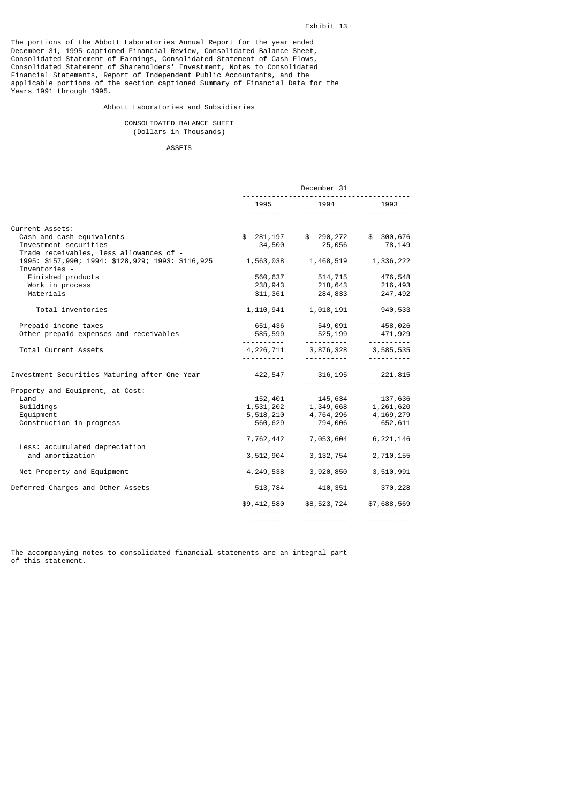The portions of the Abbott Laboratories Annual Report for the year ended December 31, 1995 captioned Financial Review, Consolidated Balance Sheet, Consolidated Statement of Earnings, Consolidated Statement of Cash Flows, Consolidated Statement of Shareholders' Investment, Notes to Consolidated Financial Statements, Report of Independent Public Accountants, and the applicable portions of the section captioned Summary of Financial Data for the Years 1991 through 1995.

### Abbott Laboratories and Subsidiaries

### CONSOLIDATED BALANCE SHEET (Dollars in Thousands)

### ASSETS

|                                                                                 | December 31                     |                                                                                                                                         |                                      |  |  |
|---------------------------------------------------------------------------------|---------------------------------|-----------------------------------------------------------------------------------------------------------------------------------------|--------------------------------------|--|--|
|                                                                                 |                                 | 1995 1994 1993                                                                                                                          |                                      |  |  |
|                                                                                 |                                 |                                                                                                                                         |                                      |  |  |
| Current Assets:                                                                 |                                 |                                                                                                                                         |                                      |  |  |
| Cash and cash equivalents                                                       |                                 | \$ 281,197 \$ 290,272 \$ 300,676                                                                                                        |                                      |  |  |
| Investment securities<br>Trade receivables, less allowances of -                |                                 | 34,500 25,056 78,149                                                                                                                    |                                      |  |  |
| 1995: \$157,990; 1994: \$128,929; 1993: \$116,925 1,563,038 1,468,519 1,336,222 |                                 |                                                                                                                                         |                                      |  |  |
| Inventories -                                                                   |                                 |                                                                                                                                         |                                      |  |  |
| Finished products                                                               |                                 | 560,637 514,715 476,548                                                                                                                 |                                      |  |  |
| Work in process                                                                 | 238,943                         | 218,643                                                                                                                                 | 216,493                              |  |  |
| Materials                                                                       | 311,361                         | 284,833                                                                                                                                 | 247,492                              |  |  |
|                                                                                 |                                 |                                                                                                                                         | <u> - - - - - - - - - -</u>          |  |  |
| Total inventories                                                               |                                 | 1, 110, 941 1, 018, 191                                                                                                                 | 940,533                              |  |  |
| Prepaid income taxes                                                            |                                 | 651,436 549,091 458,026                                                                                                                 |                                      |  |  |
| Other prepaid expenses and receivables                                          |                                 | 585, 599 525, 199 471, 929<br>. . <b>.</b>                                                                                              |                                      |  |  |
| Total Current Assets                                                            |                                 | $4,226,711$ $3,876,328$                                                                                                                 | .<br>3,585,535                       |  |  |
|                                                                                 |                                 |                                                                                                                                         | <u> - - - - - - - - - -</u>          |  |  |
| Investment Securities Maturing after One Year                                   |                                 | 422,547 316,195 221,815                                                                                                                 |                                      |  |  |
|                                                                                 | <u> - - - - - - - - - - -</u>   | <u> - - - - - - - - - - -</u>                                                                                                           | <u> - - - - - - - - - -</u>          |  |  |
| Property and Equipment, at Cost:                                                |                                 |                                                                                                                                         |                                      |  |  |
| Land                                                                            |                                 |                                                                                                                                         |                                      |  |  |
| Buildings                                                                       |                                 | $\begin{array}{cccc} 152,401 & 145,634 & 137,636 \\ 1,531,202 & 1,349,668 & 1,261,620 \\ 5,518,210 & 4,764,296 & 4,169,279 \end{array}$ |                                      |  |  |
| Equipment<br>Construction in progress                                           | 560,629                         | 794,006                                                                                                                                 | 652,611                              |  |  |
|                                                                                 |                                 |                                                                                                                                         | ----------                           |  |  |
|                                                                                 | 7,762,442                       | 7,053,604                                                                                                                               | 6,221,146                            |  |  |
| Less: accumulated depreciation                                                  |                                 |                                                                                                                                         |                                      |  |  |
| and amortization                                                                |                                 | 3,512,904 3,132,754 2,710,155                                                                                                           |                                      |  |  |
|                                                                                 |                                 |                                                                                                                                         |                                      |  |  |
| Net Property and Equipment                                                      |                                 | 4,249,538 3,920,850                                                                                                                     | 3,510,991                            |  |  |
| Deferred Charges and Other Assets                                               | <u> - - - - - - - - - - - -</u> | 513,784 410,351                                                                                                                         | 370,228<br><u> - - - - - - - - -</u> |  |  |
|                                                                                 |                                 | \$9,412,580 \$8,523,724                                                                                                                 | \$7,688,569                          |  |  |
|                                                                                 | <u> - - - - - - - - - -</u>     | <u> - - - - - - - - - -</u>                                                                                                             |                                      |  |  |
|                                                                                 |                                 | <u> - - - - - - - - - -</u>                                                                                                             |                                      |  |  |

The accompanying notes to consolidated financial statements are an integral part of this statement.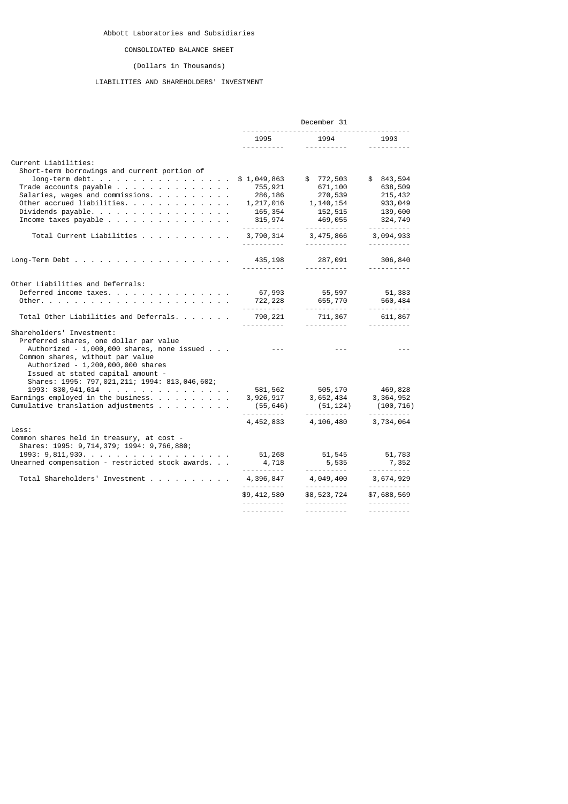# CONSOLIDATED BALANCE SHEET

# (Dollars in Thousands)

# LIABILITIES AND SHAREHOLDERS' INVESTMENT

|                                                                                                                                                                                                                                 |                                                                                                                                                                                                                                                                                                                                                                                              | December 31                                                                    |                                                                              |
|---------------------------------------------------------------------------------------------------------------------------------------------------------------------------------------------------------------------------------|----------------------------------------------------------------------------------------------------------------------------------------------------------------------------------------------------------------------------------------------------------------------------------------------------------------------------------------------------------------------------------------------|--------------------------------------------------------------------------------|------------------------------------------------------------------------------|
|                                                                                                                                                                                                                                 | 1995                                                                                                                                                                                                                                                                                                                                                                                         | 1994<br>_____________                                                          | 1993<br>.                                                                    |
| Current Liabilities:                                                                                                                                                                                                            |                                                                                                                                                                                                                                                                                                                                                                                              |                                                                                |                                                                              |
| Short-term borrowings and current portion of<br>$long-term$ debt.<br>Trade accounts payable<br>Salaries, wages and commissions.<br>Other accrued liabilities.<br>Dividends payable.<br>Income taxes payable                     | \$1,049,863<br>755,921<br>286,186<br>1,217,016<br>165,354<br>315,974<br><u>.</u> .                                                                                                                                                                                                                                                                                                           | \$772,503<br>671,100<br>270,539<br>1,140,154<br>152,515<br>469,055<br><u>.</u> | \$843,594<br>638,509<br>215,432<br>933,049<br>139,600<br>324,749<br><u>.</u> |
| Total Current Liabilities                                                                                                                                                                                                       | 3,790,314                                                                                                                                                                                                                                                                                                                                                                                    | 3, 475, 866 3, 094, 933<br><u> - - - - - - - - - -</u>                         |                                                                              |
| Long-Term Debt $\ldots$ $\ldots$ $\ldots$ $\ldots$ $\ldots$ $\ldots$ $\ldots$                                                                                                                                                   | 435,198                                                                                                                                                                                                                                                                                                                                                                                      | 287,091<br><u> - - - - - - - - -</u>                                           | 306,840                                                                      |
| Other Liabilities and Deferrals:<br>Deferred income taxes.                                                                                                                                                                      | 67,993<br>722, 228                                                                                                                                                                                                                                                                                                                                                                           | 55,597<br>655,770<br>----------                                                | 51,383<br>560,484<br>.                                                       |
| Total Other Liabilities and Deferrals.                                                                                                                                                                                          | 790,221<br><u> - - - - - - - - - -</u>                                                                                                                                                                                                                                                                                                                                                       | 711,367                                                                        | 611,867                                                                      |
| Shareholders' Investment:<br>Preferred shares, one dollar par value<br>Authorized - 1,000,000 shares, none issued<br>Common shares, without par value<br>Authorized - 1,200,000,000 shares<br>Issued at stated capital amount - | $\frac{1}{2} \frac{1}{2} \frac{1}{2} \frac{1}{2} \frac{1}{2} \frac{1}{2} \frac{1}{2} \frac{1}{2} \frac{1}{2} \frac{1}{2} \frac{1}{2} \frac{1}{2} \frac{1}{2} \frac{1}{2} \frac{1}{2} \frac{1}{2} \frac{1}{2} \frac{1}{2} \frac{1}{2} \frac{1}{2} \frac{1}{2} \frac{1}{2} \frac{1}{2} \frac{1}{2} \frac{1}{2} \frac{1}{2} \frac{1}{2} \frac{1}{2} \frac{1}{2} \frac{1}{2} \frac{1}{2} \frac{$ | <u> - - - - - - - - - -</u>                                                    | <u> - - - - - - - - - -</u>                                                  |
| Shares: 1995: 797, 021, 211; 1994: 813, 046, 602;<br>1993: 830, 941, 614<br>Earnings employed in the business. $\ldots$<br>Cumulative translation adjustments                                                                   | (55, 646)                                                                                                                                                                                                                                                                                                                                                                                    | 581, 562 505, 170<br>3, 926, 917 3, 652, 434<br>(51, 124)                      | 469,828<br>3, 364, 952<br>(100, 716)                                         |
|                                                                                                                                                                                                                                 | .<br>4,452,833                                                                                                                                                                                                                                                                                                                                                                               | 4,106,480                                                                      | <u>.</u><br>3,734,064                                                        |
| Less:<br>Common shares held in treasury, at cost -<br>Shares: 1995: 9,714,379; 1994: 9,766,880;<br>$1993: 9,811,930.$                                                                                                           | 51,268                                                                                                                                                                                                                                                                                                                                                                                       | 51,545                                                                         | 51,783                                                                       |
| Unearned compensation - restricted stock awards.                                                                                                                                                                                | 4,718                                                                                                                                                                                                                                                                                                                                                                                        | 5,535<br>-----------                                                           | 7,352                                                                        |
| Total Shareholders' Investment                                                                                                                                                                                                  | 4,396,847<br><u>.</u> .                                                                                                                                                                                                                                                                                                                                                                      | 4,049,400<br><u> - - - - - - - - - -</u>                                       | 3,674,929<br><u>.</u>                                                        |
|                                                                                                                                                                                                                                 | \$9,412,580                                                                                                                                                                                                                                                                                                                                                                                  | \$8,523,724<br><u> - - - - - - - - - -</u>                                     | \$7,688,569<br><u> - - - - - - - - - -</u>                                   |
|                                                                                                                                                                                                                                 |                                                                                                                                                                                                                                                                                                                                                                                              | <u> - - - - - - - - - -</u>                                                    | <u> - - - - - - - - - -</u>                                                  |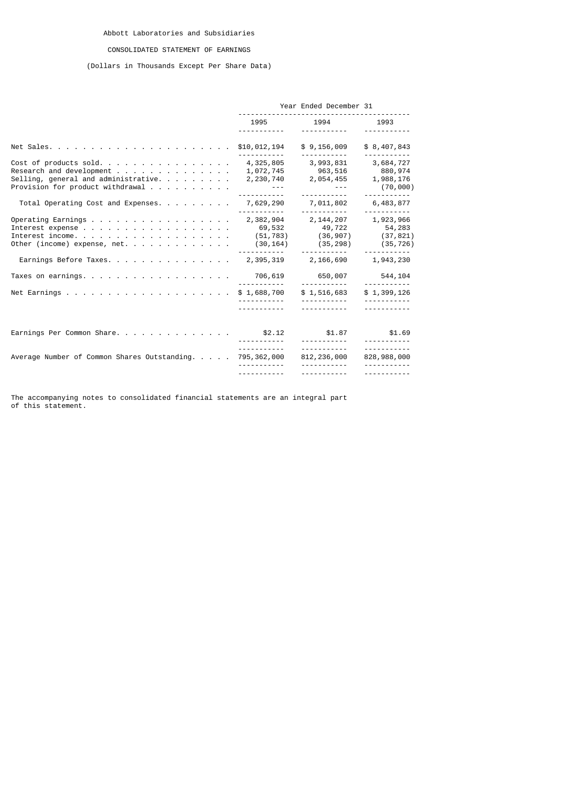# CONSOLIDATED STATEMENT OF EARNINGS

# (Dollars in Thousands Except Per Share Data)

|                                                                                                                                                                                                               | Year Ended December 31                                                                                                                |                                                                                                                                                                                                             |                                                                                 |  |
|---------------------------------------------------------------------------------------------------------------------------------------------------------------------------------------------------------------|---------------------------------------------------------------------------------------------------------------------------------------|-------------------------------------------------------------------------------------------------------------------------------------------------------------------------------------------------------------|---------------------------------------------------------------------------------|--|
|                                                                                                                                                                                                               | 1995 — 1995 — 1996 — 1996 — 1996 — 1997 — 1997 — 1998 — 1998 — 1998 — 1998 — 199                                                      | 1994 1993                                                                                                                                                                                                   |                                                                                 |  |
|                                                                                                                                                                                                               |                                                                                                                                       | \$9,156,009                                                                                                                                                                                                 | \$8,407,843                                                                     |  |
| Cost of products sold 4,325,805<br>Research and development<br>Selling, general and administrative. $\ldots$<br>Provision for product withdrawal                                                              | 1,072,745<br>2,230,740<br>$\mathcal{L}_{\mathcal{A}}$ , and $\mathcal{L}_{\mathcal{A}}$ , and $\mathcal{L}_{\mathcal{A}}$<br><u>.</u> | 3,993,831<br>963,516<br>2,054,455<br><u> - - - - - - - - - -</u>                                                                                                                                            | 3,684,727<br>880,974<br>1,988,176<br>(70,000)                                   |  |
| Total Operating Cost and Expenses. 7,629,290                                                                                                                                                                  |                                                                                                                                       | 7,011,802<br>-----------                                                                                                                                                                                    | 6,483,877<br><u>       ---------</u>                                            |  |
| Operating Earnings 2,382,904<br>Interest expense<br>Interest income.<br>Other (income) expense, net.<br>Earnings Before Taxes. 2,395,319 2,166,690<br>Taxes on earnings. 706,619<br>Net Earnings \$ 1,688,700 |                                                                                                                                       | 2, 144, 207 1, 923, 966<br>69,532 49,722 54,283<br>$(51, 783)$ $(36, 907)$ $(37, 821)$<br>$(30, 164)$ $(35, 298)$<br>650,007<br><u> - - - - - - - - - -</u><br>\$1,516,683<br><u> - - - - - - - - - - -</u> | (35, 726)<br>1,943,230<br>544,104<br><u> - - - - - - - - - -</u><br>\$1,399,126 |  |
|                                                                                                                                                                                                               | <u> - - - - - - - - - - -</u>                                                                                                         | .                                                                                                                                                                                                           | <u> - - - - - - - - - -</u>                                                     |  |
| Earnings Per Common Share. \$2.12                                                                                                                                                                             |                                                                                                                                       | \$1.87<br><u> - - - - - - - - - -</u>                                                                                                                                                                       | \$1.69                                                                          |  |
| Average Number of Common Shares Outstanding.                                                                                                                                                                  | 795,362,000                                                                                                                           | <u> - - - - - - - - - -</u> -<br>812,236,000                                                                                                                                                                | <u> - - - - - - - - - -</u><br>828,988,000                                      |  |
|                                                                                                                                                                                                               |                                                                                                                                       | <u> - - - - - - - - - -</u>                                                                                                                                                                                 |                                                                                 |  |

The accompanying notes to consolidated financial statements are an integral part of this statement.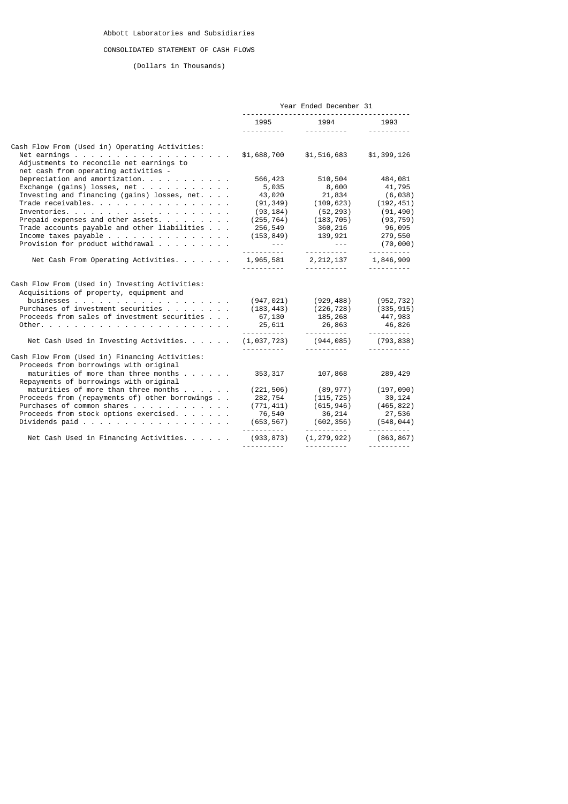# CONSOLIDATED STATEMENT OF CASH FLOWS

# (Dollars in Thousands)

|                                                                                                                                                                                                                                                                                                                                                                                             | Year Ended December 31                                                                                                  |                                                                                                                                                                                                           |                                                                                                                          |  |
|---------------------------------------------------------------------------------------------------------------------------------------------------------------------------------------------------------------------------------------------------------------------------------------------------------------------------------------------------------------------------------------------|-------------------------------------------------------------------------------------------------------------------------|-----------------------------------------------------------------------------------------------------------------------------------------------------------------------------------------------------------|--------------------------------------------------------------------------------------------------------------------------|--|
|                                                                                                                                                                                                                                                                                                                                                                                             |                                                                                                                         | 1995 1994 1993                                                                                                                                                                                            | <u> - - - - - - - - - -</u>                                                                                              |  |
| Cash Flow From (Used in) Operating Activities:<br>Net earnings \$1,688,700 \$1,516,683<br>Adjustments to reconcile net earnings to<br>net cash from operating activities -                                                                                                                                                                                                                  |                                                                                                                         |                                                                                                                                                                                                           | \$1,399,126                                                                                                              |  |
| Depreciation and amortization. $\cdots$<br>Exchange (gains) losses, net<br>Investing and financing (gains) losses, $net.$<br>Trade receivables.<br>Prepaid expenses and other assets.<br>Trade accounts payable and other liabilities<br>Income taxes payable $\ldots$<br>Provision for product withdrawal                                                                                  | 566,423<br>5,035<br>43,020<br>(91,349)<br>(93,184)<br>$\mathcal{L}_{\text{max}}$ , and $\mathcal{L}_{\text{max}}$ , and | 510,504<br>8,600<br>21,834<br>(109, 623)<br>(52, 293)<br>$(255, 764)$ $(183, 705)$ $(93, 759)$<br>256,549 360,216<br>$(153, 849)$ 139, 921<br>$\mathcal{L}_{\text{max}}$ , and $\mathcal{L}_{\text{max}}$ | 484,081<br>41,795<br>(6, 038)<br>(192, 451)<br>(91, 490)<br>96,095<br>279,550<br>(70,000)<br><u> - - - - - - - - - -</u> |  |
| Net Cash From Operating Activities. 1,965,581 2,212,137 1,846,909                                                                                                                                                                                                                                                                                                                           | <u> - - - - - - - - - - - -</u>                                                                                         | . <u>.</u>                                                                                                                                                                                                | <u> - - - - - - - - -</u>                                                                                                |  |
| Cash Flow From (Used in) Investing Activities:<br>Acquisitions of property, equipment and<br>Purchases of investment securities<br>Proceeds from sales of investment securities                                                                                                                                                                                                             | 67,130                                                                                                                  | $(947, 021)$ $(929, 488)$ $(952, 732)$<br>$(183, 443)$ $(226, 728)$ $(335, 915)$<br>185,268 447,983<br>$25,611$ $26,863$                                                                                  | 46,826<br><u> - - - - - - - - - -</u>                                                                                    |  |
| Net Cash Used in Investing Activities. (1,037,723) (944,085) (793,838)                                                                                                                                                                                                                                                                                                                      |                                                                                                                         |                                                                                                                                                                                                           | <u> - - - - - - - - - -</u>                                                                                              |  |
| Cash Flow From (Used in) Financing Activities:<br>Proceeds from borrowings with original<br>maturities of more than three months $\ldots$ , $\ldots$<br>Repayments of borrowings with original<br>maturities of more than three months $\ldots$<br>Proceeds from (repayments of) other borrowings<br>Purchases of common shares<br>Proceeds from stock options exercised.<br>Dividends paid | 353,317<br>76,540                                                                                                       | 107,868<br>$(221, 506)$ $(89, 977)$ $(197, 090)$<br>$(282, 754$ $(115, 725)$ 30, 124<br>$(771, 411)$ $(615, 946)$ $(465, 822)$<br>76,540     36,214<br>(653,567)    (602,356)                             | 289,429<br>27,536<br>(548, 044)<br><u> - - - - - - - - - -</u>                                                           |  |
| Net Cash Used in Financing Activities.                                                                                                                                                                                                                                                                                                                                                      | (933, 873)                                                                                                              | (1, 279, 922)                                                                                                                                                                                             | (863, 867)                                                                                                               |  |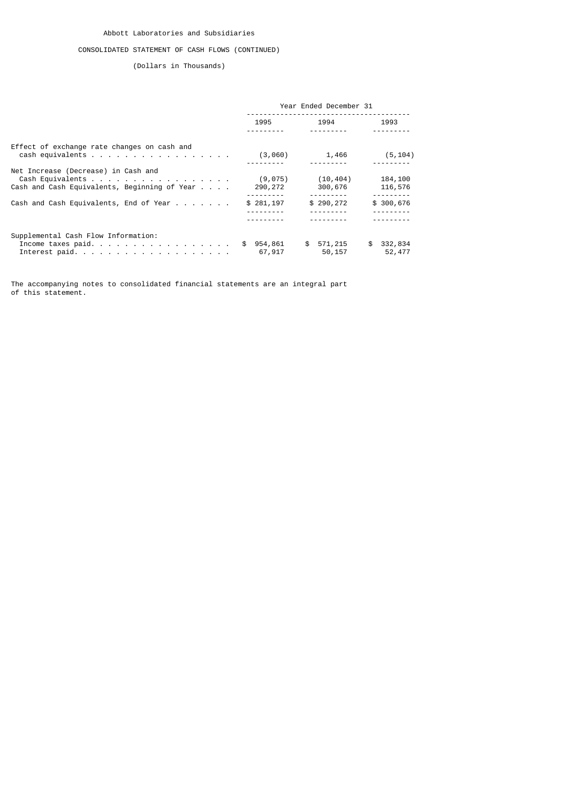# CONSOLIDATED STATEMENT OF CASH FLOWS (CONTINUED)

(Dollars in Thousands)

|                                                                                                                    | Year Ended December 31 |                                     |                                                  |  |
|--------------------------------------------------------------------------------------------------------------------|------------------------|-------------------------------------|--------------------------------------------------|--|
|                                                                                                                    | 1995                   | 1994                                | 1993                                             |  |
| Effect of exchange rate changes on cash and<br>cash equivalents                                                    |                        | $(3,060)$ 1,466                     | (5, 104)                                         |  |
| Net Increase (Decrease) in Cash and<br>Cash Equivalents<br>Cash and Cash Equivalents, Beginning of Year $\ldots$ . | (9, 075)<br>290,272    | (10, 404)<br>300,676                | 184,100<br>116,576                               |  |
| Cash and Cash Equivalents, End of Year                                                                             | \$281,197              | ---------<br>\$290,272<br>--------- | ---------<br>\$300,676<br>---------<br>--------- |  |
| Supplemental Cash Flow Information:<br>Income taxes paid.<br>Interest paid.                                        | \$954,861<br>67,917    | \$ 571,215<br>50,157                | \$332,834<br>52,477                              |  |

The accompanying notes to consolidated financial statements are an integral part of this statement.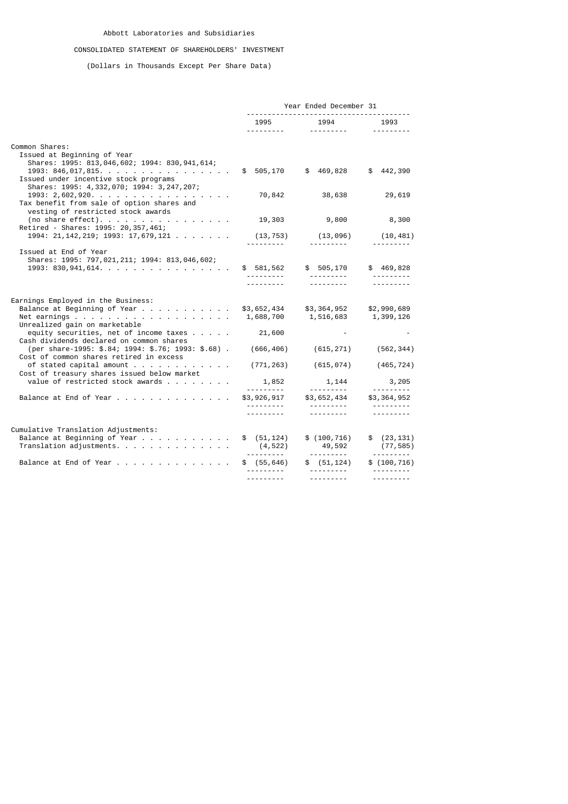# CONSOLIDATED STATEMENT OF SHAREHOLDERS' INVESTMENT

(Dollars in Thousands Except Per Share Data)

|                                                                                                                                                                     | Year Ended December 31                                 |                                                                            |                              |  |
|---------------------------------------------------------------------------------------------------------------------------------------------------------------------|--------------------------------------------------------|----------------------------------------------------------------------------|------------------------------|--|
|                                                                                                                                                                     |                                                        | 1995 1994 1993                                                             |                              |  |
| Common Shares:                                                                                                                                                      |                                                        |                                                                            |                              |  |
| Issued at Beginning of Year<br>Shares: 1995: 813, 046, 602; 1994: 830, 941, 614;<br>1993: 846,017,815\$ 505,170 \$ 469,828<br>Issued under incentive stock programs |                                                        |                                                                            | \$442,390                    |  |
| Shares: 1995: 4,332,070; 1994: 3,247,207;<br>$1993: 2,602,920.$<br>Tax benefit from sale of option shares and                                                       |                                                        | 70,842 38,638                                                              | 29,619                       |  |
| vesting of restricted stock awards<br>(no share effect).<br>Retired - Shares: 1995: 20,357,461;                                                                     |                                                        | 19,303 9,800 8,300                                                         |                              |  |
| 1994: 21, 142, 219; 1993: 17, 679, 121                                                                                                                              |                                                        | $(13, 753)$ $(13, 096)$ $(10, 481)$                                        |                              |  |
| Issued at End of Year<br>Shares: 1995: 797, 021, 211; 1994: 813, 046, 602;<br>$1993: 830, 941, 614.$                                                                |                                                        |                                                                            |                              |  |
|                                                                                                                                                                     | <u>.</u>                                               | 1.1.1.1.1.1.1                                                              | <u>.</u>                     |  |
| Earnings Employed in the Business:                                                                                                                                  |                                                        |                                                                            |                              |  |
| Balance at Beginning of Year<br>Unrealized gain on marketable                                                                                                       |                                                        | \$3,652,434 \$3,364,952 \$2,990,689<br>$1,688,700$ $1,516,683$ $1,399,126$ |                              |  |
| equity securities, net of income taxes<br>Cash dividends declared on common shares                                                                                  | 21,600                                                 |                                                                            |                              |  |
| (per share-1995: \$.84; 1994: \$.76; 1993: \$.68).<br>Cost of common shares retired in excess                                                                       |                                                        | $(666, 406)$ $(615, 271)$ $(562, 344)$                                     |                              |  |
| Cost of treasury shares issued below market                                                                                                                         |                                                        | $(771, 263)$ $(615, 074)$ $(465, 724)$                                     |                              |  |
| value of restricted stock awards<br>Balance at End of Year                                                                                                          |                                                        | $1,852$ $1,144$ $3,205$<br>$$3,926,917$ $$3,652,434$ $$3,364,952$          |                              |  |
|                                                                                                                                                                     | <u> - - - - - - - - -</u><br><u> - - - - - - - - -</u> | ___________                                                                | .<br><u> - - - - - - - -</u> |  |
| Cumulative Translation Adjustments:                                                                                                                                 |                                                        |                                                                            |                              |  |
| Balance at Beginning of Year<br>Translation adjustments.                                                                                                            | \$ (51, 124)                                           | \$(100, 716)<br>$(4,522)$ $49,592$ $(77,585)$                              | \$ (23, 131)<br>(77, 585)    |  |
| Balance at End of Year                                                                                                                                              | \$(55, 646)<br><u>.</u>                                | \$ (51, 124)<br>.                                                          | \$(100, 716)<br>.            |  |
|                                                                                                                                                                     |                                                        | <u> - - - - - - - - -</u>                                                  | ---------                    |  |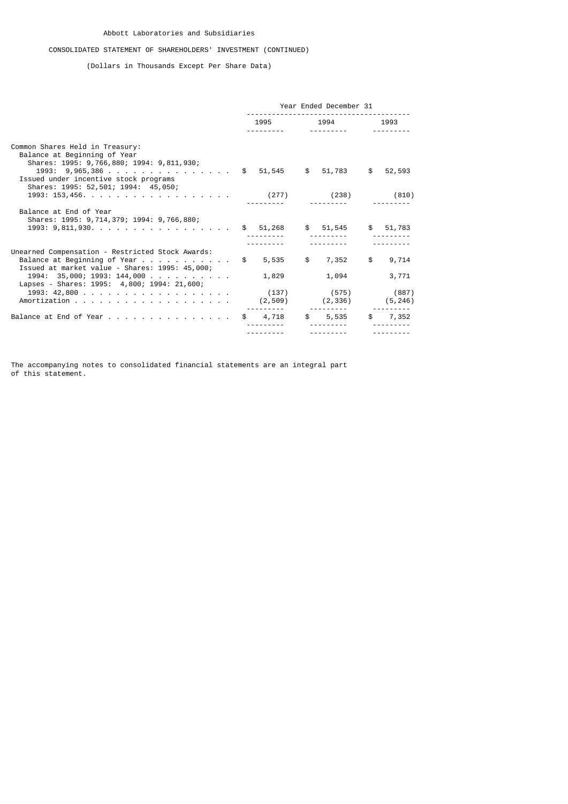# CONSOLIDATED STATEMENT OF SHAREHOLDERS' INVESTMENT (CONTINUED)

(Dollars in Thousands Except Per Share Data)

|                                                                                                                                                                                                        | Year Ended December 31 |       |                |                                                             |  |                  |
|--------------------------------------------------------------------------------------------------------------------------------------------------------------------------------------------------------|------------------------|-------|----------------|-------------------------------------------------------------|--|------------------|
|                                                                                                                                                                                                        |                        |       | 1995 1994 1993 |                                                             |  |                  |
| Common Shares Held in Treasury:<br>Balance at Beginning of Year<br>Shares: 1995: 9,766,880; 1994: 9,811,930;<br>1993: 9,965,386 \$ 51,545 \$ 51,783 \$ 52,593<br>Issued under incentive stock programs |                        |       |                |                                                             |  |                  |
| Shares: 1995: 52,501; 1994: 45,050;                                                                                                                                                                    |                        |       |                |                                                             |  |                  |
| Balance at End of Year<br>Shares: 1995: 9,714,379; 1994: 9,766,880;<br>$1993: 9,811,930$ \$ 51,268 \$ 51,545 \$ 51,783                                                                                 |                        |       |                |                                                             |  |                  |
| Unearned Compensation - Restricted Stock Awards:<br>Balance at Beginning of Year $\$$ 5,535 $$$ 7,352<br>Issued at market value - Shares: 1995: 45,000;<br>$1994: 35,000; 1993: 144,000$               |                        | 1,829 |                | 1,094                                                       |  | \$9,714<br>3,771 |
| Lapses - Shares: 1995: 4,800; 1994: 21,600;<br>1993: 42,800                                                                                                                                            |                        |       |                | $(137)$ $(575)$ $(887)$<br>$(2, 509)$ $(2, 336)$ $(5, 246)$ |  |                  |
| Balance at End of Year \$ 4,718 \$ 5,535 \$ 7,352                                                                                                                                                      |                        |       |                |                                                             |  |                  |
|                                                                                                                                                                                                        |                        |       |                |                                                             |  |                  |

The accompanying notes to consolidated financial statements are an integral part of this statement.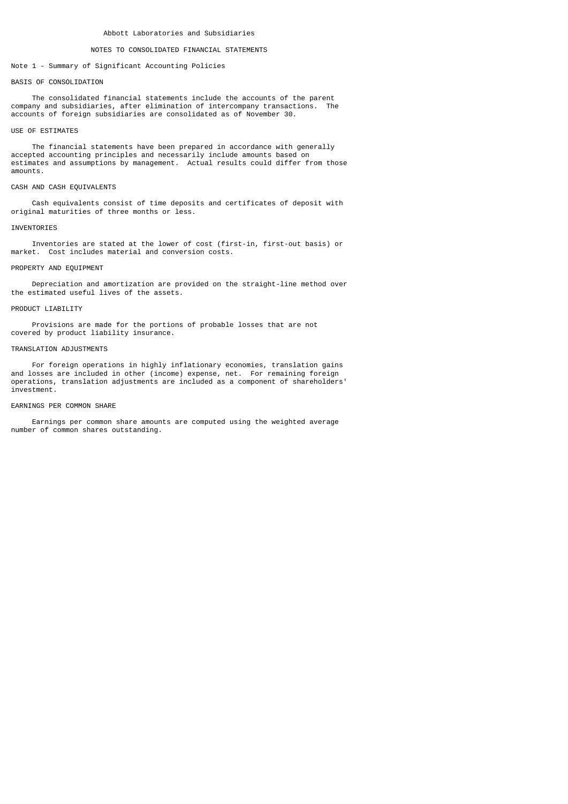#### NOTES TO CONSOLIDATED FINANCIAL STATEMENTS

Note 1 - Summary of Significant Accounting Policies

#### BASTS OF CONSOLIDATION

 The consolidated financial statements include the accounts of the parent company and subsidiaries, after elimination of intercompany transactions. The accounts of foreign subsidiaries are consolidated as of November 30.

#### USE OF ESTIMATES

 The financial statements have been prepared in accordance with generally accepted accounting principles and necessarily include amounts based on estimates and assumptions by management. Actual results could differ from those amounts.

#### CASH AND CASH EQUIVALENTS

 Cash equivalents consist of time deposits and certificates of deposit with original maturities of three months or less.

### **TNVENTORTES**

 Inventories are stated at the lower of cost (first-in, first-out basis) or market. Cost includes material and conversion costs.

### PROPERTY AND EQUIPMENT

 Depreciation and amortization are provided on the straight-line method over the estimated useful lives of the assets.

### PRODUCT LIABILITY

 Provisions are made for the portions of probable losses that are not covered by product liability insurance.

### TRANSLATION ADJUSTMENTS

 For foreign operations in highly inflationary economies, translation gains and losses are included in other (income) expense, net. For remaining foreign operations, translation adjustments are included as a component of shareholders' investment.

### EARNINGS PER COMMON SHARE

 Earnings per common share amounts are computed using the weighted average number of common shares outstanding.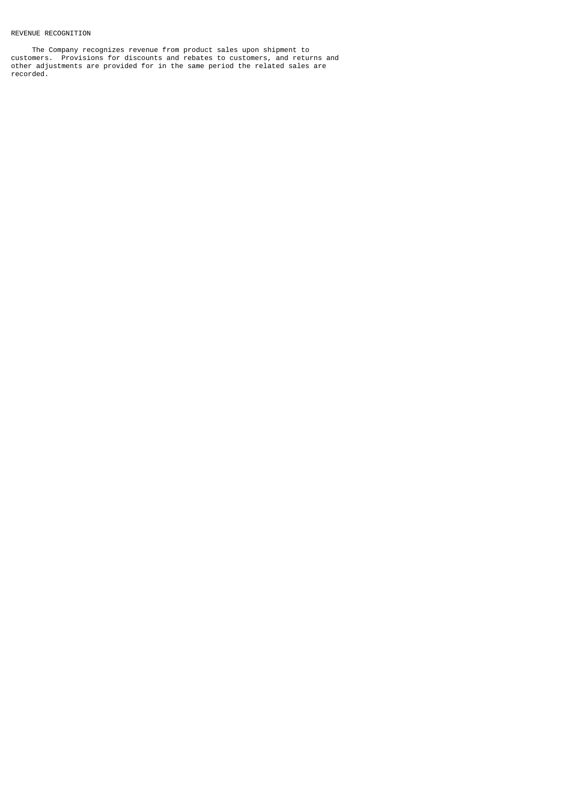## REVENUE RECOGNITION

 The Company recognizes revenue from product sales upon shipment to customers. Provisions for discounts and rebates to customers, and returns and other adjustments are provided for in the same period the related sales are recorded.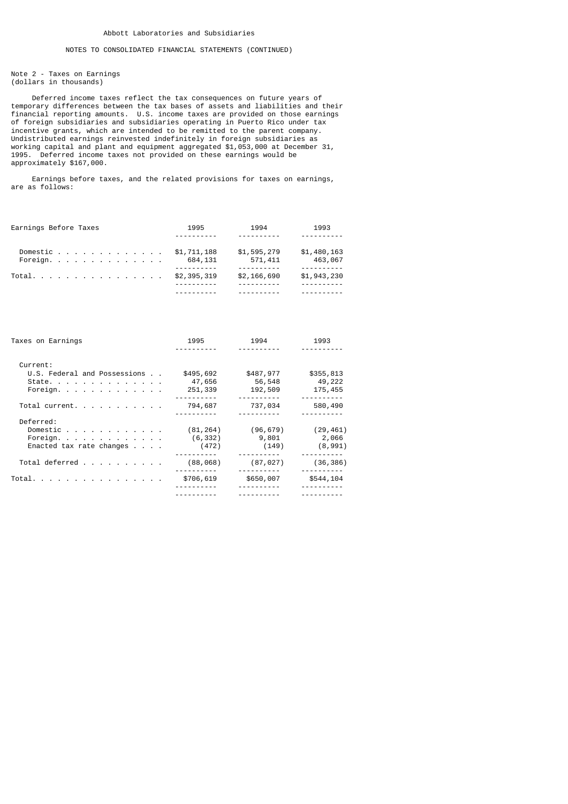Note 2 - Taxes on Earnings (dollars in thousands)

 Deferred income taxes reflect the tax consequences on future years of temporary differences between the tax bases of assets and liabilities and their financial reporting amounts. U.S. income taxes are provided on those earnings of foreign subsidiaries and subsidiaries operating in Puerto Rico under tax incentive grants, which are intended to be remitted to the parent company. Undistributed earnings reinvested indefinitely in foreign subsidiaries as working capital and plant and equipment aggregated \$1,053,000 at December 31, 1995. Deferred income taxes not provided on these earnings would be approximately \$167,000.

 Earnings before taxes, and the related provisions for taxes on earnings, are as follows:

| Earnings Before Taxes             | 1995        | 1994        | 1993        |
|-----------------------------------|-------------|-------------|-------------|
|                                   |             |             |             |
| Domestic                          | \$1,711,188 | \$1,595,279 | \$1,480,163 |
| Foreign. $\overline{\phantom{a}}$ | 684,131     | 571,411     | 463,067     |
|                                   |             |             |             |
| Total.                            | \$2,395,319 | \$2,166,690 | \$1,943,230 |
|                                   |             |             |             |
|                                   |             |             |             |

| Taxes on Earnings                            | 1995      | 1994      | 1993      |
|----------------------------------------------|-----------|-----------|-----------|
|                                              |           |           |           |
| Current:                                     |           |           |           |
| U.S. Federal and Possessions                 | \$495,692 | \$487,977 | \$355,813 |
| State.                                       | 47,656    | 56,548    | 49,222    |
| Foreign.                                     | 251,339   | 192,509   | 175,455   |
|                                              |           |           |           |
| Total current.                               | 794,687   | 737,034   | 580,490   |
|                                              |           |           |           |
| Deferred:                                    |           |           |           |
| Domestic $\cdots$ $\cdots$ $\cdots$ $\cdots$ | (81, 264) | (96, 679) | (29, 461) |
| Foreign.                                     | (6, 332)  | 9,801     | 2,066     |
| Enacted tax rate changes $\ldots$ .          | (472)     | (149)     | (8,991)   |
|                                              |           |           |           |
| Total deferred                               | (88, 068) | (87, 027) | (36, 386) |
|                                              |           |           |           |
| Total.                                       | \$706,619 | \$650,007 | \$544,104 |
|                                              |           |           |           |
|                                              |           |           |           |
|                                              |           |           |           |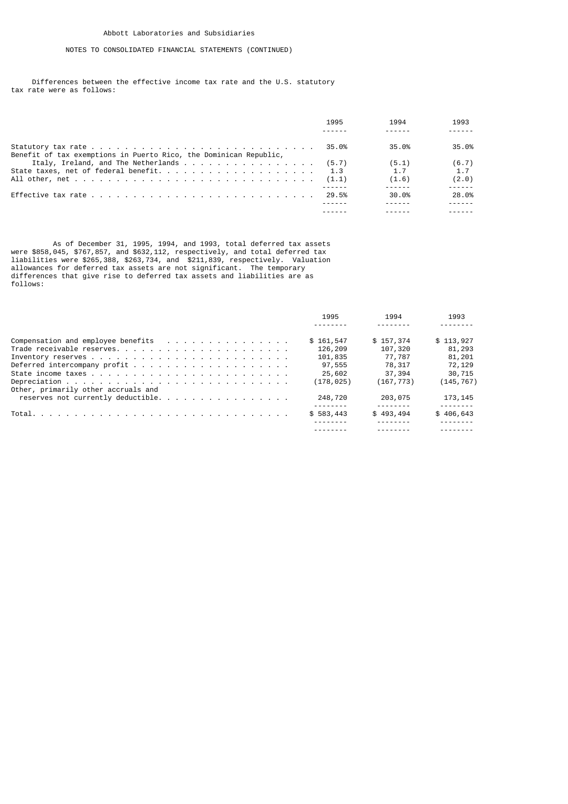Differences between the effective income tax rate and the U.S. statutory tax rate were as follows:

|                                                                   | 1995  | 1994  | 1993  |
|-------------------------------------------------------------------|-------|-------|-------|
| Benefit of tax exemptions in Puerto Rico, the Dominican Republic, | 35.0% | 35.0% | 35.0% |
|                                                                   |       | (5.1) | (6.7) |
|                                                                   |       | 1.7   | 1.7   |
|                                                                   |       | (1.6) | (2.0) |
|                                                                   | 29.5% | 30.0% | 28.0% |
|                                                                   |       |       |       |
|                                                                   |       |       |       |

 As of December 31, 1995, 1994, and 1993, total deferred tax assets were \$858,045, \$767,857, and \$632,112, respectively, and total deferred tax liabilities were \$265,388, \$263,734, and \$211,839, respectively. Valuation allowances for deferred tax assets are not significant. The temporary differences that give rise to deferred tax assets and liabilities are as follows:

|                                     | 1995       | 1994       | 1993                                 |
|-------------------------------------|------------|------------|--------------------------------------|
|                                     |            |            |                                      |
|                                     | \$161,547  | \$157,374  | \$113,927                            |
|                                     | 126,209    | 107,320    | 81,293                               |
|                                     | 101,835    | 77,787     | 81,201                               |
|                                     | 97,555     | 78,317     | 72,129                               |
|                                     | 25,602     | 37,394     | 30,715                               |
|                                     | (178, 025) | (167, 773) | (145,767)                            |
| Other, primarily other accruals and |            |            |                                      |
|                                     | 248,720    | 203,075    | 173, 145                             |
|                                     |            |            |                                      |
|                                     | \$583,443  | \$493,494  | \$406,643<br><u> - - - - - - - -</u> |
|                                     |            |            |                                      |
|                                     |            |            |                                      |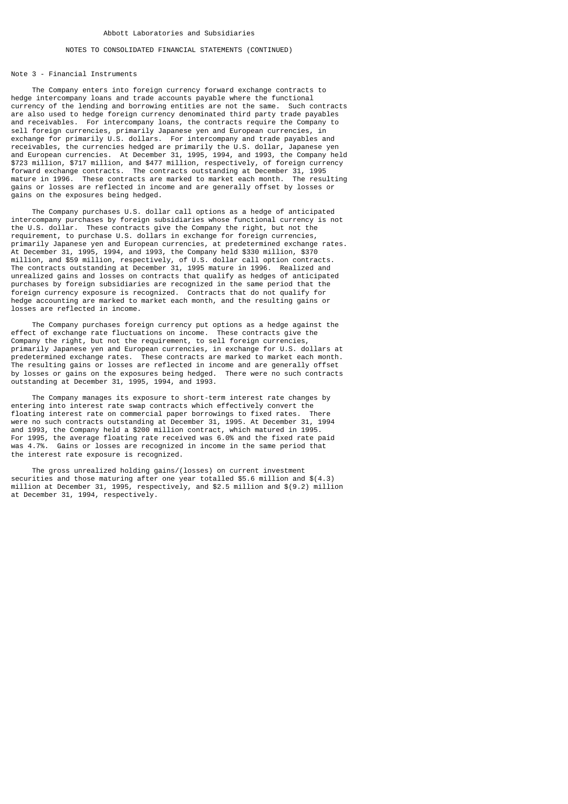### NOTES TO CONSOLIDATED FINANCIAL STATEMENTS (CONTINUED)

#### Note 3 - Financial Instruments

 The Company enters into foreign currency forward exchange contracts to hedge intercompany loans and trade accounts payable where the functional currency of the lending and borrowing entities are not the same. Such contracts are also used to hedge foreign currency denominated third party trade payables and receivables. For intercompany loans, the contracts require the Company to sell foreign currencies, primarily Japanese yen and European currencies, in exchange for primarily U.S. dollars. For intercompany and trade payables and receivables, the currencies hedged are primarily the U.S. dollar, Japanese yen and European currencies. At December 31, 1995, 1994, and 1993, the Company held \$723 million, \$717 million, and \$477 million, respectively, of foreign currency forward exchange contracts. The contracts outstanding at December 31, 1995 mature in 1996. These contracts are marked to market each month. The resulting gains or losses are reflected in income and are generally offset by losses or gains on the exposures being hedged.

 The Company purchases U.S. dollar call options as a hedge of anticipated intercompany purchases by foreign subsidiaries whose functional currency is not the U.S. dollar. These contracts give the Company the right, but not the requirement, to purchase U.S. dollars in exchange for foreign currencies, primarily Japanese yen and European currencies, at predetermined exchange rates. At December 31, 1995, 1994, and 1993, the Company held \$330 million,  $$370$ million, and \$59 million, respectively, of U.S. dollar call option contracts. The contracts outstanding at December 31, 1995 mature in 1996. Realized and unrealized gains and losses on contracts that qualify as hedges of anticipated purchases by foreign subsidiaries are recognized in the same period that the foreign currency exposure is recognized. Contracts that do not qualify for hedge accounting are marked to market each month, and the resulting gains or losses are reflected in income.

 The Company purchases foreign currency put options as a hedge against the effect of exchange rate fluctuations on income. These contracts give the Company the right, but not the requirement, to sell foreign currencies, primarily Japanese yen and European currencies, in exchange for U.S. dollars at predetermined exchange rates. These contracts are marked to market each month. The resulting gains or losses are reflected in income and are generally offset by losses or gains on the exposures being hedged. There were no such contracts outstanding at December 31, 1995, 1994, and 1993.

 The Company manages its exposure to short-term interest rate changes by entering into interest rate swap contracts which effectively convert the floating interest rate on commercial paper borrowings to fixed rates. There were no such contracts outstanding at December 31, 1995. At December 31, 1994 and 1993, the Company held a \$200 million contract, which matured in 1995. For 1995, the average floating rate received was 6.0% and the fixed rate paid was 4.7%. Gains or losses are recognized in income in the same period that the interest rate exposure is recognized.

 The gross unrealized holding gains/(losses) on current investment securities and those maturing after one year totalled \$5.6 million and \$(4.3) million at December 31, 1995, respectively, and \$2.5 million and \$(9.2) million at December 31, 1994, respectively.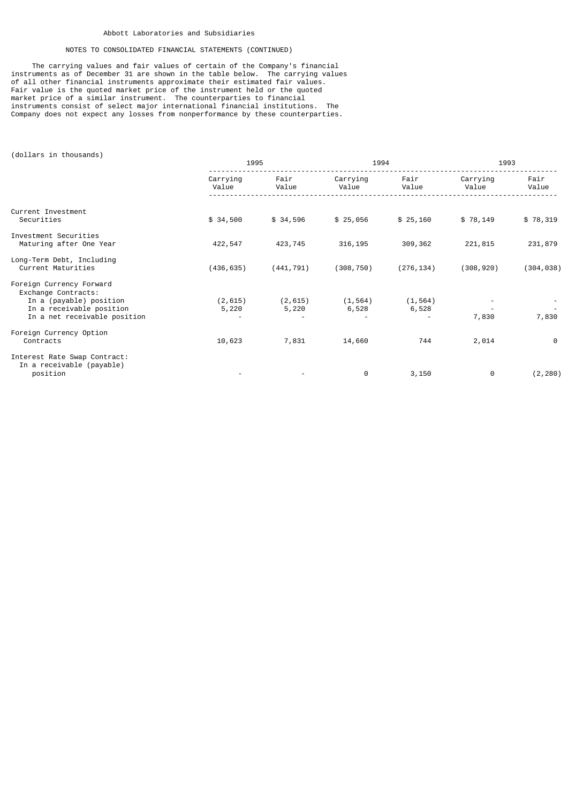# NOTES TO CONSOLIDATED FINANCIAL STATEMENTS (CONTINUED)

 The carrying values and fair values of certain of the Company's financial instruments as of December 31 are shown in the table below. The carrying values of all other financial instruments approximate their estimated fair values. Fair value is the quoted market price of the instrument held or the quoted market price of a similar instrument. The counterparties to financial instruments consist of select major international financial institutions. The Company does not expect any losses from nonperformance by these counterparties.

(dollars in thousands)

|                                                                                                                                        |                   | 1995              |                   | 1994              | 1993              |               |  |
|----------------------------------------------------------------------------------------------------------------------------------------|-------------------|-------------------|-------------------|-------------------|-------------------|---------------|--|
|                                                                                                                                        | Carrying<br>Value | Fair<br>Value     | Carrying<br>Value | Fair<br>Value     | Carrying<br>Value | Fair<br>Value |  |
| Current Investment<br>Securities                                                                                                       | \$34,500          | \$34,596          | \$25,056          | \$25,160          | \$78,149          | \$78,319      |  |
| Investment Securities<br>Maturing after One Year                                                                                       | 422,547           | 423,745           | 316, 195          | 309,362           | 221,815           | 231,879       |  |
| Long-Term Debt, Including<br>Current Maturities                                                                                        | (436, 635)        | (441, 791)        | (308, 750)        | (276, 134)        | (308, 920)        | (304, 038)    |  |
| Foreign Currency Forward<br>Exchange Contracts:<br>In a (payable) position<br>In a receivable position<br>In a net receivable position | (2, 615)<br>5,220 | (2, 615)<br>5,220 | (1, 564)<br>6,528 | (1, 564)<br>6,528 | 7,830             | 7,830         |  |
| Foreign Currency Option<br>Contracts                                                                                                   | 10,623            | 7,831             | 14,660            | 744               | 2,014             | $\Theta$      |  |
| Interest Rate Swap Contract:<br>In a receivable (payable)<br>position                                                                  |                   |                   | 0                 | 3,150             | 0                 | (2, 280)      |  |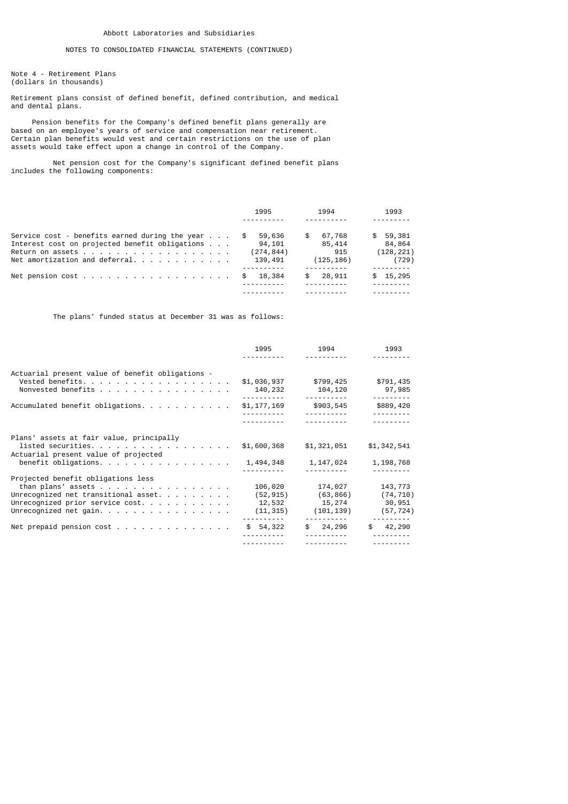## NOTES TO CONSOLIDATED FINANCIAL STATEMENTS (CONTINUED)

Note 4 - Retirement Plans (dollars in thousands)

Retirement plans consist of defined benefit, defined contribution, and medical and dental plans.

 Pension benefits for the Company's defined benefit plans generally are based on an employee's years of service and compensation near retirement. Certain plan benefits would vest and certain restrictions on the use of plan assets would take effect upon a change in control of the Company.

 Net pension cost for the Company's significant defined benefit plans includes the following components:

|                                                                                 | 1995       | 1994         | 1993       |
|---------------------------------------------------------------------------------|------------|--------------|------------|
|                                                                                 |            |              |            |
| Service cost - benefits earned during the year $\ldots$                         | 59,636     | 67,768<br>S. | \$59,381   |
| Interest cost on projected benefit obligations                                  | 94,101     | 85,414       | 84,864     |
| Return on assets $\cdots$ $\cdots$ $\cdots$ $\cdots$ $\cdots$ $\cdots$ $\cdots$ | (274, 844) | 915          | (128, 221) |
|                                                                                 | 139,491    | (125, 186)   | (729)      |
|                                                                                 |            |              |            |
| Net pension cost                                                                | 18,384     | 28,911<br>S. | \$15,295   |
|                                                                                 |            |              |            |
|                                                                                 |            |              |            |

The plans' funded status at December 31 was as follows:

|                                                                                                                                                                         | 1995                                                  | 1994                                                      | 1993                                        |
|-------------------------------------------------------------------------------------------------------------------------------------------------------------------------|-------------------------------------------------------|-----------------------------------------------------------|---------------------------------------------|
|                                                                                                                                                                         |                                                       |                                                           |                                             |
| Actuarial present value of benefit obligations -<br>Vested benefits.<br>Nonvested benefits                                                                              | \$1,036,937<br>140,232<br><u> - - - - - - - - - -</u> | \$799,425<br>104,120<br>-----------                       | \$791,435<br>97,985<br>---------            |
| Accumulated benefit obligations                                                                                                                                         | \$1,177,169                                           | \$903,545<br><u> - - - - - - - - - -</u>                  | \$889,420<br><u> - - - - - - - - -</u>      |
|                                                                                                                                                                         | <u> - - - - - - - - - -</u>                           |                                                           |                                             |
| Plans' assets at fair value, principally<br>listed securities.<br>Actuarial present value of projected<br>benefit obligations.                                          | \$1,600,368<br>1,494,348                              | \$1,321,051<br>1,147,024                                  | \$1,342,541<br>1,198,768                    |
| Projected benefit obligations less<br>than plans' assets<br>Unrecognized net transitional asset.<br>Unrecognized prior service cost.<br>Unrecognized net gain. $\ldots$ | 106,020<br>(52, 915)<br>12,532<br>(11, 315)           | 174,027<br>(63,866)<br>15,274<br>(101, 139)<br>---------- | 143,773<br>(74, 710)<br>30,951<br>(57, 724) |
|                                                                                                                                                                         | \$54,322                                              | \$24,296<br><u> - - - - - - - - - -</u>                   | \$ 42, 290<br>---------                     |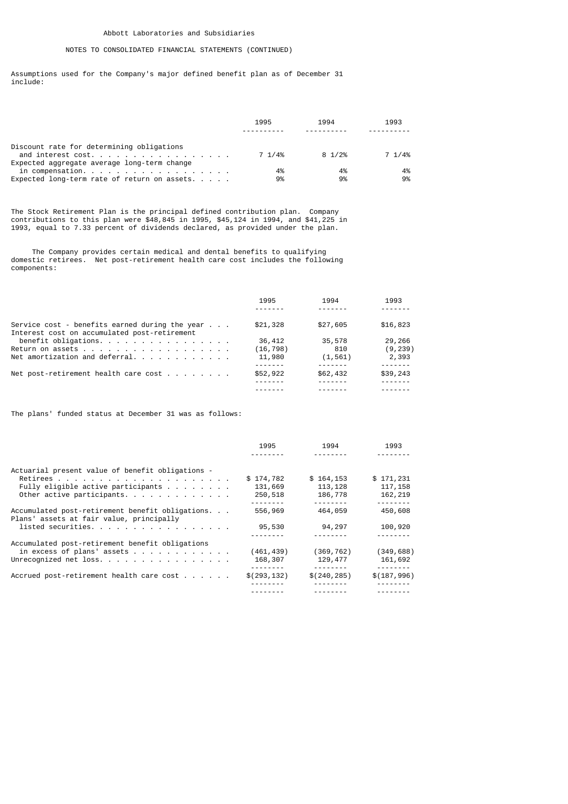## NOTES TO CONSOLIDATED FINANCIAL STATEMENTS (CONTINUED)

Assumptions used for the Company's major defined benefit plan as of December 31 include:

|                                                                                                                | 1995   | 1994   | 1993   |
|----------------------------------------------------------------------------------------------------------------|--------|--------|--------|
| Discount rate for determining obligations<br>and interest cost.<br>Expected aggregate average long-term change | 7 1/4% | 8 1/2% | 7 1/4% |
| in compensation.                                                                                               | 4%     | 4%     | 4%     |
| Expected long-term rate of return on assets. $\ldots$ .                                                        | 9%     | 9%     | 9%     |

The Stock Retirement Plan is the principal defined contribution plan. Company contributions to this plan were \$48,845 in 1995, \$45,124 in 1994, and \$41,225 in 1993, equal to 7.33 percent of dividends declared, as provided under the plan.

 The Company provides certain medical and dental benefits to qualifying domestic retirees. Net post-retirement health care cost includes the following components:

|                                                                                                         | 1995     | 1994     | 1993     |
|---------------------------------------------------------------------------------------------------------|----------|----------|----------|
| Service cost - benefits earned during the year $\ldots$<br>Interest cost on accumulated post-retirement | \$21,328 | \$27,605 | \$16,823 |
| benefit obligations.                                                                                    | 36,412   | 35,578   | 29,266   |
| Return on assets                                                                                        | (16,798) | 810      | (9, 239) |
| Net amortization and deferral. $\ldots$                                                                 | 11,980   | (1, 561) | 2,393    |
|                                                                                                         |          |          |          |
| Net post-retirement health care cost $\ldots$                                                           | \$52,922 | \$62,432 | \$39,243 |
|                                                                                                         |          |          |          |
|                                                                                                         |          |          |          |

The plans' funded status at December 31 was as follows:

|                                                                                              | 1995         | 1994         | 1993         |
|----------------------------------------------------------------------------------------------|--------------|--------------|--------------|
|                                                                                              |              |              |              |
| Actuarial present value of benefit obligations -                                             |              |              |              |
|                                                                                              | \$174,782    | \$164, 153   | \$171,231    |
| Fully eligible active participants $\ldots$                                                  | 131,669      | 113, 128     | 117, 158     |
| Other active participants.                                                                   | 250,518      | 186,778      | 162,219      |
|                                                                                              | --------     | --------     |              |
| Accumulated post-retirement benefit obligations.<br>Plans' assets at fair value, principally | 556,969      | 464,059      | 450,608      |
| listed securities.                                                                           | 95,530       | 94,297       | 100,920      |
|                                                                                              |              |              |              |
| Accumulated post-retirement benefit obligations                                              |              |              |              |
| in excess of plans' assets                                                                   | (461, 439)   | (369, 762)   | (349, 688)   |
| Unrecognized net loss.                                                                       | 168,307      | 129,477      | 161,692      |
|                                                                                              |              | --------     | ------       |
| Accrued post-retirement health care cost $\cdots$                                            | \$(293, 132) | \$(240, 285) | \$(187, 996) |
|                                                                                              |              |              |              |
|                                                                                              |              |              |              |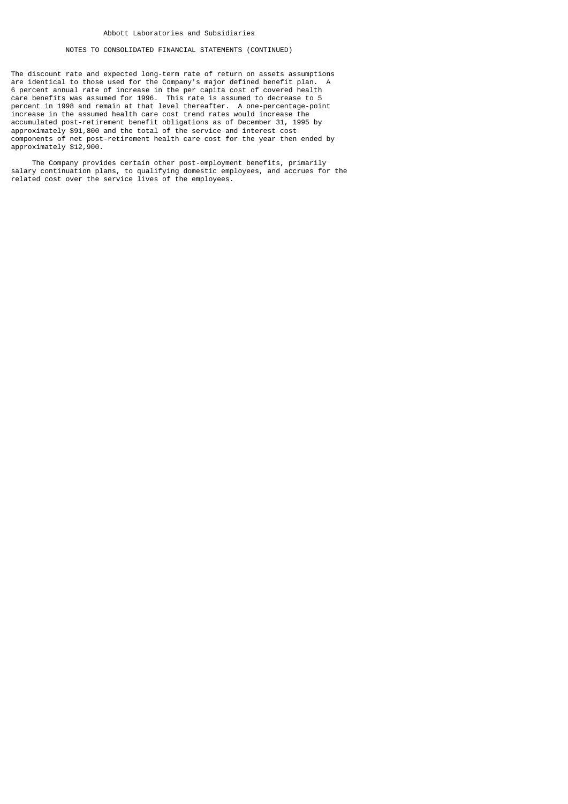## NOTES TO CONSOLIDATED FINANCIAL STATEMENTS (CONTINUED)

The discount rate and expected long-term rate of return on assets assumptions are identical to those used for the Company's major defined benefit plan. A 6 percent annual rate of increase in the per capita cost of covered health care benefits was assumed for 1996. This rate is assumed to decrease to 5 percent in 1998 and remain at that level thereafter. A one-percentage-point increase in the assumed health care cost trend rates would increase the accumulated post-retirement benefit obligations as of December 31, 1995 by approximately \$91,800 and the total of the service and interest cost components of net post-retirement health care cost for the year then ended by approximately \$12,900.

 The Company provides certain other post-employment benefits, primarily salary continuation plans, to qualifying domestic employees, and accrues for the related cost over the service lives of the employees.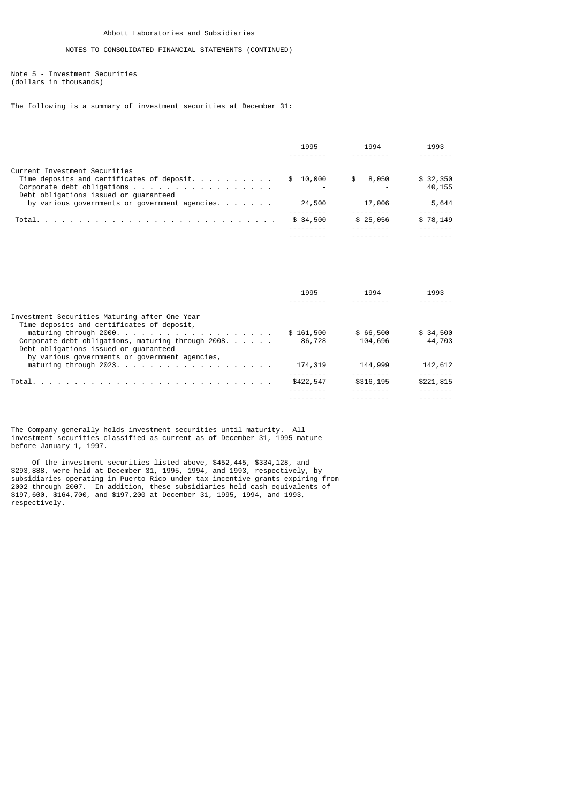Note 5 - Investment Securities (dollars in thousands)

The following is a summary of investment securities at December 31:

|                                                                     | 1995     | 1994     | 1993     |
|---------------------------------------------------------------------|----------|----------|----------|
|                                                                     |          |          |          |
| Current Investment Securities                                       |          |          |          |
|                                                                     | \$10.000 | \$8,050  | \$32,350 |
| Corporate debt obligations<br>Debt obligations issued or quaranteed |          |          | 40,155   |
| by various governments or government agencies. $\ldots$             | 24,500   | 17,006   | 5,644    |
|                                                                     | \$34,500 | \$25,056 | \$78,149 |
|                                                                     |          |          |          |
|                                                                     |          |          |          |

|                                                                                         | 1995      | 1994      | 1993      |
|-----------------------------------------------------------------------------------------|-----------|-----------|-----------|
|                                                                                         |           |           |           |
| Investment Securities Maturing after One Year                                           |           |           |           |
| Time deposits and certificates of deposit,                                              |           |           |           |
|                                                                                         | \$161,500 | \$66,500  | \$34,500  |
| Corporate debt obligations, maturing through $2008.$                                    | 86,728    | 104,696   | 44,703    |
| Debt obligations issued or quaranteed<br>by various governments or government agencies, |           |           |           |
| maturing through $2023.$                                                                | 174,319   | 144,999   | 142,612   |
|                                                                                         |           |           |           |
|                                                                                         | \$422,547 | \$316,195 | \$221,815 |
|                                                                                         |           |           |           |
|                                                                                         |           |           |           |

The Company generally holds investment securities until maturity. All investment securities classified as current as of December 31, 1995 mature before January 1, 1997.

 Of the investment securities listed above, \$452,445, \$334,128, and \$293,888, were held at December 31, 1995, 1994, and 1993, respectively, by subsidiaries operating in Puerto Rico under tax incentive grants expiring from 2002 through 2007. In addition, these subsidiaries held cash equivalents of \$197,600, \$164,700, and \$197,200 at December 31, 1995, 1994, and 1993, respectively.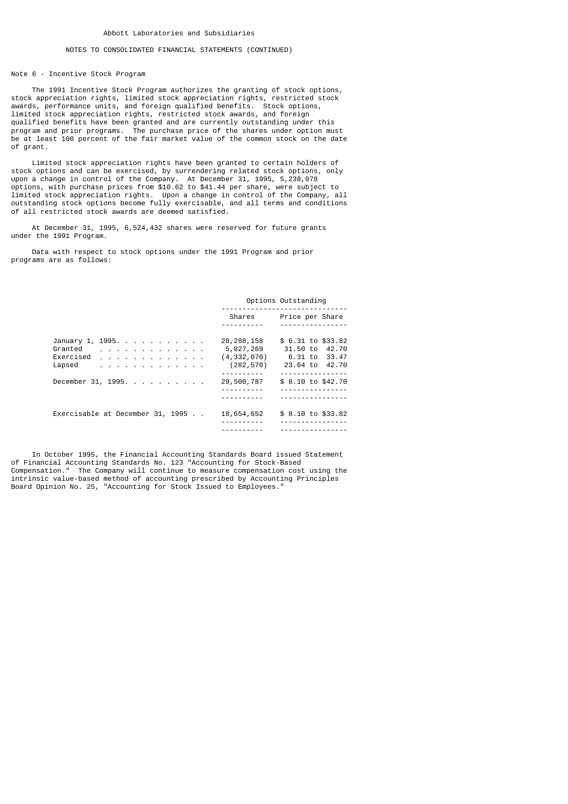#### Note 6 - Incentive Stock Program

 The 1991 Incentive Stock Program authorizes the granting of stock options, stock appreciation rights, limited stock appreciation rights, restricted stock awards, performance units, and foreign qualified benefits. Stock options, limited stock appreciation rights, restricted stock awards, and foreign qualified benefits have been granted and are currently outstanding under this program and prior programs. The purchase price of the shares under option must be at least 100 percent of the fair market value of the common stock on the date of grant.

 Limited stock appreciation rights have been granted to certain holders of stock options and can be exercised, by surrendering related stock options, only upon a change in control of the Company. At December 31, 1995, 5,238,078 options, with purchase prices from \$10.62 to \$41.44 per share, were subject to limited stock appreciation rights. Upon a change in control of the Company, all outstanding stock options become fully exercisable, and all terms and conditions of all restricted stock awards are deemed satisfied.

 At December 31, 1995, 6,524,432 shares were reserved for future grants under the 1991 Program.

 Data with respect to stock options under the 1991 Program and prior programs are as follows:

#### Options Outstanding ------------------------------

|                                                                                                                                                                                                  | Shares                                                   | Price per Share                                                            |
|--------------------------------------------------------------------------------------------------------------------------------------------------------------------------------------------------|----------------------------------------------------------|----------------------------------------------------------------------------|
|                                                                                                                                                                                                  |                                                          |                                                                            |
| January 1, 1995.<br>Granted<br>and the contract of the contract of the con-<br>Exercised<br>and a series of the contract of the contract<br>Lapsed<br>a construction of the contract of the con- | 28, 288, 158<br>5,827,269<br>(4, 332, 070)<br>(282, 570) | \$ 6.31 to \$33.82<br>31.50 to<br>42.70<br>6.31 to 33.47<br>23.64 to 42.70 |
| December 31, 1995.                                                                                                                                                                               | 29,500,787                                               | . <b>.</b> .<br>\$ 8.10 to \$42.70<br>---------                            |
| Exercisable at December 31, 1995                                                                                                                                                                 | 18,654,652                                               | \$ 8.10 to \$33.82                                                         |

 In October 1995, the Financial Accounting Standards Board issued Statement of Financial Accounting Standards No. 123 "Accounting for Stock-Based Compensation." The Company will continue to measure compensation cost using the intrinsic value-based method of accounting prescribed by Accounting Principles Board Opinion No. 25, "Accounting for Stock Issued to Employees."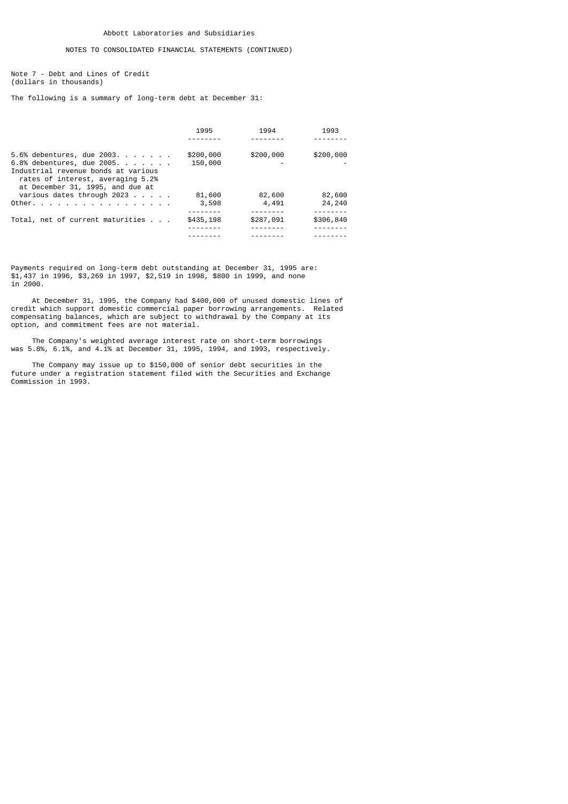Note 7 - Debt and Lines of Credit (dollars in thousands)

The following is a summary of long-term debt at December 31:

|                                                                                                                                                                          | 1995                 | 1994      | 1993      |
|--------------------------------------------------------------------------------------------------------------------------------------------------------------------------|----------------------|-----------|-----------|
|                                                                                                                                                                          |                      |           |           |
| 5.6% debentures, due 2003.<br>6.8% debentures, due 2005.<br>Industrial revenue bonds at various<br>rates of interest, averaging 5.2%<br>at December 31, 1995, and due at | \$200,000<br>150,000 | \$200,000 | \$200,000 |
| various dates through $2023$                                                                                                                                             | 81,600               | 82,600    | 82,600    |
| Other.                                                                                                                                                                   | 3,598                | 4,491     | 24,240    |
| Total, net of current maturities                                                                                                                                         | \$435,198            | \$287,091 | \$306,840 |
|                                                                                                                                                                          |                      |           |           |
|                                                                                                                                                                          |                      |           |           |
|                                                                                                                                                                          |                      |           |           |

Payments required on long-term debt outstanding at December 31, 1995 are: \$1,437 in 1996, \$3,269 in 1997, \$2,519 in 1998, \$800 in 1999, and none in 2000.

 At December 31, 1995, the Company had \$400,000 of unused domestic lines of credit which support domestic commercial paper borrowing arrangements. Related compensating balances, which are subject to withdrawal by the Company at its option, and commitment fees are not material.

 The Company's weighted average interest rate on short-term borrowings was 5.8%, 6.1%, and 4.1% at December 31, 1995, 1994, and 1993, respectively.

 The Company may issue up to \$150,000 of senior debt securities in the future under a registration statement filed with the Securities and Exchange Commission in 1993.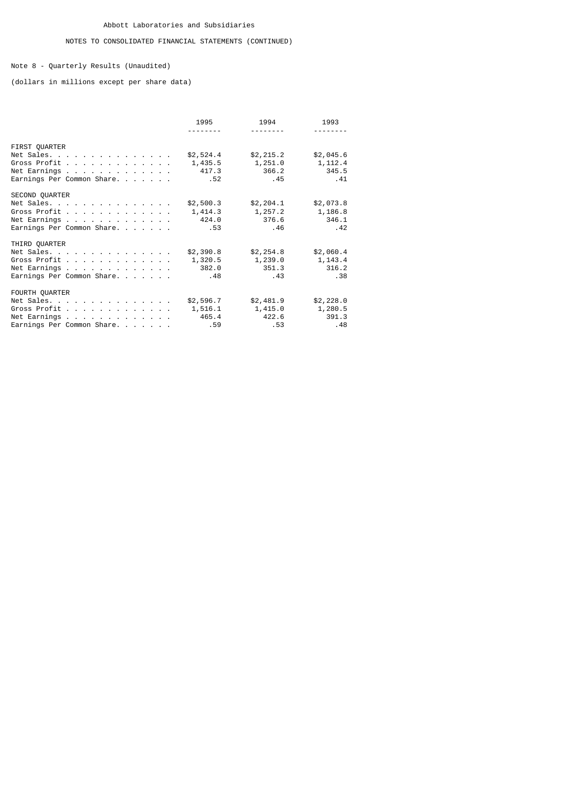Note 8 - Quarterly Results (Unaudited)

(dollars in millions except per share data)

|                                                                                            | 1995                                 | 1994<br><u>.</u>                      | 1993                                  |
|--------------------------------------------------------------------------------------------|--------------------------------------|---------------------------------------|---------------------------------------|
| FIRST QUARTER<br>Net Sales.<br>Gross Profit<br>Net Earnings<br>Earnings Per Common Share.  | \$2,524.4<br>1,435.5<br>417.3<br>.52 | \$2, 215.2<br>1,251.0<br>366.2<br>.45 | \$2,045.6<br>1, 112.4<br>345.5<br>.41 |
| SECOND QUARTER<br>Net Sales.<br>Gross Profit<br>Net Earnings<br>Earnings Per Common Share. | \$2,500.3<br>1,414.3<br>424.0<br>.53 | \$2, 204.1<br>1,257.2<br>376.6<br>.46 | \$2,073.8<br>1,186.8<br>346.1<br>.42  |
| THIRD QUARTER<br>Net Sales.<br>Gross Profit<br>Net Earnings<br>Earnings Per Common Share.  | \$2,390.8<br>1,320.5<br>382.0<br>.48 | \$2, 254.8<br>1,239.0<br>351.3<br>.43 | \$2,060.4<br>1,143.4<br>316.2<br>.38  |
| FOURTH QUARTER<br>Net Sales.<br>Gross Profit<br>Net Earnings<br>Earnings Per Common Share. | \$2,596.7<br>1,516.1<br>465.4<br>.59 | \$2,481.9<br>1,415.0<br>422.6<br>.53  | \$2,228.0<br>1,280.5<br>391.3<br>.48  |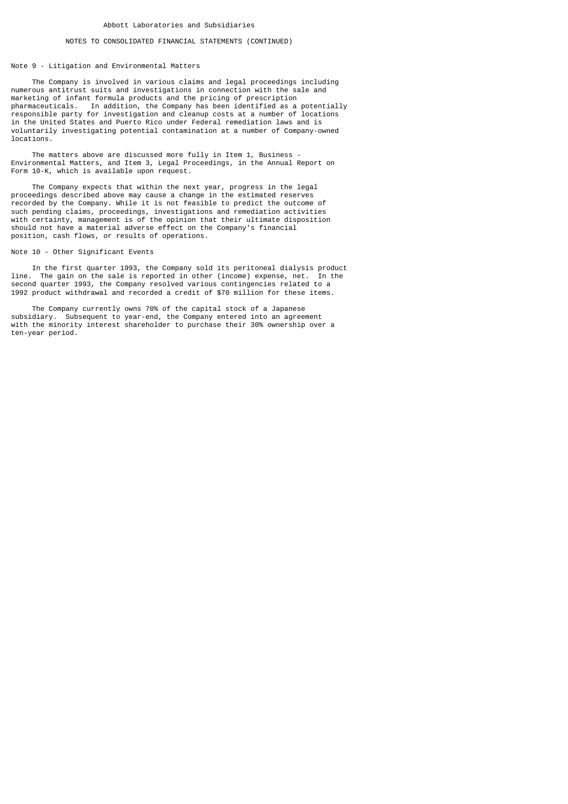### Note 9 - Litigation and Environmental Matters

 The Company is involved in various claims and legal proceedings including numerous antitrust suits and investigations in connection with the sale and marketing of infant formula products and the pricing of prescription pharmaceuticals. In addition, the Company has been identified as a potentially responsible party for investigation and cleanup costs at a number of locations in the United States and Puerto Rico under Federal remediation laws and is voluntarily investigating potential contamination at a number of Company-owned locations.

The matters above are discussed more fully in Item 1, Business Environmental Matters, and Item 3, Legal Proceedings, in the Annual Report on Form 10-K, which is available upon request.

 The Company expects that within the next year, progress in the legal proceedings described above may cause a change in the estimated reserves recorded by the Company. While it is not feasible to predict the outcome of such pending claims, proceedings, investigations and remediation activities with certainty, management is of the opinion that their ultimate disposition should not have a material adverse effect on the Company's financial position, cash flows, or results of operations.

### Note 10 - Other Significant Events

 In the first quarter 1993, the Company sold its peritoneal dialysis product line. The gain on the sale is reported in other (income) expense, net. In the second quarter 1993, the Company resolved various contingencies related to a 1992 product withdrawal and recorded a credit of \$70 million for these items.

 The Company currently owns 70% of the capital stock of a Japanese subsidiary. Subsequent to year-end, the Company entered into an agreement with the minority interest shareholder to purchase their 30% ownership over a ten-year period.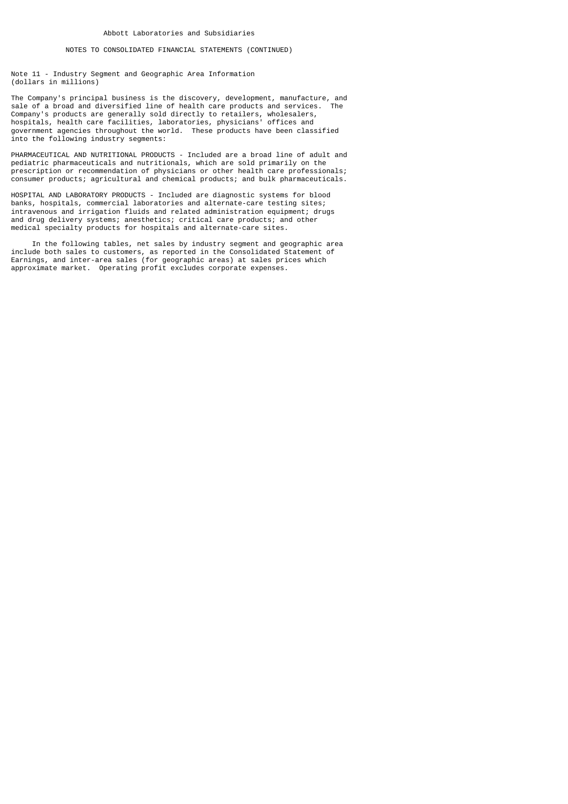Note 11 - Industry Segment and Geographic Area Information (dollars in millions)

The Company's principal business is the discovery, development, manufacture, and<br>sale of a broad and diversified line of bealth care products and services. The sale of a broad and diversified line of health care products and services. Company's products are generally sold directly to retailers, wholesalers, hospitals, health care facilities, laboratories, physicians' offices and government agencies throughout the world. These products have been classified into the following industry segments:

PHARMACEUTICAL AND NUTRITIONAL PRODUCTS - Included are a broad line of adult and pediatric pharmaceuticals and nutritionals, which are sold primarily on the prescription or recommendation of physicians or other health care professionals; consumer products; agricultural and chemical products; and bulk pharmaceuticals.

HOSPITAL AND LABORATORY PRODUCTS - Included are diagnostic systems for blood banks, hospitals, commercial laboratories and alternate-care testing sites; intravenous and irrigation fluids and related administration equipment; drugs and drug delivery systems; anesthetics; critical care products; and other medical specialty products for hospitals and alternate-care sites.

 In the following tables, net sales by industry segment and geographic area include both sales to customers, as reported in the Consolidated Statement of Earnings, and inter-area sales (for geographic areas) at sales prices which approximate market. Operating profit excludes corporate expenses.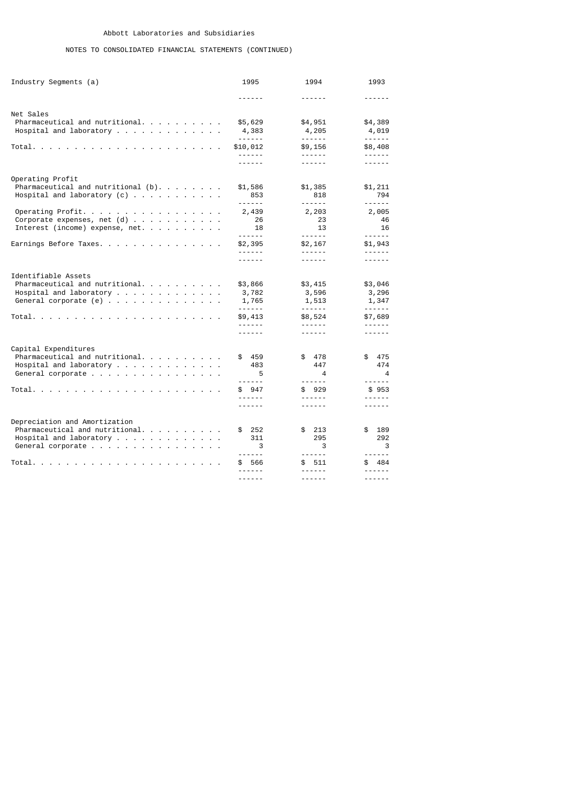# NOTES TO CONSOLIDATED FINANCIAL STATEMENTS (CONTINUED)

| Industry Segments (a)                                                                                                                                                                                             | 1995                                                            | 1994                                                     | 1993                                                          |
|-------------------------------------------------------------------------------------------------------------------------------------------------------------------------------------------------------------------|-----------------------------------------------------------------|----------------------------------------------------------|---------------------------------------------------------------|
|                                                                                                                                                                                                                   | - - - - - -                                                     | ------                                                   | - - - - - -                                                   |
| Net Sales<br>$Pharmaceutical$ and nutritional. $\ldots$<br>Hospital and laboratory $\ldots$                                                                                                                       | \$5,629<br>4,383<br>------                                      | \$4,951<br>4,205<br>------                               | \$4,389<br>4,019<br>$- - - - - -$                             |
| Total. .<br>the contract of the contract of the contract of the contract of                                                                                                                                       | \$10,012<br>------                                              | \$9,156<br>------                                        | \$8,408<br>------                                             |
|                                                                                                                                                                                                                   | ------                                                          | ------                                                   | ------                                                        |
| Operating Profit<br>Pharmaceutical and nutritional $(b)$ .<br>Hospital and laboratory $(c)$<br>Operating Profit.<br>Corporate expenses, net $(d)$                                                                 | \$1,586<br>853<br><u>.</u><br>2,439<br>26                       | \$1,385<br>818<br>------<br>2,203<br>23                  | \$1,211<br>794<br>------<br>2,005<br>46                       |
| Interest (income) expense, net. $\ldots$ , $\ldots$ ,                                                                                                                                                             | 18<br>------                                                    | 13<br>------                                             | 16<br>$- - - - - -$                                           |
| Earnings Before Taxes.                                                                                                                                                                                            | \$2,395<br>------<br>------                                     | \$2,167<br>------<br>------                              | \$1,943<br>------<br>------                                   |
| Identifiable Assets<br>$Pharmaceutical$ and nutritional.<br>Hospital and laboratory $\ldots$<br>General corporate $(e)$<br>Total. .<br>the contract of the contract of the<br>the contract of the contract of the | \$3,866<br>3,782<br>1,765<br>------<br>\$9,413<br>------        | \$3,415<br>3,596<br>1,513<br>------<br>\$8,524<br>------ | \$3,046<br>3,296<br>1,347<br>------<br>\$7,689<br>------      |
|                                                                                                                                                                                                                   |                                                                 | ------                                                   | - - - - - -                                                   |
| Capital Expenditures<br>Pharmaceutical and nutritional. $\ldots$ , $\ldots$<br>Hospital and laboratory<br>General corporate<br>Total.<br>the contract of the contract of the                                      | \$ 459<br>483<br>5<br>------<br>\$947<br>------                 | \$ 478<br>447<br>4<br>------<br>\$929<br>------          | \$475<br>474<br>4<br>------<br>\$953<br>------                |
|                                                                                                                                                                                                                   | ------                                                          | ------                                                   | - - - - - -                                                   |
| Depreciation and Amortization<br>$Pharmaceutical$ and nutritional.<br>Hospital and laboratory $\ldots$<br>General corporate<br>Total. .<br><b>Contract Contract</b>                                               | - 252<br>\$<br>311<br>3<br>------<br>\$ 566<br>------<br>------ | \$213<br>295<br>3<br>------<br>\$511<br>------<br>------ | \$<br>189<br>292<br>3<br>------<br>\$ 484<br>------<br>------ |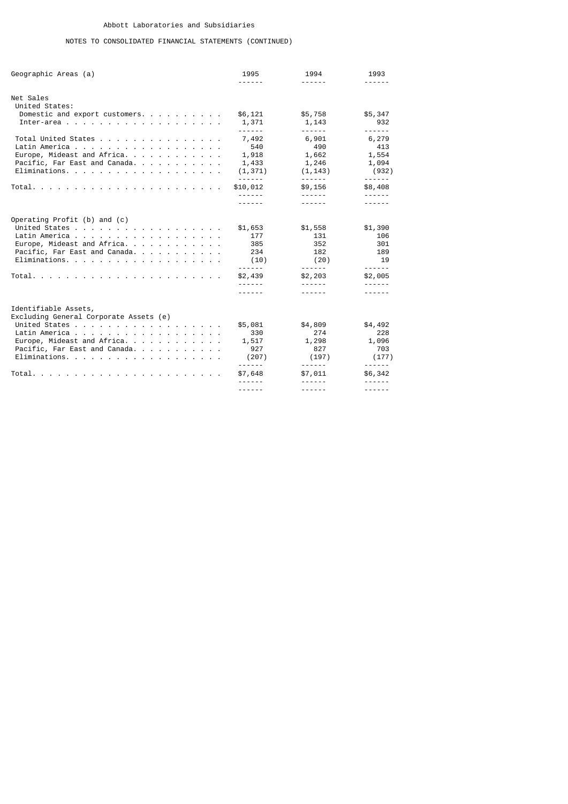# NOTES TO CONSOLIDATED FINANCIAL STATEMENTS (CONTINUED)

| Geographic Areas (a)                                                                                                                                                                                          | 1995<br>------                                                             | 1994<br>------                                                      | 1993<br>------                                                              |
|---------------------------------------------------------------------------------------------------------------------------------------------------------------------------------------------------------------|----------------------------------------------------------------------------|---------------------------------------------------------------------|-----------------------------------------------------------------------------|
| Net Sales<br>United States:<br>Domestic and export customers.                                                                                                                                                 | \$6,121<br>1,371                                                           | \$5,758<br>1,143                                                    | \$5,347<br>932                                                              |
| Total United States<br>Latin America<br>Europe, Mideast and Africa.<br>Pacific, Far East and Canada.<br>Eliminations.                                                                                         | ------<br>7,492<br>540<br>1,918<br>1,433<br>(1, 371)<br>------             | ------<br>6,901<br>490<br>1,662<br>1,246<br>(1, 143)<br>------      | ------<br>6,279<br>413<br>1,554<br>1,094<br>(932)<br>------                 |
|                                                                                                                                                                                                               | \$10,012<br>------                                                         | \$9,156<br>- - - - - -                                              | \$8,408<br>------                                                           |
| Operating Profit (b) and (c)<br>United States<br>Latin America<br>Europe, Mideast and Africa.<br>Pacific, Far East and Canada.<br>Eliminations.<br>Total.<br>and the company of the company of the company of | \$1,653<br>177<br>385<br>234<br>(10)<br>------<br>\$2,439<br>$- - - - - -$ | \$1,558<br>131<br>352<br>182<br>(20)<br>------<br>\$2,203<br>------ | \$1,390<br>106<br>301<br>189<br>19<br>------<br>\$2,005<br>------<br>------ |
| Identifiable Assets,<br>Excluding General Corporate Assets (e)<br>United States<br>Latin America<br>Europe, Mideast and Africa.<br>Pacific, Far East and Canada.<br>Eliminations.                             | \$5,081<br>330<br>1,517<br>927<br>(207)                                    | \$4,809<br>274<br>1,298<br>827<br>(197)                             | \$4,492<br>228<br>1,096<br>703<br>(177)                                     |
|                                                                                                                                                                                                               | ------<br>\$7,648<br>------                                                | ------<br>\$7,011<br>------<br>- - - - - -                          | ------<br>\$6,342<br>------                                                 |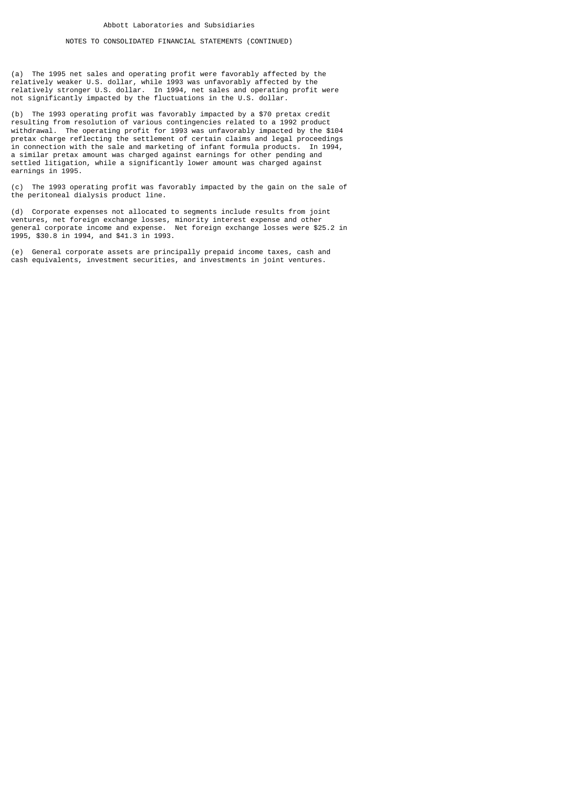(a) The 1995 net sales and operating profit were favorably affected by the relatively weaker U.S. dollar, while 1993 was unfavorably affected by the relatively stronger U.S. dollar. In 1994, net sales and operating profit were not significantly impacted by the fluctuations in the U.S. dollar.

(b) The 1993 operating profit was favorably impacted by a \$70 pretax credit resulting from resolution of various contingencies related to a 1992 product withdrawal. The operating profit for 1993 was unfavorably impacted by the \$104 pretax charge reflecting the settlement of certain claims and legal proceedings in connection with the sale and marketing of infant formula products. In 1994, a similar pretax amount was charged against earnings for other pending and settled litigation, while a significantly lower amount was charged against earnings in 1995.

(c) The 1993 operating profit was favorably impacted by the gain on the sale of the peritoneal dialysis product line.

(d) Corporate expenses not allocated to segments include results from joint ventures, net foreign exchange losses, minority interest expense and other general corporate income and expense. Net foreign exchange losses were \$25.2 in 1995, \$30.8 in 1994, and \$41.3 in 1993.

(e) General corporate assets are principally prepaid income taxes, cash and cash equivalents, investment securities, and investments in joint ventures.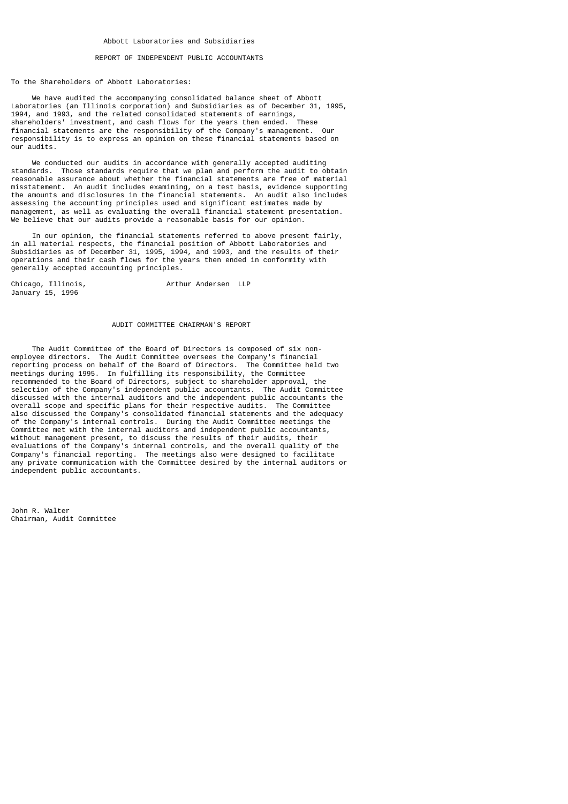### REPORT OF INDEPENDENT PUBLIC ACCOUNTANTS

#### To the Shareholders of Abbott Laboratories:

 We have audited the accompanying consolidated balance sheet of Abbott Laboratories (an Illinois corporation) and Subsidiaries as of December 31, 1995, 1994, and 1993, and the related consolidated statements of earnings, shareholders' investment, and cash flows for the years then ended. These financial statements are the responsibility of the Company's management. Our responsibility is to express an opinion on these financial statements based on our audits.

 We conducted our audits in accordance with generally accepted auditing standards. Those standards require that we plan and perform the audit to obtain reasonable assurance about whether the financial statements are free of material misstatement. An audit includes examining, on a test basis, evidence supporting the amounts and disclosures in the financial statements. An audit also includes assessing the accounting principles used and significant estimates made by management, as well as evaluating the overall financial statement presentation. We believe that our audits provide a reasonable basis for our opinion.

 In our opinion, the financial statements referred to above present fairly, in all material respects, the financial position of Abbott Laboratories and Subsidiaries as of December 31, 1995, 1994, and 1993, and the results of their operations and their cash flows for the years then ended in conformity with generally accepted accounting principles.

Chicago, Illinois, and Arthur Andersen LLP January 15, 1996

### AUDIT COMMITTEE CHAIRMAN'S REPORT

 The Audit Committee of the Board of Directors is composed of six nonemployee directors. The Audit Committee oversees the Company's financial reporting process on behalf of the Board of Directors. The Committee held two meetings during 1995. In fulfilling its responsibility, the Committee recommended to the Board of Directors, subject to shareholder approval, the selection of the Company's independent public accountants. The Audit Committee discussed with the internal auditors and the independent public accountants the overall scope and specific plans for their respective audits. The Committee also discussed the Company's consolidated financial statements and the adequacy of the Company's internal controls. During the Audit Committee meetings the Committee met with the internal auditors and independent public accountants, without management present, to discuss the results of their audits, their evaluations of the Company's internal controls, and the overall quality of the Company's financial reporting. The meetings also were designed to facilitate any private communication with the Committee desired by the internal auditors or independent public accountants.

John R. Walter Chairman, Audit Committee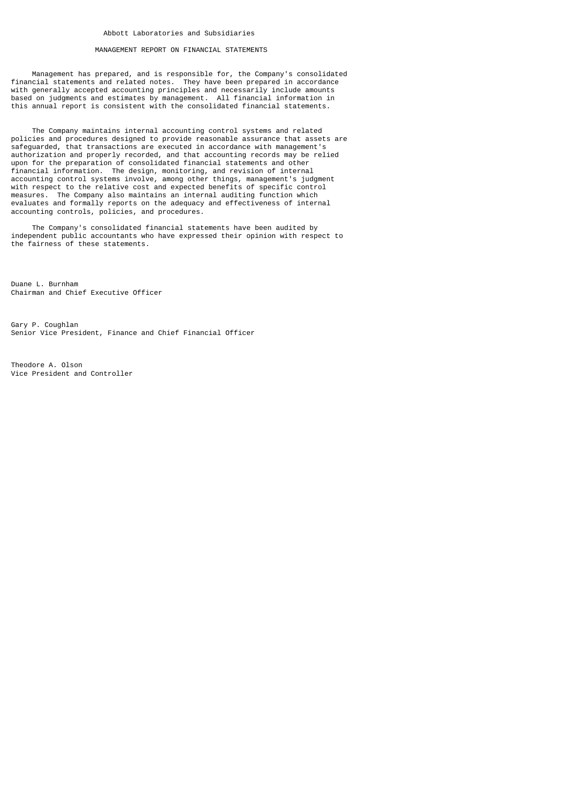### MANAGEMENT REPORT ON FINANCIAL STATEMENTS

 Management has prepared, and is responsible for, the Company's consolidated financial statements and related notes. They have been prepared in accordance with generally accepted accounting principles and necessarily include amounts based on judgments and estimates by management. All financial information in this annual report is consistent with the consolidated financial statements.

 The Company maintains internal accounting control systems and related policies and procedures designed to provide reasonable assurance that assets are safeguarded, that transactions are executed in accordance with management's authorization and properly recorded, and that accounting records may be relied upon for the preparation of consolidated financial statements and other financial information. The design, monitoring, and revision of internal accounting control systems involve, among other things, management's judgment with respect to the relative cost and expected benefits of specific control measures. The Company also maintains an internal auditing function which evaluates and formally reports on the adequacy and effectiveness of internal accounting controls, policies, and procedures.

 The Company's consolidated financial statements have been audited by independent public accountants who have expressed their opinion with respect to the fairness of these statements.

Duane L. Burnham Chairman and Chief Executive Officer

Gary P. Coughlan Senior Vice President, Finance and Chief Financial Officer

Theodore A. Olson Vice President and Controller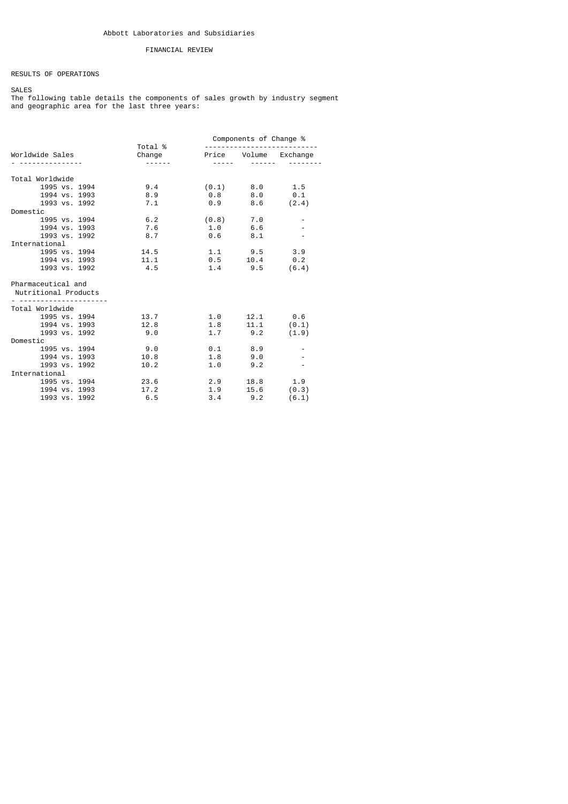## FINANCIAL REVIEW

RESULTS OF OPERATIONS

SALES

The following table details the components of sales growth by industry segment and geographic area for the last three years:

|                                                 |                                         | Components of Change % |                     |  |
|-------------------------------------------------|-----------------------------------------|------------------------|---------------------|--|
| Worldwide Sales                                 | Total %<br>Change Price Volume Exchange |                        |                     |  |
|                                                 | ------                                  |                        |                     |  |
| Total Worldwide                                 |                                         |                        |                     |  |
| 1995 vs. 1994                                   | 9.4                                     | $(0.1)$ 8.0 1.5        |                     |  |
| 1994 vs. 1993                                   | 8.9                                     | $0.8$ $8.0$ $0.1$      |                     |  |
| 1993 vs. 1992                                   | 7.1                                     | $0.9$ $8.6$ $(2.4)$    |                     |  |
| Domestic                                        |                                         |                        |                     |  |
| 1995 vs. 1994                                   | 6.2                                     | $(0.8)$ 7.0            |                     |  |
| 1994 vs. 1993                                   | 7.6                                     | 1.0 6.6                |                     |  |
| 1993 vs. 1992                                   | 8.7                                     | $0.6$ 8.1              |                     |  |
| International                                   |                                         |                        |                     |  |
| 1995 vs. 1994                                   | 14.5                                    | $1.1$ $9.5$ $3.9$      |                     |  |
| 1994 vs. 1993                                   | 11.1                                    | $0.5$ 10.4 0.2         |                     |  |
| 1993 vs. 1992                                   | 4.5                                     | $1.4$ $9.5$ (6.4)      |                     |  |
| Pharmaceutical and<br>Nutritional Products<br>. |                                         |                        |                     |  |
| Total Worldwide                                 |                                         |                        |                     |  |
| 1995 vs. 1994                                   | 13.7                                    | 1.0                    | $12.1$ 0.6          |  |
| 1994 vs. 1993                                   | 12.8                                    | 1.8                    | $11.1$ (0.1)        |  |
| 1993 vs. 1992                                   | 9.0                                     |                        | $1.7$ $9.2$ $(1.9)$ |  |
| Domestic                                        |                                         |                        |                     |  |
| 1995 vs. 1994                                   | 9.0                                     | $0.1$ 8.9              |                     |  |
| 1994 vs. 1993                                   | 10.8                                    | $1.8$ $9.0$            |                     |  |
| 1993 vs. 1992                                   | 10.2                                    | 1.0                    | 9.2                 |  |
| International                                   |                                         |                        |                     |  |
| 1995 vs. 1994                                   | 23.6                                    | 2.9                    | 18.8 1.9            |  |
| 1994 vs. 1993                                   | 17.2                                    | 1.9                    | $15.6$ (0.3)        |  |
| 1993 vs. 1992                                   | 6.5                                     | 3.4                    | $9.2$ (6.1)         |  |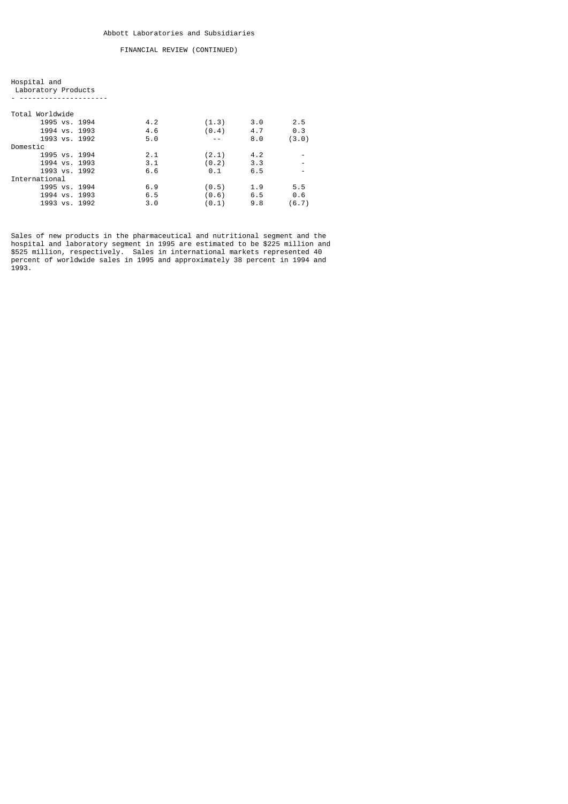| Hospital and        |  |
|---------------------|--|
| Laboratory Products |  |

- ---------------------

| Total Worldwide |     |       |     |       |
|-----------------|-----|-------|-----|-------|
| 1995 vs. 1994   | 4.2 | (1.3) | 3.0 | 2.5   |
| 1994 vs. 1993   | 4.6 | (0.4) | 4.7 | 0.3   |
| 1993 vs. 1992   | 5.0 |       | 8.0 | (3.0) |
| Domestic        |     |       |     |       |
| 1995 vs. 1994   | 2.1 | (2.1) | 4.2 |       |
| 1994 vs. 1993   | 3.1 | (0.2) | 3.3 |       |
| 1993 vs. 1992   | 6.6 | 0.1   | 6.5 |       |
| International   |     |       |     |       |
| 1995 vs. 1994   | 6.9 | (0.5) | 1.9 | 5.5   |
| 1994 vs. 1993   | 6.5 | (0.6) | 6.5 | 0.6   |
| 1993 vs. 1992   | 3.0 | (0.1) | 9.8 | (6.7) |

Sales of new products in the pharmaceutical and nutritional segment and the hospital and laboratory segment in 1995 are estimated to be \$225 million and \$525 million, respectively. Sales in international markets represented 40 percent of worldwide sales in 1995 and approximately 38 percent in 1994 and 1993.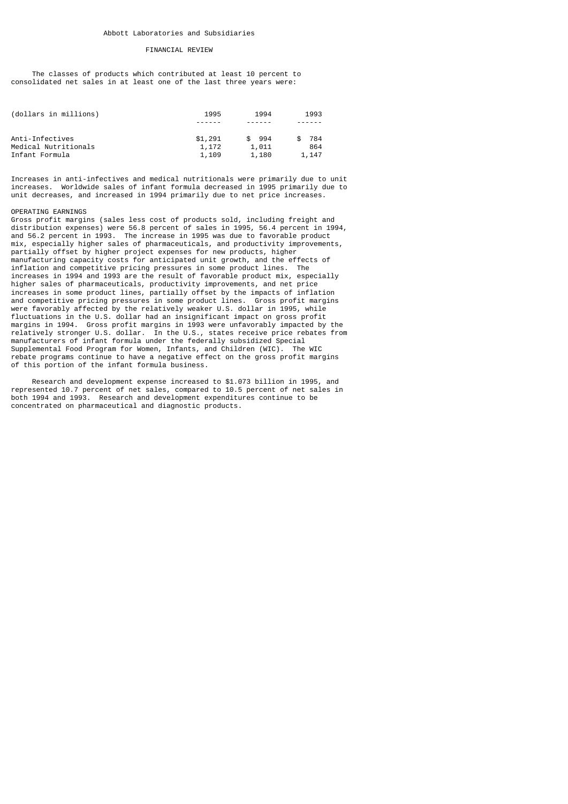### FINANCIAL REVIEW

 The classes of products which contributed at least 10 percent to consolidated net sales in at least one of the last three years were:

| (dollars in millions) | 1995    | 1994       | 1993  |
|-----------------------|---------|------------|-------|
|                       |         |            |       |
| Anti-Infectives       | \$1,291 | 994<br>SS. | 784   |
| Medical Nutritionals  | 1,172   | 1,011      | 864   |
| Infant Formula        | 1,109   | 1,180      | 1,147 |

Increases in anti-infectives and medical nutritionals were primarily due to unit increases. Worldwide sales of infant formula decreased in 1995 primarily due to unit decreases, and increased in 1994 primarily due to net price increases.

#### OPERATING EARNINGS

Gross profit margins (sales less cost of products sold, including freight and distribution expenses) were 56.8 percent of sales in 1995, 56.4 percent in 1994, and 56.2 percent in 1993. The increase in 1995 was due to favorable product mix, especially higher sales of pharmaceuticals, and productivity improvements, partially offset by higher project expenses for new products, higher manufacturing capacity costs for anticipated unit growth, and the effects of inflation and competitive pricing pressures in some product lines. The increases in 1994 and 1993 are the result of favorable product mix, especially higher sales of pharmaceuticals, productivity improvements, and net price increases in some product lines, partially offset by the impacts of inflation and competitive pricing pressures in some product lines. Gross profit margins were favorably affected by the relatively weaker U.S. dollar in 1995, while fluctuations in the U.S. dollar had an insignificant impact on gross profit margins in 1994. Gross profit margins in 1993 were unfavorably impacted by the relatively stronger U.S. dollar. In the U.S., states receive price rebates from manufacturers of infant formula under the federally subsidized Special Supplemental Food Program for Women, Infants, and Children (WIC). The WIC rebate programs continue to have a negative effect on the gross profit margins of this portion of the infant formula business.

 Research and development expense increased to \$1.073 billion in 1995, and represented 10.7 percent of net sales, compared to 10.5 percent of net sales in both 1994 and 1993. Research and development expenditures continue to be concentrated on pharmaceutical and diagnostic products.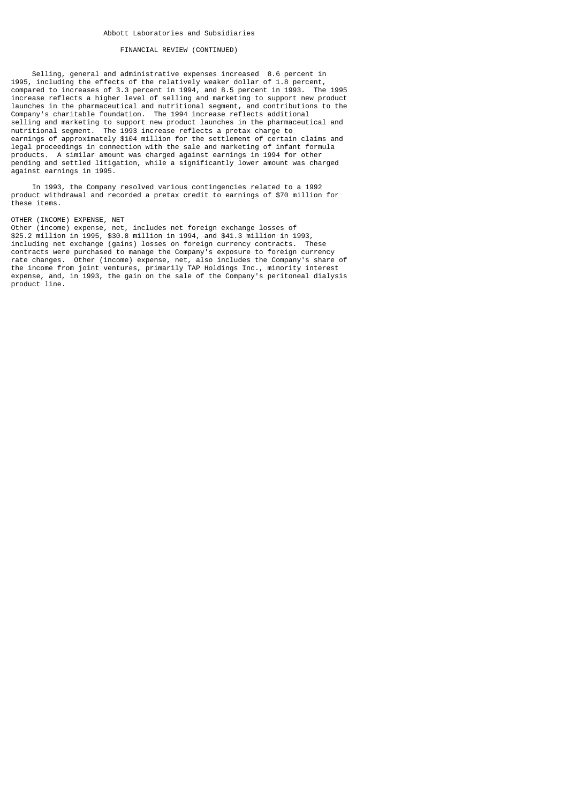Selling, general and administrative expenses increased 8.6 percent in 1995, including the effects of the relatively weaker dollar of 1.8 percent, compared to increases of 3.3 percent in 1994, and 8.5 percent in 1993. The 1995 increase reflects a higher level of selling and marketing to support new product launches in the pharmaceutical and nutritional segment, and contributions to the Company's charitable foundation. The 1994 increase reflects additional selling and marketing to support new product launches in the pharmaceutical and nutritional segment. The 1993 increase reflects a pretax charge to earnings of approximately \$104 million for the settlement of certain claims and legal proceedings in connection with the sale and marketing of infant formula products. A similar amount was charged against earnings in 1994 for other pending and settled litigation, while a significantly lower amount was charged against earnings in 1995.

 In 1993, the Company resolved various contingencies related to a 1992 product withdrawal and recorded a pretax credit to earnings of \$70 million for these items.

### OTHER (INCOME) EXPENSE, NET

Other (income) expense, net, includes net foreign exchange losses of \$25.2 million in 1995, \$30.8 million in 1994, and \$41.3 million in 1993, including net exchange (gains) losses on foreign currency contracts. These contracts were purchased to manage the Company's exposure to foreign currency rate changes. Other (income) expense, net, also includes the Company's share of the income from joint ventures, primarily TAP Holdings Inc., minority interest expense, and, in 1993, the gain on the sale of the Company's peritoneal dialysis product line.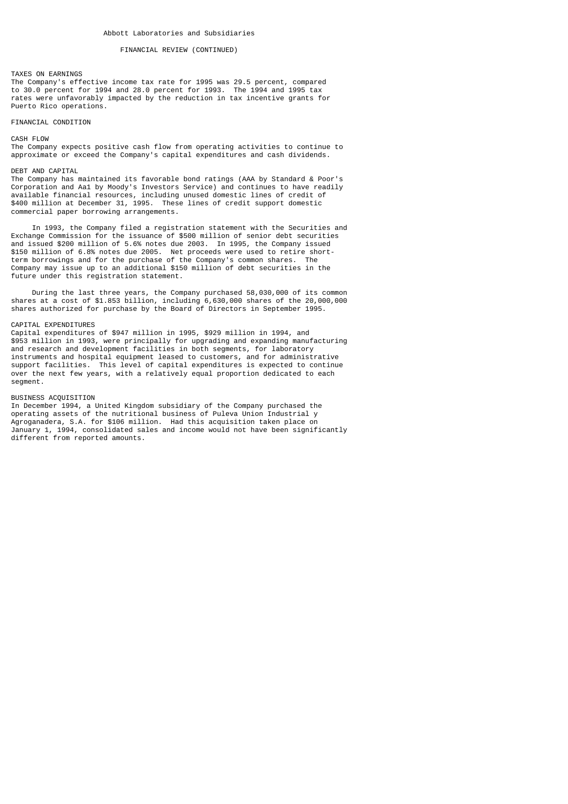#### TAXES ON EARNINGS

The Company's effective income tax rate for 1995 was 29.5 percent, compared to 30.0 percent for 1994 and 28.0 percent for 1993. The 1994 and 1995 tax rates were unfavorably impacted by the reduction in tax incentive grants for Puerto Rico operations.

### FINANCIAL CONDITION

CASH FLOW

The Company expects positive cash flow from operating activities to continue to approximate or exceed the Company's capital expenditures and cash dividends.

### DEBT AND CAPITAL

The Company has maintained its favorable bond ratings (AAA by Standard & Poor's Corporation and Aa1 by Moody's Investors Service) and continues to have readily available financial resources, including unused domestic lines of credit of \$400 million at December 31, 1995. These lines of credit support domestic commercial paper borrowing arrangements.

 In 1993, the Company filed a registration statement with the Securities and Exchange Commission for the issuance of \$500 million of senior debt securities and issued \$200 million of 5.6% notes due 2003. In 1995, the Company issued \$150 million of 6.8% notes due 2005. Net proceeds were used to retire shortterm borrowings and for the purchase of the Company's common shares. The Company may issue up to an additional \$150 million of debt securities in the future under this registration statement.

 During the last three years, the Company purchased 58,030,000 of its common shares at a cost of \$1.853 billion, including 6,630,000 shares of the 20,000,000 shares authorized for purchase by the Board of Directors in September 1995.

#### CAPITAL EXPENDITURES

Capital expenditures of \$947 million in 1995, \$929 million in 1994, and \$953 million in 1993, were principally for upgrading and expanding manufacturing and research and development facilities in both segments, for laboratory instruments and hospital equipment leased to customers, and for administrative support facilities. This level of capital expenditures is expected to continue over the next few years, with a relatively equal proportion dedicated to each segment.

#### BUSINESS ACQUISITION

In December 1994, a United Kingdom subsidiary of the Company purchased the operating assets of the nutritional business of Puleva Union Industrial y Agroganadera, S.A. for \$106 million. Had this acquisition taken place on January 1, 1994, consolidated sales and income would not have been significantly different from reported amounts.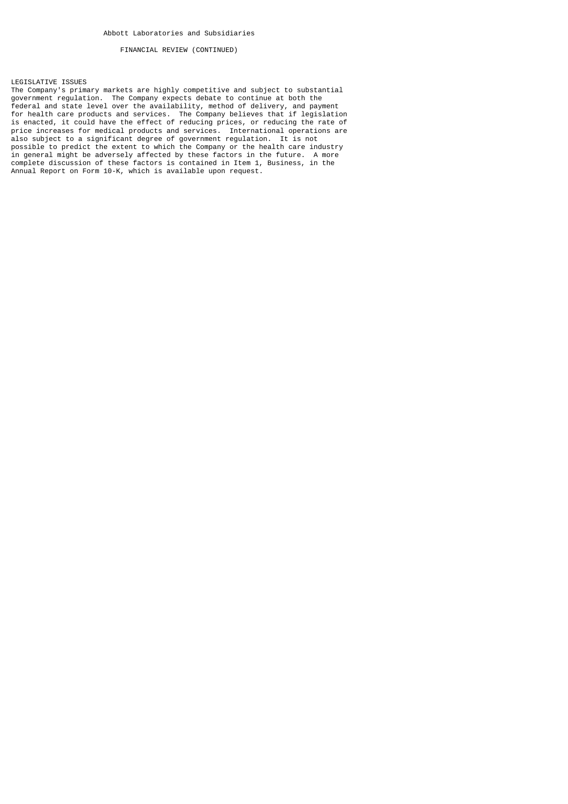LEGISLATIVE ISSUES

The Company's primary markets are highly competitive and subject to substantial government regulation. The Company expects debate to continue at both the federal and state level over the availability, method of delivery, and payment for health care products and services. The Company believes that if legislation is enacted, it could have the effect of reducing prices, or reducing the rate of price increases for medical products and services. International operations are also subject to a significant degree of government regulation. It is not possible to predict the extent to which the Company or the health care industry in general might be adversely affected by these factors in the future. A more complete discussion of these factors is contained in Item 1, Business, in the Annual Report on Form 10-K, which is available upon request.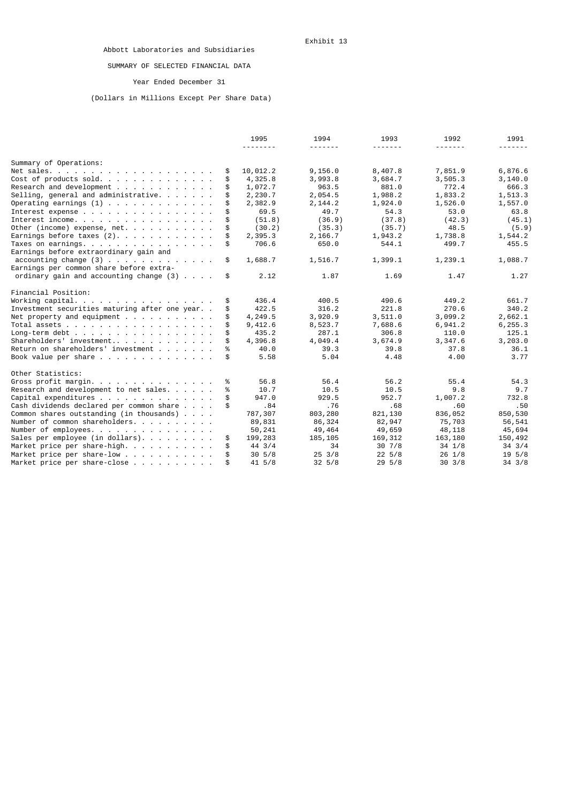# SUMMARY OF SELECTED FINANCIAL DATA

# Year Ended December 31

# (Dollars in Millions Except Per Share Data)

|                                                                                 |    | 1995     | 1994             | 1993        | 1992             | 1991             |
|---------------------------------------------------------------------------------|----|----------|------------------|-------------|------------------|------------------|
|                                                                                 |    |          |                  |             |                  |                  |
| Summary of Operations:                                                          |    |          |                  |             |                  |                  |
|                                                                                 | \$ | 10,012.2 | 9, 156.0         | 8,407.8     | 7,851.9          | 6,876.6          |
| Cost of products sold.                                                          | \$ | 4,325.8  | 3,993.8          | 3,684.7     | 3,505.3          | 3,140.0          |
| Research and development                                                        |    | 1,072.7  | 963.5            | 881.0       | 772.4            | 666.3            |
| Selling, general and administrative.                                            |    | 2,230.7  | 2,054.5          | 1,988.2     | 1,833.2          | 1,513.3          |
| Operating earnings $(1)$                                                        | \$ | 2,382.9  | 2, 144.2         | 1,924.0     | 1,526.0          | 1,557.0          |
| Interest expense                                                                | \$ | 69.5     | 49.7             | 54.3        | 53.0             | 63.8             |
| Interest income.                                                                | \$ | (51.8)   | (36.9)           | (37.8)      | (42.3)           | (45.1)           |
| Other (income) expense, net. $\ldots$ , $\ldots$ , $\ldots$                     | \$ | (30.2)   | (35.3)           | (35.7)      | 48.5             | (5.9)            |
| Earnings before taxes $(2)$ .                                                   |    | 2,395.3  | 2,166.7          | 1,943.2     | 1,738.8          | 1,544.2          |
| Taxes on earnings.                                                              | \$ | 706.6    | 650.0            | 544.1       | 499.7            | 455.5            |
| Earnings before extraordinary gain and                                          |    |          |                  |             |                  |                  |
| accounting change $(3)$                                                         | \$ | 1,688.7  | 1,516.7          | 1,399.1     | 1,239.1          | 1,088.7          |
| Earnings per common share before extra-                                         |    |          |                  |             |                  |                  |
| ordinary gain and accounting change $(3)$                                       | \$ | 2.12     | 1.87             | 1.69        | 1.47             | 1.27             |
| Financial Position:                                                             |    |          |                  |             |                  |                  |
| Working capital. $\ldots$ $\ldots$ $\ldots$ $\ldots$ $\ldots$ $\ldots$ $\ldots$ | \$ | 436.4    | 400.5            | 490.6       | 449.2            | 661.7            |
| Investment securities maturing after one year                                   | \$ | 422.5    | 316.2            | 221.8       | 270.6            | 340.2            |
| Net property and equipment $\ldots$                                             | \$ | 4,249.5  | 3,920.9          | 3,511.0     | 3,099.2          | 2,662.1          |
| Total assets                                                                    |    | 9,412.6  | 8,523.7          | 7,688.6     | 6,941.2          | 6, 255.3         |
| Long-term debt                                                                  |    | 435.2    | 287.1            | 306.8       | 110.0            | 125.1            |
| Shareholders' investment                                                        | \$ | 4,396.8  | 4,049.4          | 3,674.9     | 3,347.6          | 3,203.0          |
| Return on shareholders' investment                                              | %  | 40.0     | 39.3             | 39.8        | 37.8             | 36.1             |
| Book value per share                                                            | \$ | 5.58     | 5.04             | 4.48        | 4.00             | 3.77             |
| Other Statistics:                                                               |    |          |                  |             |                  |                  |
| Gross profit margin.                                                            | %  | 56.8     | 56.4             | 56.2        | 55.4             | 54.3             |
| Research and development to net sales.                                          | %  | 10.7     | 10.5             | 10.5        | 9.8              | 9.7              |
| Capital expenditures                                                            | \$ | 947.0    | 929.5            | 952.7       | 1,007.2          | 732.8            |
| Cash dividends declared per common share                                        | \$ | .84      | .76              | .68         | .60              | .50              |
| Common shares outstanding (in thousands) $\ldots$ .                             |    | 787,307  | 803,280          | 821,130     | 836,052          | 850,530          |
| Number of common shareholders.                                                  |    | 89,831   | 86,324           | 82,947      | 75,703           | 56,541           |
| Number of employees.                                                            |    | 50,241   | 49,464           | 49,659      | 48,118           | 45,694           |
| Sales per employee (in dollars).                                                | \$ | 199,283  | 185, 105         | 169, 312    | 163,180          | 150,492          |
| Market price per share-high.                                                    | \$ | 44 3/4   | 34               | 307/8       | $34 \frac{1}{8}$ | $34 \frac{3}{4}$ |
| Market price per share-low                                                      |    | 30, 5/8  | $25 \frac{3}{8}$ | $22\;\;5/8$ | $26 \t1/8$       | 195/8            |
| Market price per share-close                                                    |    | 41 5/8   | $32\;\;5/8$      | $29\;\;5/8$ | $30 \frac{3}{8}$ | $34 \frac{3}{8}$ |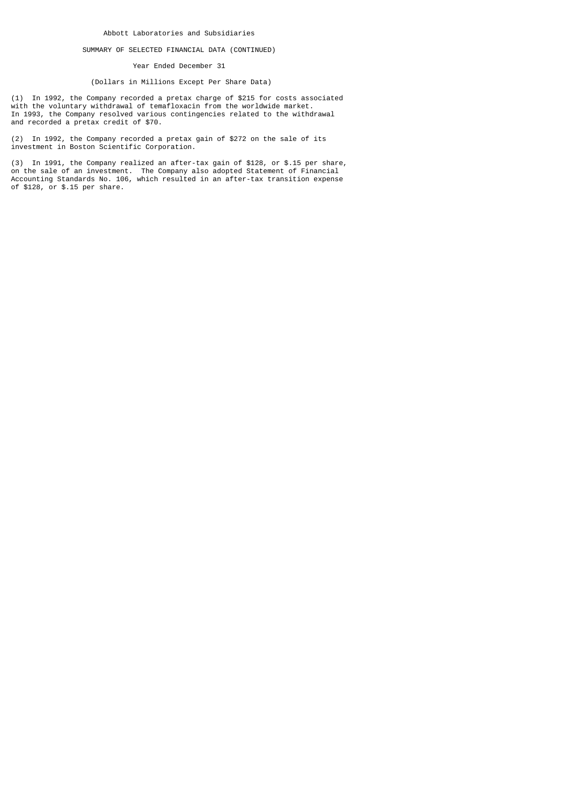### SUMMARY OF SELECTED FINANCIAL DATA (CONTINUED)

Year Ended December 31

## (Dollars in Millions Except Per Share Data)

(1) In 1992, the Company recorded a pretax charge of \$215 for costs associated with the voluntary withdrawal of temafloxacin from the worldwide market. In 1993, the Company resolved various contingencies related to the withdrawal and recorded a pretax credit of \$70.

(2) In 1992, the Company recorded a pretax gain of \$272 on the sale of its investment in Boston Scientific Corporation.

(3) In 1991, the Company realized an after-tax gain of \$128, or \$.15 per share, on the sale of an investment. The Company also adopted Statement of Financial Accounting Standards No. 106, which resulted in an after-tax transition expense of \$128, or \$.15 per share.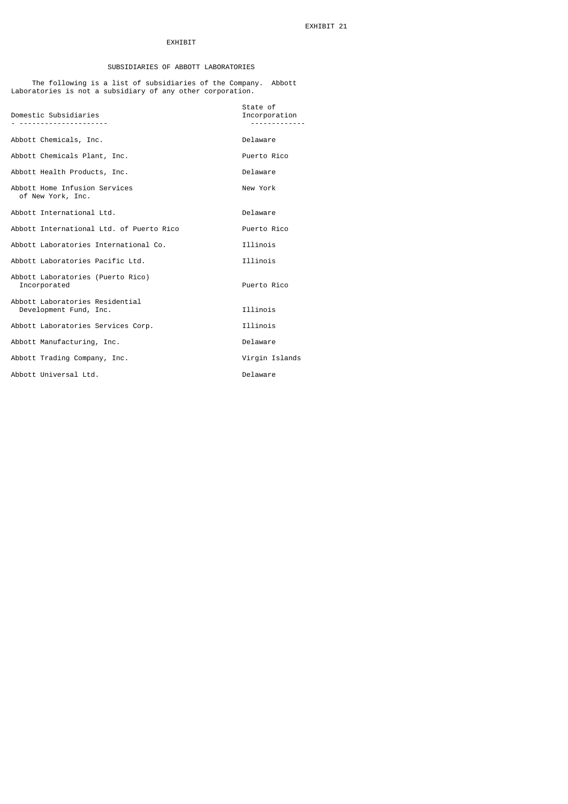## EXHIBIT

## SUBSIDIARIES OF ABBOTT LABORATORIES

 The following is a list of subsidiaries of the Company. Abbott Laboratories is not a subsidiary of any other corporation.

| Domestic Subsidiaries                                     | State of<br>Incorporation |
|-----------------------------------------------------------|---------------------------|
| Abbott Chemicals, Inc.                                    | Delaware                  |
| Abbott Chemicals Plant, Inc.                              | Puerto Rico               |
| Abbott Health Products, Inc.                              | Delaware                  |
| Abbott Home Infusion Services<br>of New York, Inc.        | New York                  |
| Abbott International Ltd.                                 | Delaware                  |
| Abbott International Ltd. of Puerto Rico                  | Puerto Rico               |
| Abbott Laboratories International Co.                     | Illinois                  |
| Abbott Laboratories Pacific Ltd.                          | Illinois                  |
| Abbott Laboratories (Puerto Rico)<br>Incorporated         | Puerto Rico               |
| Abbott Laboratories Residential<br>Development Fund, Inc. | Illinois                  |
| Abbott Laboratories Services Corp.                        | Illinois                  |
| Abbott Manufacturing, Inc.                                | Delaware                  |
| Abbott Trading Company, Inc.                              | Virgin Islands            |
| Abbott Universal Ltd.                                     | Delaware                  |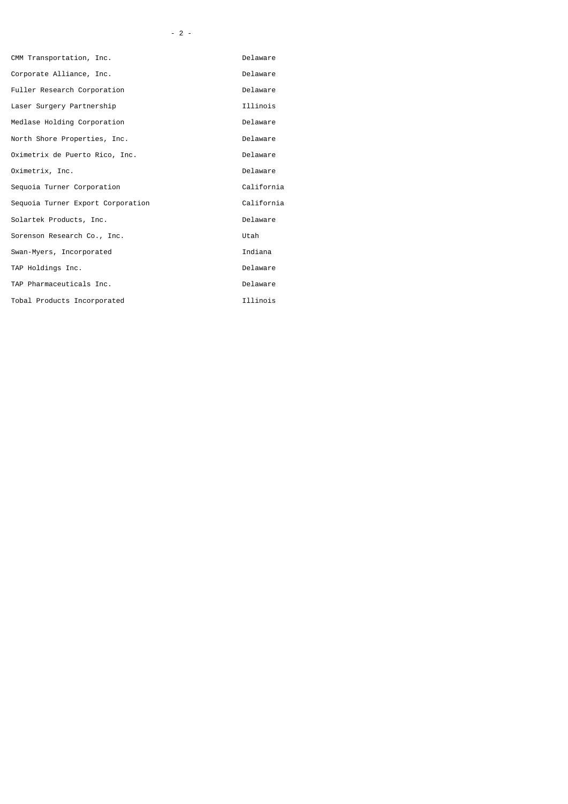| CMM Transportation, Inc.          | Delaware   |
|-----------------------------------|------------|
| Corporate Alliance, Inc.          | Delaware   |
| Fuller Research Corporation       | Delaware   |
| Laser Surgery Partnership         | Illinois   |
| Medlase Holding Corporation       | Delaware   |
| North Shore Properties, Inc.      | Delaware   |
| Oximetrix de Puerto Rico, Inc.    | Delaware   |
| Oximetrix, Inc.                   | Delaware   |
| Sequoia Turner Corporation        | California |
| Sequoia Turner Export Corporation | California |
| Solartek Products, Inc.           | Delaware   |
| Sorenson Research Co., Inc.       | Utah       |
| Swan-Myers, Incorporated          | Indiana    |
| TAP Holdings Inc.                 | Delaware   |
| TAP Pharmaceuticals Inc.          | Delaware   |
| Tobal Products Incorporated       | Illinois   |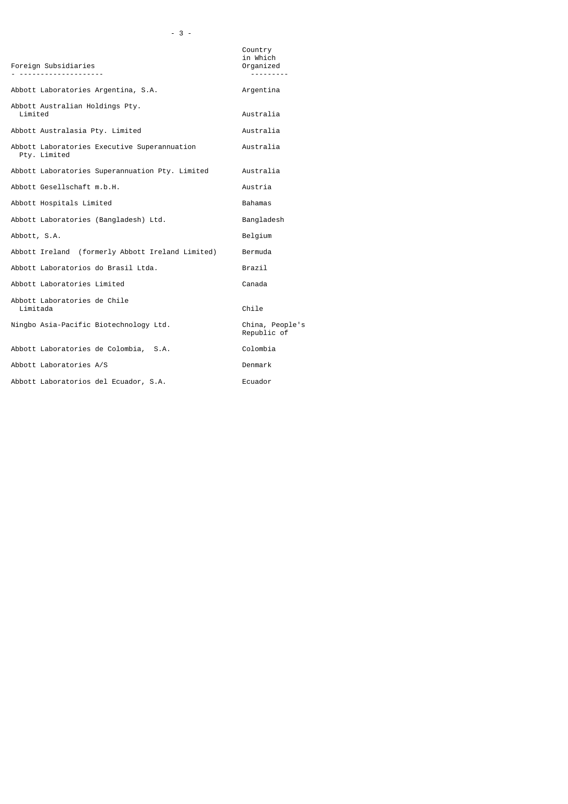| Foreign Subsidiaries                                         | Country<br>in Which<br>Organized |
|--------------------------------------------------------------|----------------------------------|
| Abbott Laboratories Argentina, S.A.                          | Argentina                        |
| Abbott Australian Holdings Pty.<br>Limited                   | Australia                        |
| Abbott Australasia Pty. Limited                              | Australia                        |
| Abbott Laboratories Executive Superannuation<br>Pty. Limited | Australia                        |
| Abbott Laboratories Superannuation Pty. Limited              | Australia                        |
| Abbott Gesellschaft m.b.H.                                   | Austria                          |
| Abbott Hospitals Limited                                     | Bahamas                          |
| Abbott Laboratories (Bangladesh) Ltd.                        | Bangladesh                       |
| Abbott, S.A.                                                 | Belgium                          |
| Abbott Ireland (formerly Abbott Ireland Limited)             | Bermuda                          |
| Abbott Laboratorios do Brasil Ltda.                          | Brazil                           |
| Abbott Laboratories Limited                                  | Canada                           |
| Abbott Laboratories de Chile<br>Limitada                     | Chile                            |
| Ningbo Asia-Pacific Biotechnology Ltd.                       | China, People's<br>Republic of   |
| Abbott Laboratories de Colombia, S.A.                        | Colombia                         |
| Abbott Laboratories A/S                                      | Denmark                          |
| Abbott Laboratorios del Ecuador, S.A.                        | Ecuador                          |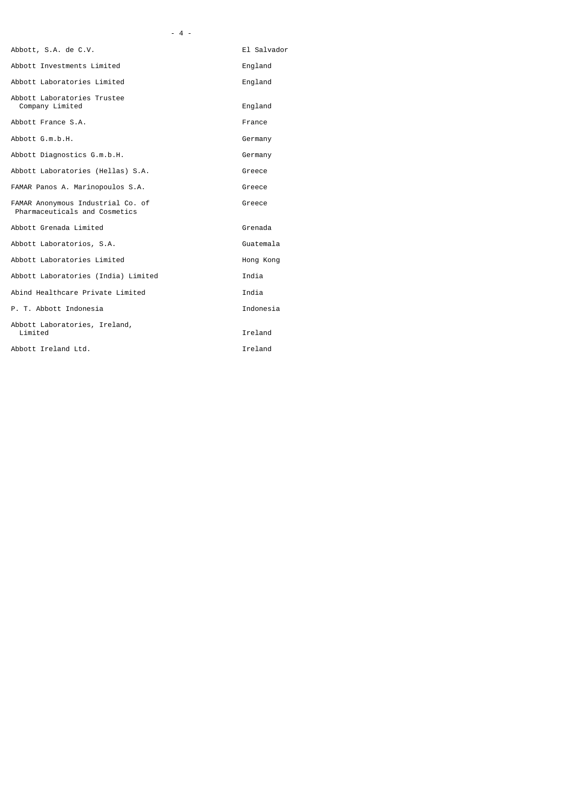| Abbott, S.A. de C.V.                                               | El Salvador |
|--------------------------------------------------------------------|-------------|
| Abbott Investments Limited                                         | England     |
| Abbott Laboratories Limited                                        | England     |
| Abbott Laboratories Trustee<br>Company Limited                     | England     |
| Abbott France S.A.                                                 | France      |
| Abbott G.m.b.H.                                                    | Germany     |
| Abbott Diagnostics G.m.b.H.                                        | Germany     |
| Abbott Laboratories (Hellas) S.A.                                  | Greece      |
| FAMAR Panos A. Marinopoulos S.A.                                   | Greece      |
| FAMAR Anonymous Industrial Co. of<br>Pharmaceuticals and Cosmetics | Greece      |
| Abbott Grenada Limited                                             | Grenada     |
| Abbott Laboratorios, S.A.                                          | Guatemala   |
| Abbott Laboratories Limited                                        | Hong Kong   |
| Abbott Laboratories (India) Limited                                | India       |
| Abind Healthcare Private Limited                                   | India       |
| P. T. Abbott Indonesia                                             | Indonesia   |
| Abbott Laboratories, Ireland,<br>Limited                           | Ireland     |
| Abbott Ireland Ltd.                                                | Ireland     |

- 4 -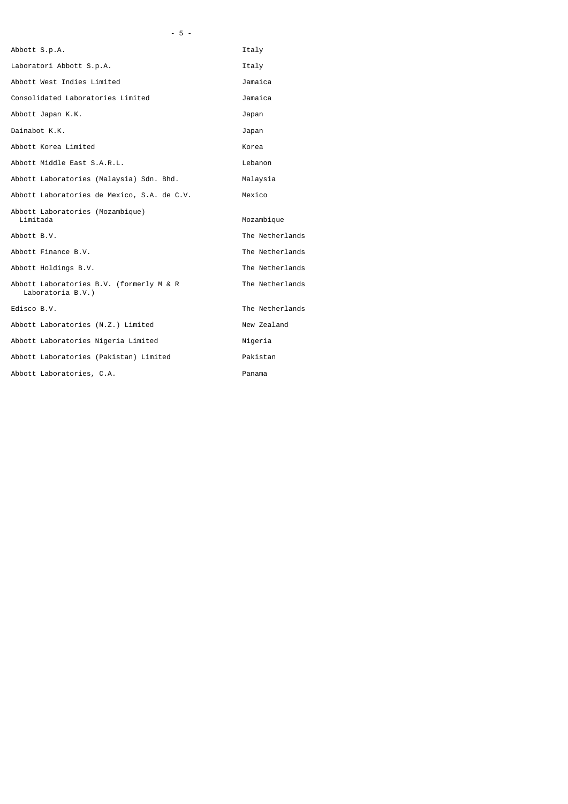|                                             | Italy           |
|---------------------------------------------|-----------------|
| Laboratori Abbott S.p.A.                    | Italy           |
| Abbott West Indies Limited                  | Jamaica         |
| Consolidated Laboratories Limited           | Jamaica         |
|                                             | Japan           |
|                                             | Japan           |
|                                             | Korea           |
| Abbott Middle East S.A.R.L.                 | Lebanon         |
| Abbott Laboratories (Malaysia) Sdn. Bhd.    | Malaysia        |
| Abbott Laboratories de Mexico, S.A. de C.V. | Mexico          |
| Abbott Laboratories (Mozambique)            | Mozambique      |
|                                             | The Netherlands |
|                                             | The Netherlands |
|                                             | The Netherlands |
| Abbott Laboratories B.V. (formerly M & R    | The Netherlands |
|                                             | The Netherlands |
| Abbott Laboratories (N.Z.) Limited          | New Zealand     |
| Abbott Laboratories Nigeria Limited         | Nigeria         |
| Abbott Laboratories (Pakistan) Limited      | Pakistan        |
| Abbott Laboratories, C.A.                   | Panama          |
|                                             |                 |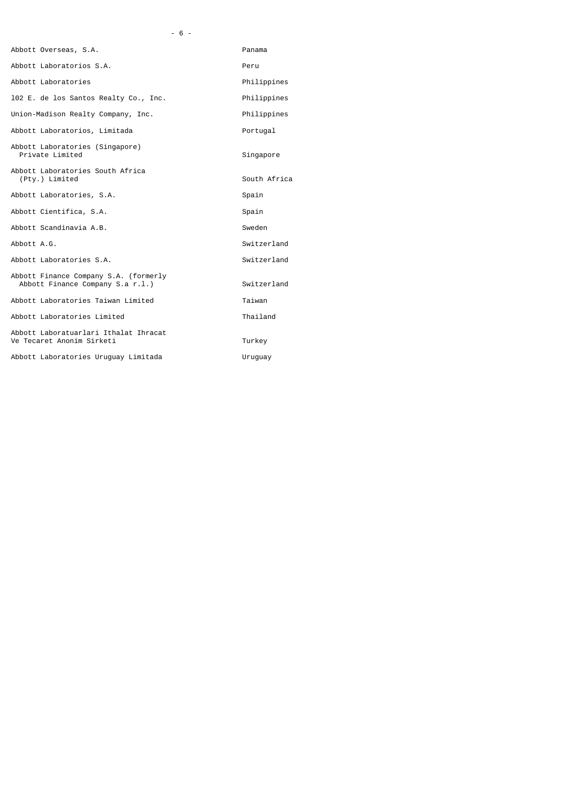|  | $-6 -$ |  |  |
|--|--------|--|--|
|--|--------|--|--|

| Abbott Overseas, S.A.                                                     | Panama       |
|---------------------------------------------------------------------------|--------------|
| Abbott Laboratorios S.A.                                                  | Peru         |
| Abbott Laboratories                                                       | Philippines  |
| 102 E. de los Santos Realty Co., Inc.                                     | Philippines  |
| Union-Madison Realty Company, Inc.                                        | Philippines  |
| Abbott Laboratorios, Limitada                                             | Portugal     |
| Abbott Laboratories (Singapore)<br>Private Limited                        | Singapore    |
| Abbott Laboratories South Africa<br>(Pty.) Limited                        | South Africa |
| Abbott Laboratories, S.A.                                                 | Spain        |
| Abbott Cientifica, S.A.                                                   | Spain        |
| Abbott Scandinavia A.B.                                                   | Sweden       |
| Abbott A.G.                                                               | Switzerland  |
| Abbott Laboratories S.A.                                                  | Switzerland  |
| Abbott Finance Company S.A. (formerly<br>Abbott Finance Company S.a r.l.) | Switzerland  |
| Abbott Laboratories Taiwan Limited                                        | Taiwan       |
| Abbott Laboratories Limited                                               | Thailand     |
| Abbott Laboratuarlari Ithalat Ihracat<br>Ve Tecaret Anonim Sirketi        | Turkey       |
| Abbott Laboratories Uruguay Limitada                                      | Uruguay      |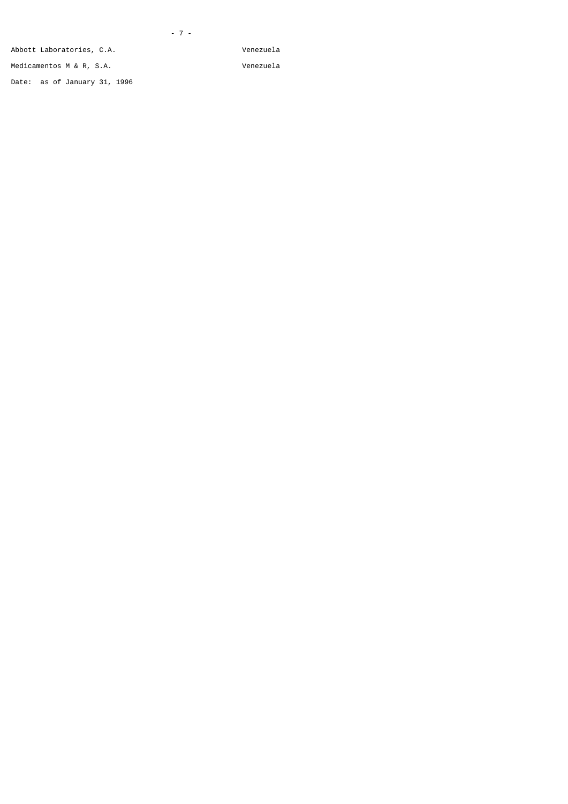Abbott Laboratories, C.A. Venezuela

Medicamentos M & R, S.A. Venezuela

Date: as of January 31, 1996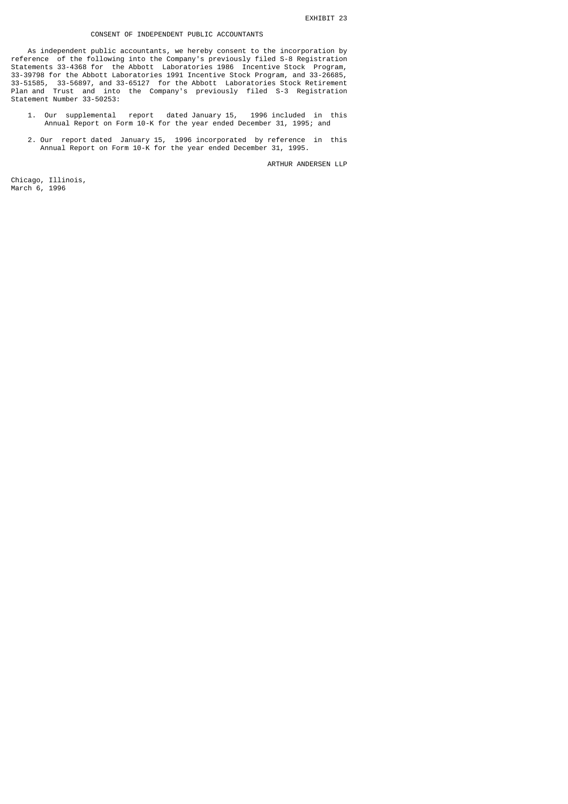## CONSENT OF INDEPENDENT PUBLIC ACCOUNTANTS

 As independent public accountants, we hereby consent to the incorporation by reference of the following into the Company's previously filed S-8 Registration Statements 33-4368 for the Abbott Laboratories 1986 Incentive Stock Program, 33-39798 for the Abbott Laboratories 1991 Incentive Stock Program, and 33-26685, 33-51585, 33-56897, and 33-65127 for the Abbott Laboratories Stock Retirement Plan and Trust and into the Company's previously filed S-3 Registration Statement Number 33-50253:

- 1. Our supplemental report dated January 15, 1996 included in this Annual Report on Form 10-K for the year ended December 31, 1995; and
- 2. Our report dated January 15, 1996 incorporated by reference in this Annual Report on Form 10-K for the year ended December 31, 1995.

ARTHUR ANDERSEN LLP

Chicago, Illinois, March 6, 1996